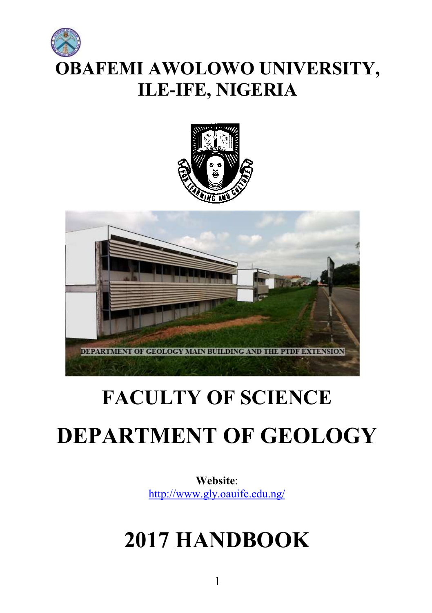# OBAFEMI AWOLOWO UNIVERSITY, ILE-IFE, NIGERIA





## FACULTY OF SCIENCE

## DEPARTMENT OF GEOLOGY

Website: http://www.gly.oauife.edu.ng/

## 2017 HANDBOOK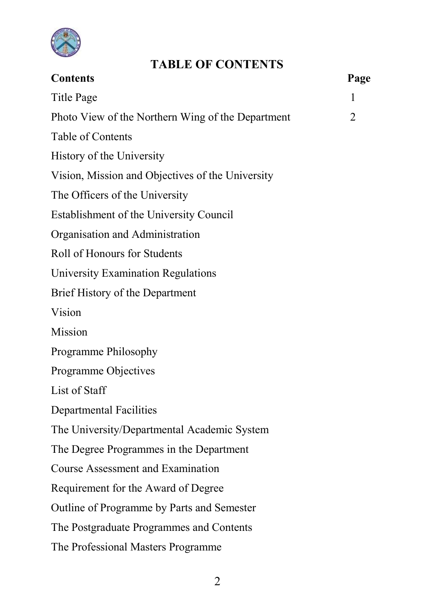

### TABLE OF CONTENTS

| <b>Contents</b>                                   | Page |
|---------------------------------------------------|------|
| <b>Title Page</b>                                 | 1    |
| Photo View of the Northern Wing of the Department | 2    |
| Table of Contents                                 |      |
| History of the University                         |      |
| Vision, Mission and Objectives of the University  |      |
| The Officers of the University                    |      |
| Establishment of the University Council           |      |
| Organisation and Administration                   |      |
| Roll of Honours for Students                      |      |
| University Examination Regulations                |      |
| Brief History of the Department                   |      |
| Vision                                            |      |
| Mission                                           |      |
| Programme Philosophy                              |      |
| Programme Objectives                              |      |
| List of Staff                                     |      |
| <b>Departmental Facilities</b>                    |      |
| The University/Departmental Academic System       |      |
| The Degree Programmes in the Department           |      |
| <b>Course Assessment and Examination</b>          |      |
| Requirement for the Award of Degree               |      |
| Outline of Programme by Parts and Semester        |      |
| The Postgraduate Programmes and Contents          |      |
| The Professional Masters Programme                |      |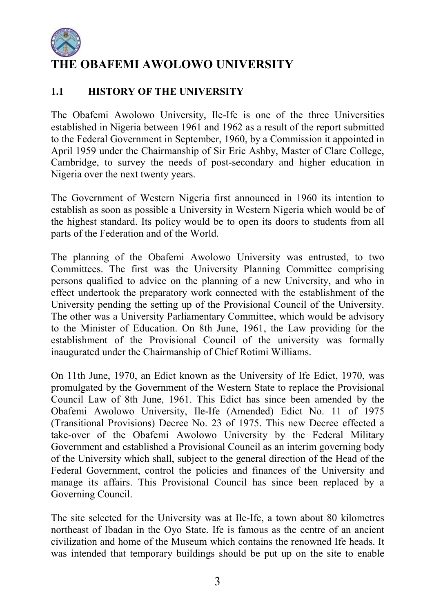

### THE OBAFEMI AWOLOWO UNIVERSITY

### 1.1 **HISTORY OF THE UNIVERSITY**

The Obafemi Awolowo University, Ile-Ife is one of the three Universities established in Nigeria between 1961 and 1962 as a result of the report submitted to the Federal Government in September, 1960, by a Commission it appointed in April 1959 under the Chairmanship of Sir Eric Ashby, Master of Clare College, Cambridge, to survey the needs of post-secondary and higher education in Nigeria over the next twenty years.

The Government of Western Nigeria first announced in 1960 its intention to establish as soon as possible a University in Western Nigeria which would be of the highest standard. Its policy would be to open its doors to students from all parts of the Federation and of the World.

The planning of the Obafemi Awolowo University was entrusted, to two Committees. The first was the University Planning Committee comprising persons qualified to advice on the planning of a new University, and who in effect undertook the preparatory work connected with the establishment of the University pending the setting up of the Provisional Council of the University. The other was a University Parliamentary Committee, which would be advisory to the Minister of Education. On 8th June, 1961, the Law providing for the establishment of the Provisional Council of the university was formally inaugurated under the Chairmanship of Chief Rotimi Williams.

On 11th June, 1970, an Edict known as the University of Ife Edict, 1970, was promulgated by the Government of the Western State to replace the Provisional Council Law of 8th June, 1961. This Edict has since been amended by the Obafemi Awolowo University, Ile-Ife (Amended) Edict No. 11 of 1975 (Transitional Provisions) Decree No. 23 of 1975. This new Decree effected a take-over of the Obafemi Awolowo University by the Federal Military Government and established a Provisional Council as an interim governing body of the University which shall, subject to the general direction of the Head of the Federal Government, control the policies and finances of the University and manage its affairs. This Provisional Council has since been replaced by a Governing Council.

The site selected for the University was at Ile-Ife, a town about 80 kilometres northeast of Ibadan in the Oyo State. Ife is famous as the centre of an ancient civilization and home of the Museum which contains the renowned Ife heads. It was intended that temporary buildings should be put up on the site to enable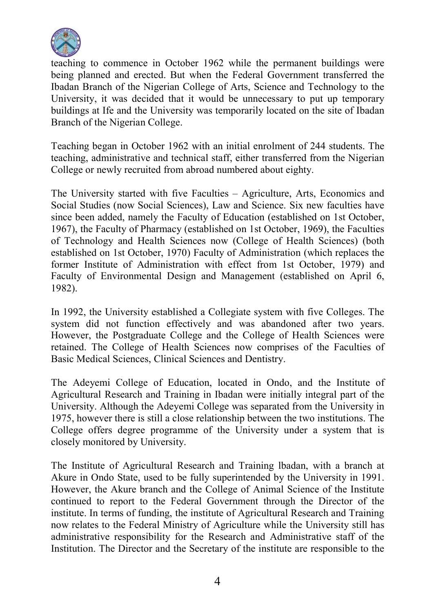

teaching to commence in October 1962 while the permanent buildings were being planned and erected. But when the Federal Government transferred the Ibadan Branch of the Nigerian College of Arts, Science and Technology to the University, it was decided that it would be unnecessary to put up temporary buildings at Ife and the University was temporarily located on the site of Ibadan Branch of the Nigerian College.

Teaching began in October 1962 with an initial enrolment of 244 students. The teaching, administrative and technical staff, either transferred from the Nigerian College or newly recruited from abroad numbered about eighty.

The University started with five Faculties – Agriculture, Arts, Economics and Social Studies (now Social Sciences), Law and Science. Six new faculties have since been added, namely the Faculty of Education (established on 1st October, 1967), the Faculty of Pharmacy (established on 1st October, 1969), the Faculties of Technology and Health Sciences now (College of Health Sciences) (both established on 1st October, 1970) Faculty of Administration (which replaces the former Institute of Administration with effect from 1st October, 1979) and Faculty of Environmental Design and Management (established on April 6, 1982).

In 1992, the University established a Collegiate system with five Colleges. The system did not function effectively and was abandoned after two years. However, the Postgraduate College and the College of Health Sciences were retained. The College of Health Sciences now comprises of the Faculties of Basic Medical Sciences, Clinical Sciences and Dentistry.

The Adeyemi College of Education, located in Ondo, and the Institute of Agricultural Research and Training in Ibadan were initially integral part of the University. Although the Adeyemi College was separated from the University in 1975, however there is still a close relationship between the two institutions. The College offers degree programme of the University under a system that is closely monitored by University.

The Institute of Agricultural Research and Training lbadan, with a branch at Akure in Ondo State, used to be fully superintended by the University in 1991. However, the Akure branch and the College of Animal Science of the Institute continued to report to the Federal Government through the Director of the institute. In terms of funding, the institute of Agricultural Research and Training now relates to the Federal Ministry of Agriculture while the University still has administrative responsibility for the Research and Administrative staff of the Institution. The Director and the Secretary of the institute are responsible to the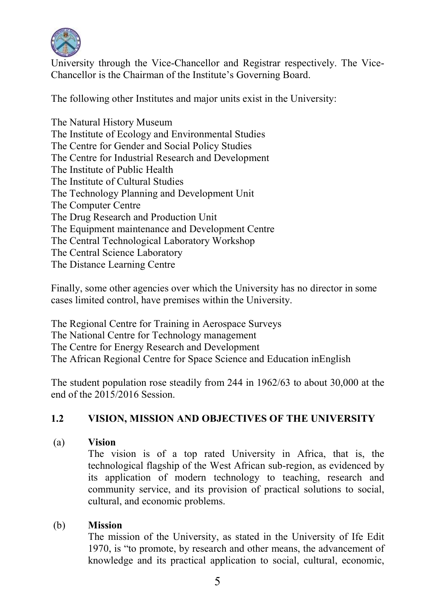

University through the Vice-Chancellor and Registrar respectively. The Vice-Chancellor is the Chairman of the Institute's Governing Board.

The following other Institutes and major units exist in the University:

The Natural History Museum The Institute of Ecology and Environmental Studies The Centre for Gender and Social Policy Studies The Centre for Industrial Research and Development The Institute of Public Health The Institute of Cultural Studies The Technology Planning and Development Unit The Computer Centre The Drug Research and Production Unit The Equipment maintenance and Development Centre The Central Technological Laboratory Workshop The Central Science Laboratory The Distance Learning Centre

Finally, some other agencies over which the University has no director in some cases limited control, have premises within the University.

The Regional Centre for Training in Aerospace Surveys The National Centre for Technology management The Centre for Energy Research and Development The African Regional Centre for Space Science and Education inEnglish

The student population rose steadily from 244 in 1962/63 to about 30,000 at the end of the 2015/2016 Session.

### 1.2 VISION, MISSION AND OBJECTIVES OF THE UNIVERSITY

(a) Vision

The vision is of a top rated University in Africa, that is, the technological flagship of the West African sub-region, as evidenced by its application of modern technology to teaching, research and community service, and its provision of practical solutions to social, cultural, and economic problems.

### (b) Mission

The mission of the University, as stated in the University of Ife Edit 1970, is "to promote, by research and other means, the advancement of knowledge and its practical application to social, cultural, economic,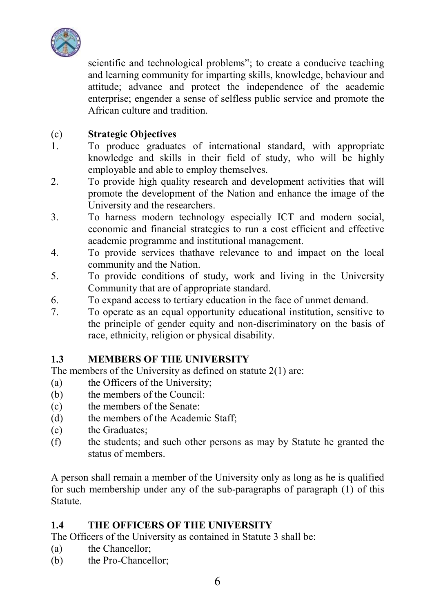

scientific and technological problems"; to create a conducive teaching and learning community for imparting skills, knowledge, behaviour and attitude; advance and protect the independence of the academic enterprise; engender a sense of selfless public service and promote the African culture and tradition.

### (c) Strategic Objectives

- 1. To produce graduates of international standard, with appropriate knowledge and skills in their field of study, who will be highly employable and able to employ themselves.
- 2. To provide high quality research and development activities that will promote the development of the Nation and enhance the image of the University and the researchers.
- 3. To harness modern technology especially ICT and modern social, economic and financial strategies to run a cost efficient and effective academic programme and institutional management.
- 4. To provide services thathave relevance to and impact on the local community and the Nation.
- 5. To provide conditions of study, work and living in the University Community that are of appropriate standard.
- 6. To expand access to tertiary education in the face of unmet demand.
- 7. To operate as an equal opportunity educational institution, sensitive to the principle of gender equity and non-discriminatory on the basis of race, ethnicity, religion or physical disability.

### 1.3 MEMBERS OF THE UNIVERSITY

The members of the University as defined on statute 2(1) are:

- (a) the Officers of the University;
- (b) the members of the Council:
- (c) the members of the Senate:
- (d) the members of the Academic Staff;
- (e) the Graduates;
- (f) the students; and such other persons as may by Statute he granted the status of members.

A person shall remain a member of the University only as long as he is qualified for such membership under any of the sub-paragraphs of paragraph (1) of this Statute.

### 1.4 THE OFFICERS OF THE UNIVERSITY

The Officers of the University as contained in Statute 3 shall be:

- (a) the Chancellor;
- (b) the Pro-Chancellor;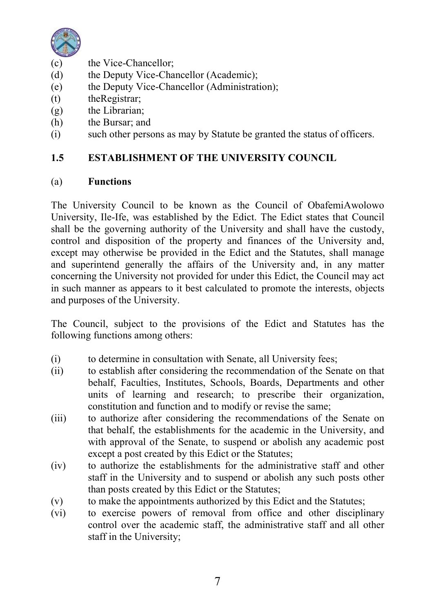

- (c) the Vice-Chancellor;<br>(d) the Deputy Vice-Cha
- the Deputy Vice-Chancellor (Academic);
- (e) the Deputy Vice-Chancellor (Administration);
- (t) theRegistrar;
- (g) the Librarian;
- (h) the Bursar; and
- (i) such other persons as may by Statute be granted the status of officers.

### 1.5 ESTABLISHMENT OF THE UNIVERSITY COUNCIL

### (a) Functions

The University Council to be known as the Council of ObafemiAwolowo University, Ile-Ife, was established by the Edict. The Edict states that Council shall be the governing authority of the University and shall have the custody, control and disposition of the property and finances of the University and, except may otherwise be provided in the Edict and the Statutes, shall manage and superintend generally the affairs of the University and, in any matter concerning the University not provided for under this Edict, the Council may act in such manner as appears to it best calculated to promote the interests, objects and purposes of the University.

The Council, subject to the provisions of the Edict and Statutes has the following functions among others:

- (i) to determine in consultation with Senate, all University fees;
- (ii) to establish after considering the recommendation of the Senate on that behalf, Faculties, Institutes, Schools, Boards, Departments and other units of learning and research; to prescribe their organization, constitution and function and to modify or revise the same;
- (iii) to authorize after considering the recommendations of the Senate on that behalf, the establishments for the academic in the University, and with approval of the Senate, to suspend or abolish any academic post except a post created by this Edict or the Statutes;
- (iv) to authorize the establishments for the administrative staff and other staff in the University and to suspend or abolish any such posts other than posts created by this Edict or the Statutes;
- (v) to make the appointments authorized by this Edict and the Statutes;
- (vi) to exercise powers of removal from office and other disciplinary control over the academic staff, the administrative staff and all other staff in the University;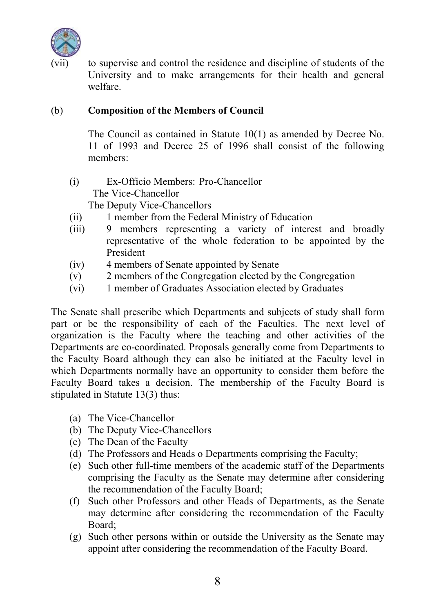

to supervise and control the residence and discipline of students of the University and to make arrangements for their health and general welfare.

### (b) Composition of the Members of Council

The Council as contained in Statute 10(1) as amended by Decree No. 11 of 1993 and Decree 25 of 1996 shall consist of the following members:

- (i) Ex-Officio Members: Pro-Chancellor The Vice-Chancellor The Deputy Vice-Chancellors
- (ii) 1 member from the Federal Ministry of Education
- (iii) 9 members representing a variety of interest and broadly representative of the whole federation to be appointed by the President
- (iv) 4 members of Senate appointed by Senate
- (v) 2 members of the Congregation elected by the Congregation
- (vi) 1 member of Graduates Association elected by Graduates

The Senate shall prescribe which Departments and subjects of study shall form part or be the responsibility of each of the Faculties. The next level of organization is the Faculty where the teaching and other activities of the Departments are co-coordinated. Proposals generally come from Departments to the Faculty Board although they can also be initiated at the Faculty level in which Departments normally have an opportunity to consider them before the Faculty Board takes a decision. The membership of the Faculty Board is stipulated in Statute 13(3) thus:

- (a) The Vice-Chancellor
- (b) The Deputy Vice-Chancellors
- (c) The Dean of the Faculty
- (d) The Professors and Heads o Departments comprising the Faculty;
- (e) Such other full-time members of the academic staff of the Departments comprising the Faculty as the Senate may determine after considering the recommendation of the Faculty Board;
- (f) Such other Professors and other Heads of Departments, as the Senate may determine after considering the recommendation of the Faculty Board;
- (g) Such other persons within or outside the University as the Senate may appoint after considering the recommendation of the Faculty Board.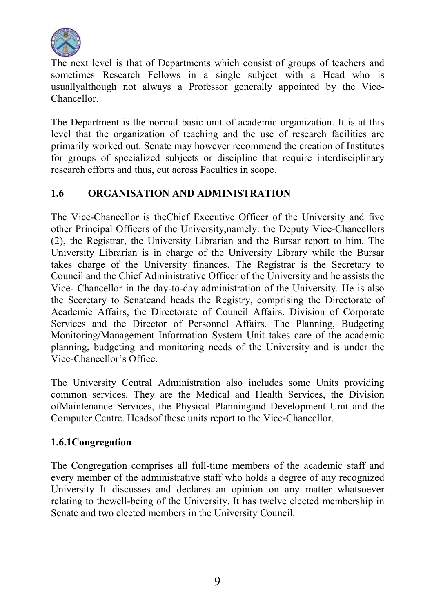

The next level is that of Departments which consist of groups of teachers and sometimes Research Fellows in a single subject with a Head who is usuallyalthough not always a Professor generally appointed by the Vice-Chancellor.

The Department is the normal basic unit of academic organization. It is at this level that the organization of teaching and the use of research facilities are primarily worked out. Senate may however recommend the creation of Institutes for groups of specialized subjects or discipline that require interdisciplinary research efforts and thus, cut across Faculties in scope.

### 1.6 ORGANISATION AND ADMINISTRATION

The Vice-Chancellor is theChief Executive Officer of the University and five other Principal Officers of the University,namely: the Deputy Vice-Chancellors (2), the Registrar, the University Librarian and the Bursar report to him. The University Librarian is in charge of the University Library while the Bursar takes charge of the University finances. The Registrar is the Secretary to Council and the Chief Administrative Officer of the University and he assists the Vice- Chancellor in the day-to-day administration of the University. He is also the Secretary to Senateand heads the Registry, comprising the Directorate of Academic Affairs, the Directorate of Council Affairs. Division of Corporate Services and the Director of Personnel Affairs. The Planning, Budgeting Monitoring/Management Information System Unit takes care of the academic planning, budgeting and monitoring needs of the University and is under the Vice-Chancellor's Office.

The University Central Administration also includes some Units providing common services. They are the Medical and Health Services, the Division ofMaintenance Services, the Physical Planningand Development Unit and the Computer Centre. Headsof these units report to the Vice-Chancellor.

### 1.6.1Congregation

The Congregation comprises all full-time members of the academic staff and every member of the administrative staff who holds a degree of any recognized University It discusses and declares an opinion on any matter whatsoever relating to thewell-being of the University. It has twelve elected membership in Senate and two elected members in the University Council.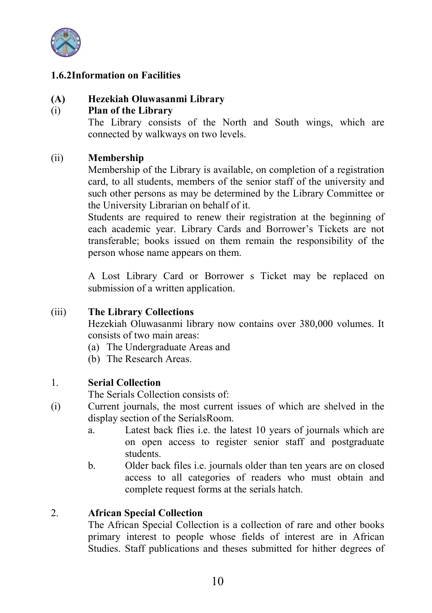

### 1.6.2Information on Facilities

### (A) Hezekiah Oluwasanmi Library

### (i) Plan of the Library

The Library consists of the North and South wings, which are connected by walkways on two levels.

### (ii) Membership

Membership of the Library is available, on completion of a registration card, to all students, members of the senior staff of the university and such other persons as may be determined by the Library Committee or the University Librarian on behalf of it.

Students are required to renew their registration at the beginning of each academic year. Library Cards and Borrower's Tickets are not transferable; books issued on them remain the responsibility of the person whose name appears on them.

A Lost Library Card or Borrower s Ticket may be replaced on submission of a written application.

### (iii) The Library Collections

Hezekiah Oluwasanmi library now contains over 380,000 volumes. It consists of two main areas:

- (a) The Undergraduate Areas and
- (b) The Research Areas.

### 1. Serial Collection

The Serials Collection consists of:

- (i) Current journals, the most current issues of which are shelved in the display section of the SerialsRoom.
	- a. Latest back flies i.e. the latest 10 years of journals which are on open access to register senior staff and postgraduate students.
	- b. Older back files i.e. journals older than ten years are on closed access to all categories of readers who must obtain and complete request forms at the serials hatch.

#### 2. African Special Collection

The African Special Collection is a collection of rare and other books primary interest to people whose fields of interest are in African Studies. Staff publications and theses submitted for hither degrees of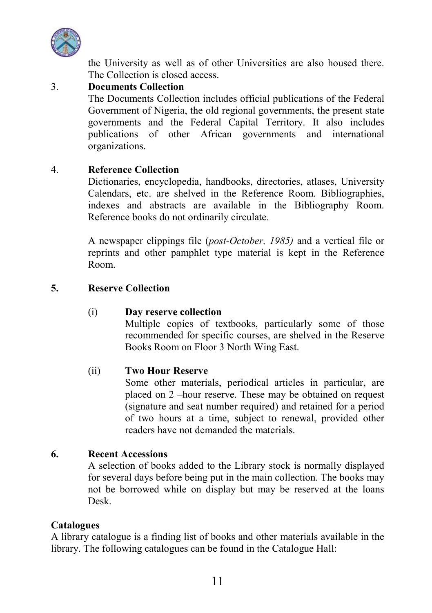

the University as well as of other Universities are also housed there. The Collection is closed access.

### 3. Documents Collection

The Documents Collection includes official publications of the Federal Government of Nigeria, the old regional governments, the present state governments and the Federal Capital Territory. It also includes publications of other African governments and international organizations.

### 4. Reference Collection

Dictionaries, encyclopedia, handbooks, directories, atlases, University Calendars, etc. are shelved in the Reference Room. Bibliographies, indexes and abstracts are available in the Bibliography Room. Reference books do not ordinarily circulate.

A newspaper clippings file (*post-October, 1985)* and a vertical file or reprints and other pamphlet type material is kept in the Reference Room.

### 5. Reserve Collection

### (i) Day reserve collection

Multiple copies of textbooks, particularly some of those recommended for specific courses, are shelved in the Reserve Books Room on Floor 3 North Wing East.

### (ii) Two Hour Reserve

Some other materials, periodical articles in particular, are placed on 2 –hour reserve. These may be obtained on request (signature and seat number required) and retained for a period of two hours at a time, subject to renewal, provided other readers have not demanded the materials.

### 6. Recent Accessions

A selection of books added to the Library stock is normally displayed for several days before being put in the main collection. The books may not be borrowed while on display but may be reserved at the loans Desk.

### Catalogues

A library catalogue is a finding list of books and other materials available in the library. The following catalogues can be found in the Catalogue Hall: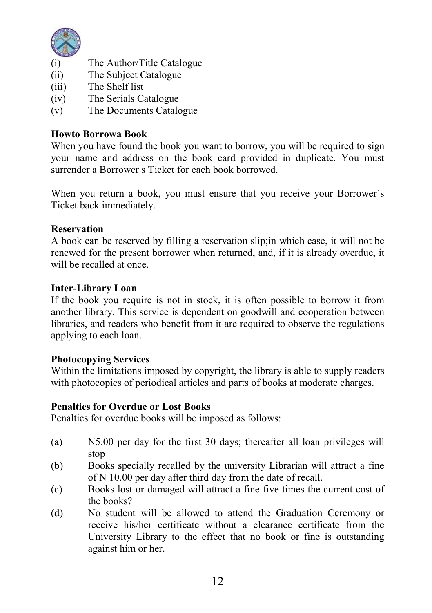

- (i) The Author/Title Catalogue<br>
(ii) The Subject Catalogue
- The Subject Catalogue
- (iii) The Shelf list
- (iv) The Serials Catalogue
- (v) The Documents Catalogue

### Howto Borrowa Book

When you have found the book you want to borrow, you will be required to sign your name and address on the book card provided in duplicate. You must surrender a Borrower s Ticket for each book borrowed.

When you return a book, you must ensure that you receive your Borrower's Ticket back immediately.

### Reservation

A book can be reserved by filling a reservation slip;in which case, it will not be renewed for the present borrower when returned, and, if it is already overdue, it will be recalled at once.

### Inter-Library Loan

If the book you require is not in stock, it is often possible to borrow it from another library. This service is dependent on goodwill and cooperation between libraries, and readers who benefit from it are required to observe the regulations applying to each loan.

### Photocopying Services

Within the limitations imposed by copyright, the library is able to supply readers with photocopies of periodical articles and parts of books at moderate charges.

### Penalties for Overdue or Lost Books

Penalties for overdue books will be imposed as follows:

- (a) N5.00 per day for the first 30 days; thereafter all loan privileges will stop
- (b) Books specially recalled by the university Librarian will attract a fine of N 10.00 per day after third day from the date of recall.
- (c) Books lost or damaged will attract a fine five times the current cost of the books?
- (d) No student will be allowed to attend the Graduation Ceremony or receive his/her certificate without a clearance certificate from the University Library to the effect that no book or fine is outstanding against him or her.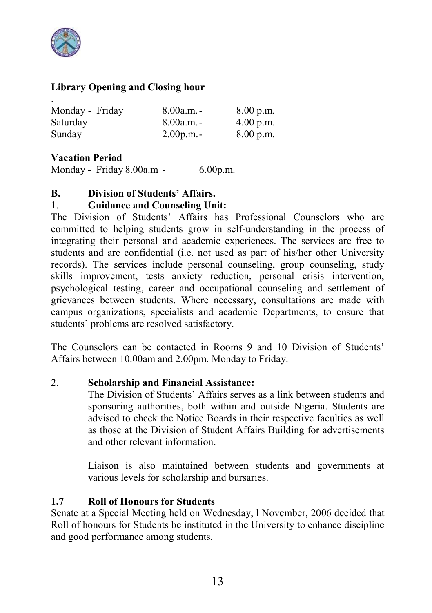

### Library Opening and Closing hour

| Monday - Friday | $8.00a.m. -$ | 8.00 p.m.   |
|-----------------|--------------|-------------|
| Saturday        | $8.00a.m. -$ | $4.00$ p.m. |
| Sunday          | $2.00$ p.m.  | $8.00$ p.m. |

### Vacation Period

Monday - Friday 8.00a.m - 6.00p.m.

### B. Division of Students' Affairs.

### 1. Guidance and Counseling Unit:

The Division of Students' Affairs has Professional Counselors who are committed to helping students grow in self-understanding in the process of integrating their personal and academic experiences. The services are free to students and are confidential (i.e. not used as part of his/her other University records). The services include personal counseling, group counseling, study skills improvement, tests anxiety reduction, personal crisis intervention, psychological testing, career and occupational counseling and settlement of grievances between students. Where necessary, consultations are made with campus organizations, specialists and academic Departments, to ensure that students' problems are resolved satisfactory.

The Counselors can be contacted in Rooms 9 and 10 Division of Students' Affairs between 10.00am and 2.00pm. Monday to Friday.

### 2. Scholarship and Financial Assistance:

The Division of Students' Affairs serves as a link between students and sponsoring authorities, both within and outside Nigeria. Students are advised to check the Notice Boards in their respective faculties as well as those at the Division of Student Affairs Building for advertisements and other relevant information.

Liaison is also maintained between students and governments at various levels for scholarship and bursaries.

### 1.7 Roll of Honours for Students

Senate at a Special Meeting held on Wednesday, l November, 2006 decided that Roll of honours for Students be instituted in the University to enhance discipline and good performance among students.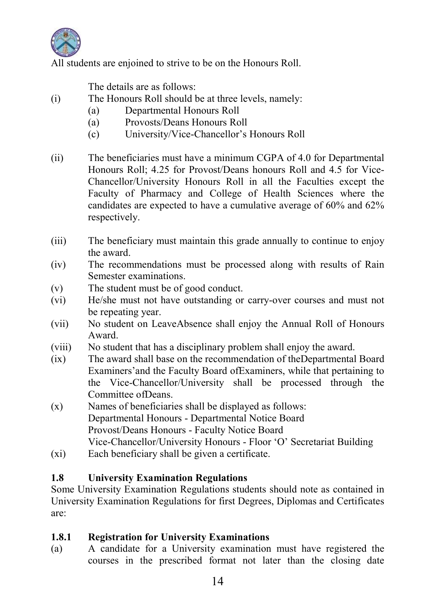

All students are enjoined to strive to be on the Honours Roll.

The details are as follows:

- (i) The Honours Roll should be at three levels, namely:
	- (a) Departmental Honours Roll
	- (a) Provosts/Deans Honours Roll
	- (c) University/Vice-Chancellor's Honours Roll
- (ii) The beneficiaries must have a minimum CGPA of 4.0 for Departmental Honours Roll; 4.25 for Provost/Deans honours Roll and 4.5 for Vice-Chancellor/University Honours Roll in all the Faculties except the Faculty of Pharmacy and College of Health Sciences where the candidates are expected to have a cumulative average of 60% and 62% respectively.
- (iii) The beneficiary must maintain this grade annually to continue to enjoy the award.
- (iv) The recommendations must be processed along with results of Rain Semester examinations.
- (v) The student must be of good conduct.
- (vi) He/she must not have outstanding or carry-over courses and must not be repeating year.
- (vii) No student on LeaveAbsence shall enjoy the Annual Roll of Honours Award.
- (viii) No student that has a disciplinary problem shall enjoy the award.
- (ix) The award shall base on the recommendation of theDepartmental Board Examiners'and the Faculty Board ofExaminers, while that pertaining to the Vice-Chancellor/University shall be processed through the Committee ofDeans.
- (x) Names of beneficiaries shall be displayed as follows: Departmental Honours - Departmental Notice Board Provost/Deans Honours - Faculty Notice Board Vice-Chancellor/University Honours - Floor 'O' Secretariat Building
- (xi) Each beneficiary shall be given a certificate.

### 1.8 University Examination Regulations

Some University Examination Regulations students should note as contained in University Examination Regulations for first Degrees, Diplomas and Certificates are:

### 1.8.1 Registration for University Examinations

(a) A candidate for a University examination must have registered the courses in the prescribed format not later than the closing date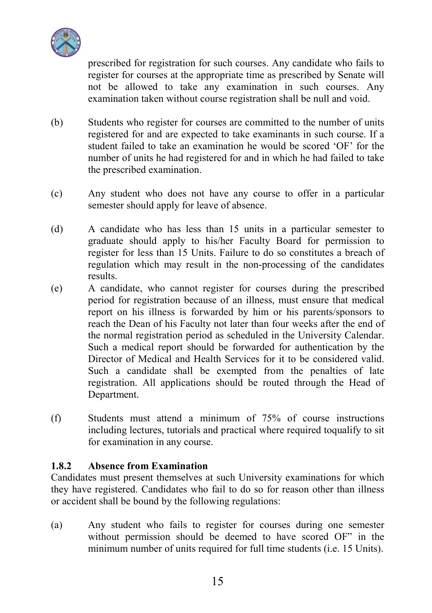

prescribed for registration for such courses. Any candidate who fails to register for courses at the appropriate time as prescribed by Senate will not be allowed to take any examination in such courses. Any examination taken without course registration shall be null and void.

- (b) Students who register for courses are committed to the number of units registered for and are expected to take examinants in such course. If a student failed to take an examination he would be scored 'OF' for the number of units he had registered for and in which he had failed to take the prescribed examination.
- (c) Any student who does not have any course to offer in a particular semester should apply for leave of absence.
- (d) A candidate who has less than 15 units in a particular semester to graduate should apply to his/her Faculty Board for permission to register for less than 15 Units. Failure to do so constitutes a breach of regulation which may result in the non-processing of the candidates results.
- (e) A candidate, who cannot register for courses during the prescribed period for registration because of an illness, must ensure that medical report on his illness is forwarded by him or his parents/sponsors to reach the Dean of his Faculty not later than four weeks after the end of the normal registration period as scheduled in the University Calendar. Such a medical report should be forwarded for authentication by the Director of Medical and Health Services for it to be considered valid. Such a candidate shall be exempted from the penalties of late registration. All applications should be routed through the Head of Department.
- (f) Students must attend a minimum of 75% of course instructions including lectures, tutorials and practical where required toqualify to sit for examination in any course.

### 1.8.2 Absence from Examination

Candidates must present themselves at such University examinations for which they have registered. Candidates who fail to do so for reason other than illness or accident shall be bound by the following regulations:

(a) Any student who fails to register for courses during one semester without permission should be deemed to have scored OF" in the minimum number of units required for full time students (i.e. 15 Units).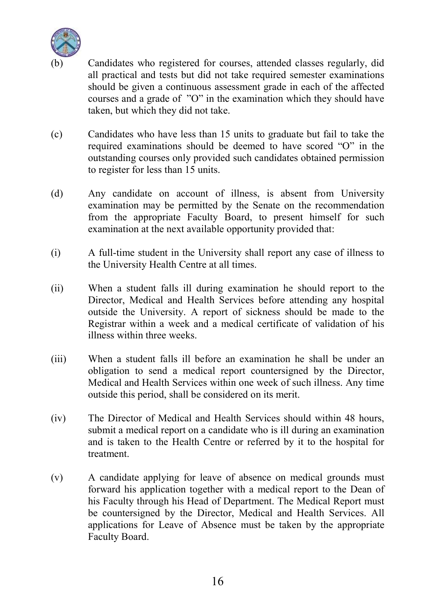

Candidates who registered for courses, attended classes regularly, did all practical and tests but did not take required semester examinations should be given a continuous assessment grade in each of the affected courses and a grade of "O" in the examination which they should have taken, but which they did not take.

- (c) Candidates who have less than 15 units to graduate but fail to take the required examinations should be deemed to have scored "O" in the outstanding courses only provided such candidates obtained permission to register for less than 15 units.
- (d) Any candidate on account of illness, is absent from University examination may be permitted by the Senate on the recommendation from the appropriate Faculty Board, to present himself for such examination at the next available opportunity provided that:
- (i) A full-time student in the University shall report any case of illness to the University Health Centre at all times.
- (ii) When a student falls ill during examination he should report to the Director, Medical and Health Services before attending any hospital outside the University. A report of sickness should be made to the Registrar within a week and a medical certificate of validation of his illness within three weeks.
- (iii) When a student falls ill before an examination he shall be under an obligation to send a medical report countersigned by the Director, Medical and Health Services within one week of such illness. Any time outside this period, shall be considered on its merit.
- (iv) The Director of Medical and Health Services should within 48 hours, submit a medical report on a candidate who is ill during an examination and is taken to the Health Centre or referred by it to the hospital for treatment.
- (v) A candidate applying for leave of absence on medical grounds must forward his application together with a medical report to the Dean of his Faculty through his Head of Department. The Medical Report must be countersigned by the Director, Medical and Health Services. All applications for Leave of Absence must be taken by the appropriate Faculty Board.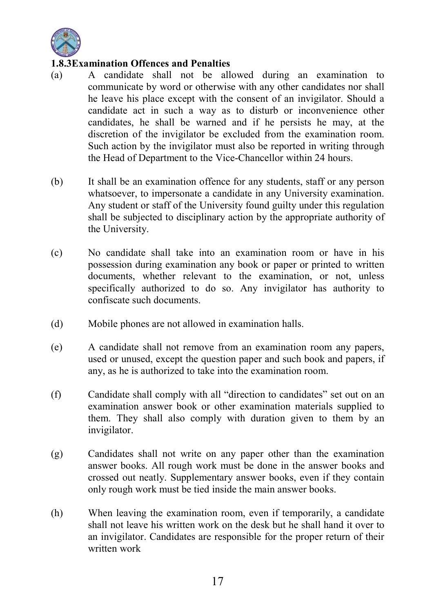

### 1.8.3Examination Offences and Penalties

- (a) A candidate shall not be allowed during an examination to communicate by word or otherwise with any other candidates nor shall he leave his place except with the consent of an invigilator. Should a candidate act in such a way as to disturb or inconvenience other candidates, he shall be warned and if he persists he may, at the discretion of the invigilator be excluded from the examination room. Such action by the invigilator must also be reported in writing through the Head of Department to the Vice-Chancellor within 24 hours.
- (b) It shall be an examination offence for any students, staff or any person whatsoever, to impersonate a candidate in any University examination. Any student or staff of the University found guilty under this regulation shall be subjected to disciplinary action by the appropriate authority of the University.
- (c) No candidate shall take into an examination room or have in his possession during examination any book or paper or printed to written documents, whether relevant to the examination, or not, unless specifically authorized to do so. Any invigilator has authority to confiscate such documents.
- (d) Mobile phones are not allowed in examination halls.
- (e) A candidate shall not remove from an examination room any papers, used or unused, except the question paper and such book and papers, if any, as he is authorized to take into the examination room.
- (f) Candidate shall comply with all "direction to candidates" set out on an examination answer book or other examination materials supplied to them. They shall also comply with duration given to them by an invigilator.
- (g) Candidates shall not write on any paper other than the examination answer books. All rough work must be done in the answer books and crossed out neatly. Supplementary answer books, even if they contain only rough work must be tied inside the main answer books.
- (h) When leaving the examination room, even if temporarily, a candidate shall not leave his written work on the desk but he shall hand it over to an invigilator. Candidates are responsible for the proper return of their written work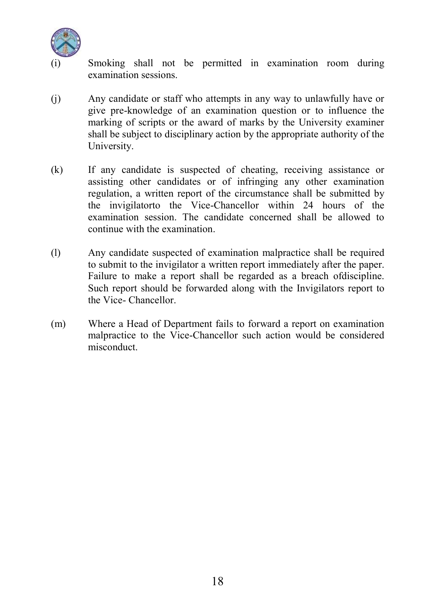

Smoking shall not be permitted in examination room during examination sessions.

- (j) Any candidate or staff who attempts in any way to unlawfully have or give pre-knowledge of an examination question or to influence the marking of scripts or the award of marks by the University examiner shall be subject to disciplinary action by the appropriate authority of the University.
- (k) If any candidate is suspected of cheating, receiving assistance or assisting other candidates or of infringing any other examination regulation, a written report of the circumstance shall be submitted by the invigilatorto the Vice-Chancellor within 24 hours of the examination session. The candidate concerned shall be allowed to continue with the examination.
- (l) Any candidate suspected of examination malpractice shall be required to submit to the invigilator a written report immediately after the paper. Failure to make a report shall be regarded as a breach ofdiscipline. Such report should be forwarded along with the Invigilators report to the Vice- Chancellor.
- (m) Where a Head of Department fails to forward a report on examination malpractice to the Vice-Chancellor such action would be considered misconduct.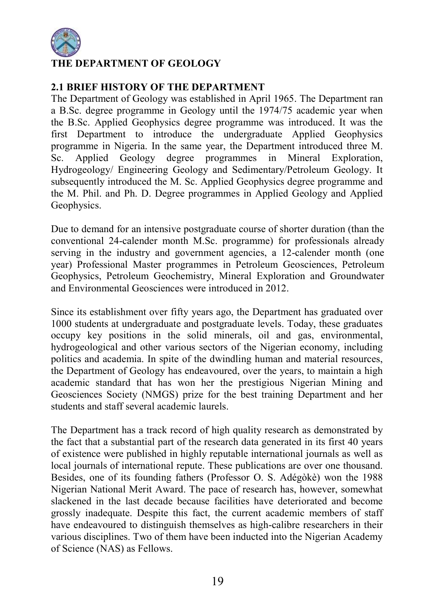

### E DEPARTMENT OF GEOLOGY

### 2.1 BRIEF HISTORY OF THE DEPARTMENT

The Department of Geology was established in April 1965. The Department ran a B.Sc. degree programme in Geology until the 1974/75 academic year when the B.Sc. Applied Geophysics degree programme was introduced. It was the first Department to introduce the undergraduate Applied Geophysics programme in Nigeria. In the same year, the Department introduced three M. Sc. Applied Geology degree programmes in Mineral Exploration, Hydrogeology/ Engineering Geology and Sedimentary/Petroleum Geology. It subsequently introduced the M. Sc. Applied Geophysics degree programme and the M. Phil. and Ph. D. Degree programmes in Applied Geology and Applied Geophysics.

Due to demand for an intensive postgraduate course of shorter duration (than the conventional 24-calender month M.Sc. programme) for professionals already serving in the industry and government agencies, a 12-calender month (one year) Professional Master programmes in Petroleum Geosciences, Petroleum Geophysics, Petroleum Geochemistry, Mineral Exploration and Groundwater and Environmental Geosciences were introduced in 2012.

Since its establishment over fifty years ago, the Department has graduated over 1000 students at undergraduate and postgraduate levels. Today, these graduates occupy key positions in the solid minerals, oil and gas, environmental, hydrogeological and other various sectors of the Nigerian economy, including politics and academia. In spite of the dwindling human and material resources, the Department of Geology has endeavoured, over the years, to maintain a high academic standard that has won her the prestigious Nigerian Mining and Geosciences Society (NMGS) prize for the best training Department and her students and staff several academic laurels.

The Department has a track record of high quality research as demonstrated by the fact that a substantial part of the research data generated in its first 40 years of existence were published in highly reputable international journals as well as local journals of international repute. These publications are over one thousand. Besides, one of its founding fathers (Professor O. S. Adégòkè) won the 1988 Nigerian National Merit Award. The pace of research has, however, somewhat slackened in the last decade because facilities have deteriorated and become grossly inadequate. Despite this fact, the current academic members of staff have endeavoured to distinguish themselves as high-calibre researchers in their various disciplines. Two of them have been inducted into the Nigerian Academy of Science (NAS) as Fellows.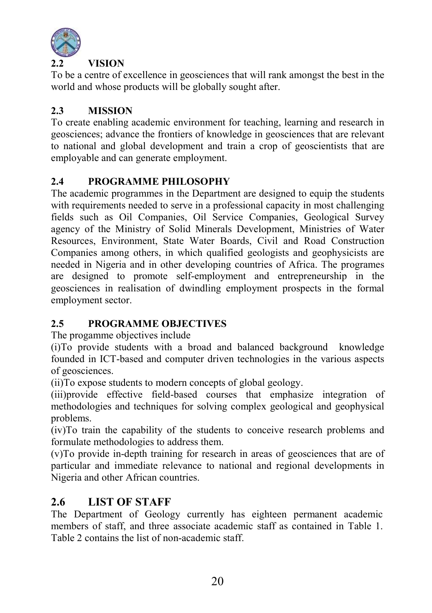

### **VISION**

To be a centre of excellence in geosciences that will rank amongst the best in the world and whose products will be globally sought after.

### 2.3 MISSION

To create enabling academic environment for teaching, learning and research in geosciences; advance the frontiers of knowledge in geosciences that are relevant to national and global development and train a crop of geoscientists that are employable and can generate employment.

### 2.4 PROGRAMME PHILOSOPHY

The academic programmes in the Department are designed to equip the students with requirements needed to serve in a professional capacity in most challenging fields such as Oil Companies, Oil Service Companies, Geological Survey agency of the Ministry of Solid Minerals Development, Ministries of Water Resources, Environment, State Water Boards, Civil and Road Construction Companies among others, in which qualified geologists and geophysicists are needed in Nigeria and in other developing countries of Africa. The programes are designed to promote self-employment and entrepreneurship in the geosciences in realisation of dwindling employment prospects in the formal employment sector.

### 2.5 PROGRAMME OBJECTIVES

The progamme objectives include

(i)To provide students with a broad and balanced background knowledge founded in ICT-based and computer driven technologies in the various aspects of geosciences.

(ii)To expose students to modern concepts of global geology.

(iii)provide effective field-based courses that emphasize integration of methodologies and techniques for solving complex geological and geophysical problems.

(iv)To train the capability of the students to conceive research problems and formulate methodologies to address them.

(v)To provide in-depth training for research in areas of geosciences that are of particular and immediate relevance to national and regional developments in Nigeria and other African countries.

### 2.6 LIST OF STAFF

The Department of Geology currently has eighteen permanent academic members of staff, and three associate academic staff as contained in Table 1. Table 2 contains the list of non-academic staff.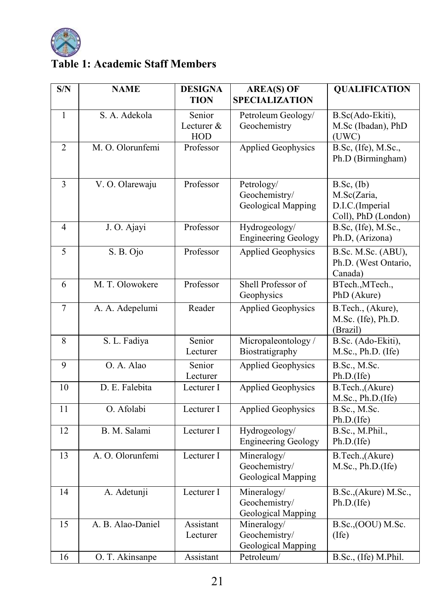

### Table 1: Academic Staff Members

| S/N          | <b>NAME</b>       | <b>DESIGNA</b>              | <b>AREA(S) OF</b>                                  | <b>QUALIFICATION</b>                                                     |
|--------------|-------------------|-----------------------------|----------------------------------------------------|--------------------------------------------------------------------------|
|              |                   | TION                        | <b>SPECIALIZATION</b>                              |                                                                          |
| $\mathbf{1}$ | S. A. Adekola     | Senior<br>Lecturer &<br>HOD | Petroleum Geology/<br>Geochemistry                 | B.Sc(Ado-Ekiti),<br>M.Sc (Ibadan), PhD<br>(UWC)                          |
| 2            | M. O. Olorunfemi  | Professor                   | <b>Applied Geophysics</b>                          | B.Sc, (Ife), M.Sc.,<br>Ph.D (Birmingham)                                 |
| 3            | V. O. Olarewaju   | Professor                   | Petrology/<br>Geochemistry/<br>Geological Mapping  | $B.Sc$ , $(Ib)$<br>M.Sc(Zaria,<br>D.I.C.(Imperial<br>Coll), PhD (London) |
| 4            | J. O. Ajayi       | Professor                   | Hydrogeology/<br><b>Engineering Geology</b>        | B.Sc, (Ife), M.Sc.,<br>Ph.D, (Arizona)                                   |
| 5            | S. B. Ojo         | Professor                   | <b>Applied Geophysics</b>                          | B.Sc. M.Sc. (ABU),<br>Ph.D. (West Ontario,<br>Canada)                    |
| 6            | M. T. Olowokere   | Professor                   | Shell Professor of<br>Geophysics                   | BTech., MTech.,<br>PhD (Akure)                                           |
| 7            | A. A. Adepelumi   | Reader                      | <b>Applied Geophysics</b>                          | B.Tech., (Akure),<br>M.Sc. (Ife), Ph.D.<br>(Brazil)                      |
| $\,$ 8 $\,$  | S. L. Fadiya      | Senior<br>Lecturer          | Micropaleontology/<br>Biostratigraphy              | B.Sc. (Ado-Ekiti),<br>M.Sc., Ph.D. (Ife)                                 |
| 9            | O. A. Alao        | Senior<br>Lecturer          | <b>Applied Geophysics</b>                          | B.Sc., M.Sc.<br>Ph.D.(Ife)                                               |
| 10           | D. E. Falebita    | Lecturer I                  | <b>Applied Geophysics</b>                          | B.Tech.,(Akure)<br>M.Sc., Ph.D.(Ife)                                     |
| 11           | O. Afolabi        | Lecturer I                  | <b>Applied Geophysics</b>                          | B.Sc., M.Sc.<br>Ph.D.(Ife)                                               |
| 12           | B. M. Salami      | Lecturer I                  | Hydrogeology/<br><b>Engineering Geology</b>        | B.Sc., M.Phil.,<br>Ph.D.(Ife)                                            |
| 13           | A. O. Olorunfemi  | Lecturer I                  | Mineralogy/<br>Geochemistry/<br>Geological Mapping | B.Tech.,(Akure)<br>M.Sc., Ph.D.(Ife)                                     |
| 14           | A. Adetunji       | Lecturer I                  | Mineralogy/<br>Geochemistry/<br>Geological Mapping | B.Sc., (Akure) M.Sc.,<br>Ph.D.(Ife)                                      |
| 15           | A. B. Alao-Daniel | Assistant<br>Lecturer       | Mineralogy/<br>Geochemistry/<br>Geological Mapping | B.Sc., (OOU) M.Sc.<br>(Ife)                                              |
| 16           | O. T. Akinsanpe   | Assistant                   | Petroleum/                                         | B.Sc., (Ife) M.Phil.                                                     |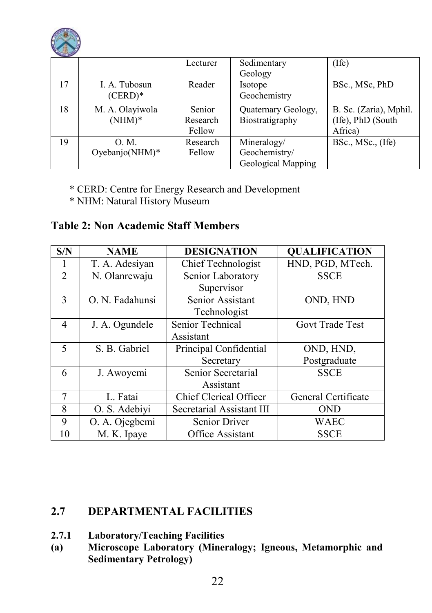

| <b>SERVICE DISPOS</b> |                 |          |                     |                        |
|-----------------------|-----------------|----------|---------------------|------------------------|
|                       |                 | Lecturer | Sedimentary         | $($ Ife $)$            |
|                       |                 |          | Geology             |                        |
| 17                    | I. A. Tubosun   | Reader   | Isotope             | BSc., MSc. PhD         |
|                       | $(CERD)*$       |          | Geochemistry        |                        |
| 18                    | M. A. Olayiwola | Senior   | Quaternary Geology, | B. Sc. (Zaria), Mphil. |
|                       | $(NHM)*$        | Research | Biostratigraphy     | (Ife), PhD (South)     |
|                       |                 | Fellow   |                     | Africa)                |
| 19                    | O. M.           | Research | Mineralogy/         | BSc., MSc., (Ife)      |
|                       | Oyebanjo(NHM)*  | Fellow   | Geochemistry/       |                        |
|                       |                 |          | Geological Mapping  |                        |

- \* CERD: Centre for Energy Research and Development
- \* NHM: Natural History Museum

### Table 2: Non Academic Staff Members

| S/N                      | <b>NAME</b>     | <b>DESIGNATION</b>                     | <b>QUALIFICATION</b> |
|--------------------------|-----------------|----------------------------------------|----------------------|
|                          | T. A. Adesiyan  | HND, PGD, MTech.<br>Chief Technologist |                      |
| $\overline{2}$           | N. Olanrewaju   | Senior Laboratory                      | <b>SSCE</b>          |
|                          |                 | Supervisor                             |                      |
| $\overline{\mathcal{E}}$ | O. N. Fadahunsi | Senior Assistant                       | OND, HND             |
|                          |                 | Technologist                           |                      |
| $\overline{4}$           | J. A. Ogundele  | Senior Technical                       | Govt Trade Test      |
|                          |                 | Assistant                              |                      |
| 5                        | S. B. Gabriel   | Principal Confidential                 | OND, HND,            |
|                          |                 | Secretary                              | Postgraduate         |
| 6                        | J. Awoyemi      | Senior Secretarial                     | <b>SSCE</b>          |
|                          |                 | Assistant                              |                      |
| 7                        | L. Fatai        | Chief Clerical Officer                 | General Certificate  |
| 8                        | O. S. Adebiyi   | Secretarial Assistant III              | <b>OND</b>           |
| 9                        | O. A. Ojegbemi  | <b>Senior Driver</b><br><b>WAEC</b>    |                      |
| 10                       | M. K. Ipaye     | Office Assistant                       | <b>SSCE</b>          |

### 2.7 DEPARTMENTAL FACILITIES

- 2.7.1 Laboratory/Teaching Facilities<br>(a) Microscope Laboratory (Miner
- Microscope Laboratory (Mineralogy; Igneous, Metamorphic and Sedimentary Petrology)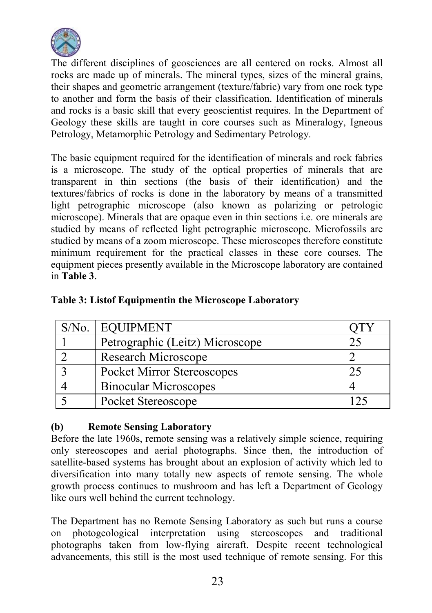

The different disciplines of geosciences are all centered on rocks. Almost all rocks are made up of minerals. The mineral types, sizes of the mineral grains, their shapes and geometric arrangement (texture/fabric) vary from one rock type to another and form the basis of their classification. Identification of minerals and rocks is a basic skill that every geoscientist requires. In the Department of Geology these skills are taught in core courses such as Mineralogy, Igneous Petrology, Metamorphic Petrology and Sedimentary Petrology.

The basic equipment required for the identification of minerals and rock fabrics is a microscope. The study of the optical properties of minerals that are transparent in thin sections (the basis of their identification) and the textures/fabrics of rocks is done in the laboratory by means of a transmitted light petrographic microscope (also known as polarizing or petrologic microscope). Minerals that are opaque even in thin sections i.e. ore minerals are studied by means of reflected light petrographic microscope. Microfossils are studied by means of a zoom microscope. These microscopes therefore constitute minimum requirement for the practical classes in these core courses. The equipment pieces presently available in the Microscope laboratory are contained in Table 3.

| $S/N0$ . | <b>EQUIPMENT</b>                  |  |
|----------|-----------------------------------|--|
|          | Petrographic (Leitz) Microscope   |  |
|          | Research Microscope               |  |
|          | <b>Pocket Mirror Stereoscopes</b> |  |
|          | <b>Binocular Microscopes</b>      |  |
|          | Pocket Stereoscope                |  |

### Table 3: Listof Equipmentin the Microscope Laboratory

### (b) Remote Sensing Laboratory

Before the late 1960s, remote sensing was a relatively simple science, requiring only stereoscopes and aerial photographs. Since then, the introduction of satellite-based systems has brought about an explosion of activity which led to diversification into many totally new aspects of remote sensing. The whole growth process continues to mushroom and has left a Department of Geology like ours well behind the current technology.

The Department has no Remote Sensing Laboratory as such but runs a course on photogeological interpretation using stereoscopes and traditional photographs taken from low-flying aircraft. Despite recent technological advancements, this still is the most used technique of remote sensing. For this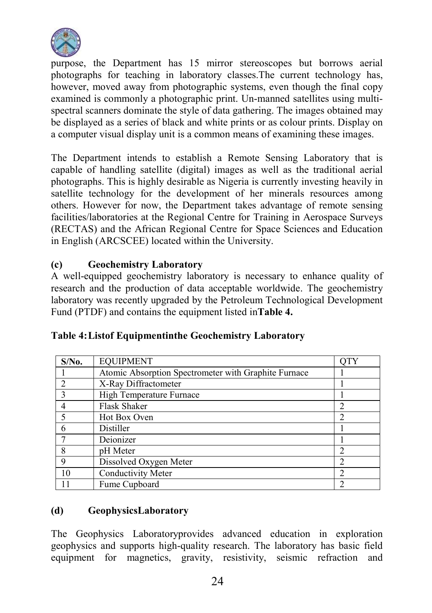

purpose, the Department has 15 mirror stereoscopes but borrows aerial photographs for teaching in laboratory classes.The current technology has, however, moved away from photographic systems, even though the final copy examined is commonly a photographic print. Un-manned satellites using multispectral scanners dominate the style of data gathering. The images obtained may be displayed as a series of black and white prints or as colour prints. Display on a computer visual display unit is a common means of examining these images.

The Department intends to establish a Remote Sensing Laboratory that is capable of handling satellite (digital) images as well as the traditional aerial photographs. This is highly desirable as Nigeria is currently investing heavily in satellite technology for the development of her minerals resources among others. However for now, the Department takes advantage of remote sensing facilities/laboratories at the Regional Centre for Training in Aerospace Surveys (RECTAS) and the African Regional Centre for Space Sciences and Education in English (ARCSCEE) located within the University.

### (c) Geochemistry Laboratory

A well-equipped geochemistry laboratory is necessary to enhance quality of research and the production of data acceptable worldwide. The geochemistry laboratory was recently upgraded by the Petroleum Technological Development Fund (PTDF) and contains the equipment listed inTable 4.

| $S/N0$ .                    | <b>EQUIPMENT</b>                                     | OTY            |
|-----------------------------|------------------------------------------------------|----------------|
|                             | Atomic Absorption Spectrometer with Graphite Furnace |                |
|                             | X-Ray Diffractometer                                 |                |
|                             | High Temperature Furnace                             |                |
|                             | <b>Flask Shaker</b>                                  | 2              |
| $\mathcal{L}_{\mathcal{L}}$ | Hot Box Oven                                         | $\mathfrak{D}$ |
| 6                           | Distiller                                            |                |
|                             | Deionizer                                            |                |
| 8                           | pH Meter                                             | 2              |
| 9                           | Dissolved Oxygen Meter                               | 2              |
| 10                          | Conductivity Meter                                   |                |
|                             | Fume Cupboard                                        |                |

### Table 4:Listof Equipmentinthe Geochemistry Laboratory

### (d) GeophysicsLaboratory

The Geophysics Laboratoryprovides advanced education in exploration geophysics and supports high-quality research. The laboratory has basic field equipment for magnetics, gravity, resistivity, seismic refraction and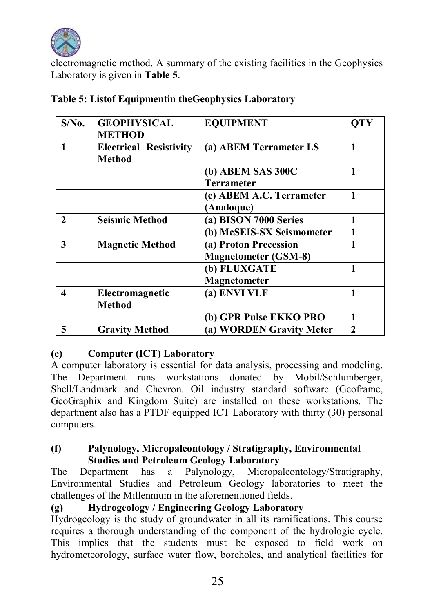

electromagnetic method. A summary of the existing facilities in the Geophysics Laboratory is given in Table 5.

| $S/N0$ .     | <b>GEOPHYSICAL</b>            | <b>EQUIPMENT</b>            | <b>OTY</b>   |
|--------------|-------------------------------|-----------------------------|--------------|
|              | <b>METHOD</b>                 |                             |              |
|              | <b>Electrical Resistivity</b> | (a) ABEM Terrameter LS      | 1            |
|              | Method                        |                             |              |
|              |                               | (b) ABEM SAS 300C           | 1            |
|              |                               | <b>Terrameter</b>           |              |
|              |                               | (c) ABEM A.C. Terrameter    | 1            |
|              |                               | (Analoque)                  |              |
| $\mathbf{2}$ | <b>Seismic Method</b>         | (a) BISON 7000 Series       | 1            |
|              |                               | (b) McSEIS-SX Seismometer   | 1            |
| 3            | <b>Magnetic Method</b>        | (a) Proton Precession       | 1            |
|              |                               | <b>Magnetometer (GSM-8)</b> |              |
|              |                               | (b) FLUXGATE                | 1            |
|              |                               | <b>Magnetometer</b>         |              |
| 4            | Electromagnetic               | (a) ENVI VLF                | 1            |
|              | <b>Method</b>                 |                             |              |
|              |                               | (b) GPR Pulse EKKO PRO      | 1            |
| 5            | <b>Gravity Method</b>         | (a) WORDEN Gravity Meter    | $\mathbf{2}$ |

### Table 5: Listof Equipmentin theGeophysics Laboratory

### (e) Computer (ICT) Laboratory

A computer laboratory is essential for data analysis, processing and modeling. The Department runs workstations donated by Mobil/Schlumberger, Shell/Landmark and Chevron. Oil industry standard software (Geoframe, GeoGraphix and Kingdom Suite) are installed on these workstations. The department also has a PTDF equipped ICT Laboratory with thirty (30) personal computers.

### (f) Palynology, Micropaleontology / Stratigraphy, Environmental Studies and Petroleum Geology Laboratory

The Department has a Palynology, Micropaleontology/Stratigraphy, Environmental Studies and Petroleum Geology laboratories to meet the challenges of the Millennium in the aforementioned fields.

### (g) Hydrogeology / Engineering Geology Laboratory

Hydrogeology is the study of groundwater in all its ramifications. This course requires a thorough understanding of the component of the hydrologic cycle. This implies that the students must be exposed to field work on hydrometeorology, surface water flow, boreholes, and analytical facilities for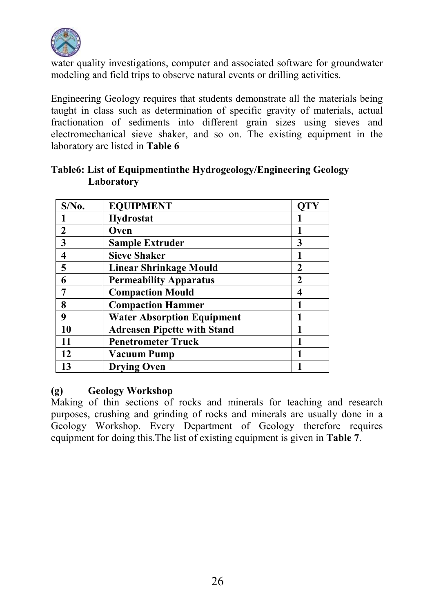

water quality investigations, computer and associated software for groundwater modeling and field trips to observe natural events or drilling activities.

Engineering Geology requires that students demonstrate all the materials being taught in class such as determination of specific gravity of materials, actual fractionation of sediments into different grain sizes using sieves and electromechanical sieve shaker, and so on. The existing equipment in the laboratory are listed in Table 6

| $S/N0$ .                | <b>EQUIPMENT</b>                   | OTY |
|-------------------------|------------------------------------|-----|
|                         | Hydrostat                          |     |
| $\mathbf{2}$            | Oven                               |     |
| $\overline{\mathbf{3}}$ | <b>Sample Extruder</b>             | 3   |
| $\overline{\mathbf{4}}$ | <b>Sieve Shaker</b>                |     |
| $\overline{\mathbf{5}}$ | Linear Shrinkage Mould             | 2   |
| 6                       | <b>Permeability Apparatus</b>      | 2   |
| 7                       | <b>Compaction Mould</b>            | 4   |
| 8                       | <b>Compaction Hammer</b>           |     |
| 9                       | <b>Water Absorption Equipment</b>  |     |
| 10                      | <b>Adreasen Pipette with Stand</b> |     |
| 11                      | <b>Penetrometer Truck</b>          |     |
| 12                      | <b>Vacuum Pump</b>                 |     |
| 13                      | <b>Drying Oven</b>                 |     |

### Table6: List of Equipmentinthe Hydrogeology/Engineering Geology Laboratory

### (g) Geology Workshop

Making of thin sections of rocks and minerals for teaching and research purposes, crushing and grinding of rocks and minerals are usually done in a Geology Workshop. Every Department of Geology therefore requires equipment for doing this.The list of existing equipment is given in Table 7.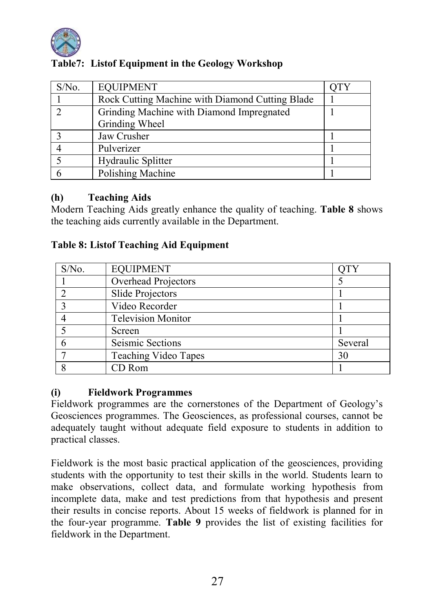

| $S/N0$ . | <b>EQUIPMENT</b>                                |  |
|----------|-------------------------------------------------|--|
|          | Rock Cutting Machine with Diamond Cutting Blade |  |
|          | Grinding Machine with Diamond Impregnated       |  |
|          | Grinding Wheel                                  |  |
|          | Jaw Crusher                                     |  |
|          | Pulverizer                                      |  |
|          | Hydraulic Splitter                              |  |
|          | Polishing Machine                               |  |

### Table7: Listof Equipment in the Geology Workshop

### (h) Teaching Aids

Modern Teaching Aids greatly enhance the quality of teaching. Table 8 shows the teaching aids currently available in the Department.

### Table 8: Listof Teaching Aid Equipment

| $S/N0$ . | <b>EQUIPMENT</b>          |         |
|----------|---------------------------|---------|
|          | Overhead Projectors       |         |
|          | Slide Projectors          |         |
|          | Video Recorder            |         |
|          | <b>Television Monitor</b> |         |
|          | Screen                    |         |
|          | Seismic Sections          | Several |
|          | Teaching Video Tapes      | 30      |
|          | CD Rom                    |         |

### (i) Fieldwork Programmes

Fieldwork programmes are the cornerstones of the Department of Geology's Geosciences programmes. The Geosciences, as professional courses, cannot be adequately taught without adequate field exposure to students in addition to practical classes.

Fieldwork is the most basic practical application of the geosciences, providing students with the opportunity to test their skills in the world. Students learn to make observations, collect data, and formulate working hypothesis from incomplete data, make and test predictions from that hypothesis and present their results in concise reports. About 15 weeks of fieldwork is planned for in the four-year programme. Table 9 provides the list of existing facilities for fieldwork in the Department.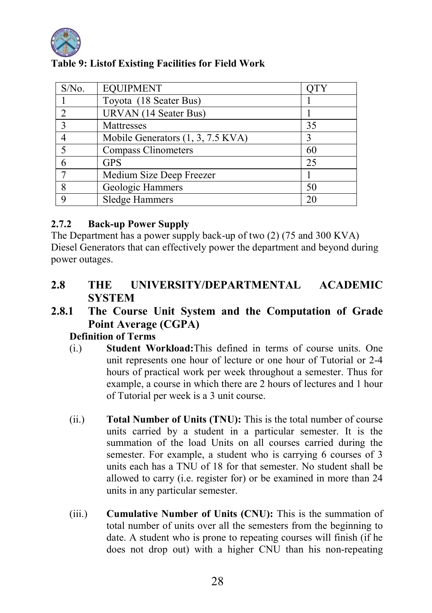

| S/No.                   | <b>EQUIPMENT</b>                  | <b>QTY</b> |
|-------------------------|-----------------------------------|------------|
|                         | Toyota (18 Seater Bus)            |            |
| $\mathfrak{D}$          | URVAN (14 Seater Bus)             |            |
| $\overline{\mathbf{3}}$ | Mattresses                        | 35         |
| 4                       | Mobile Generators (1, 3, 7.5 KVA) |            |
| 5                       | <b>Compass Clinometers</b>        | 60         |
| 6                       | <b>GPS</b>                        | 25         |
|                         | Medium Size Deep Freezer          |            |
| 8                       | Geologic Hammers                  | 50         |
| q                       | Sledge Hammers                    | 20         |

### Table 9: Listof Existing Facilities for Field Work

### 2.7.2 Back-up Power Supply

The Department has a power supply back-up of two (2) (75 and 300 KVA) Diesel Generators that can effectively power the department and beyond during power outages.

### 2.8 THE UNIVERSITY/DEPARTMENTAL ACADEMIC **SYSTEM**

### 2.8.1 The Course Unit System and the Computation of Grade Point Average (CGPA)

### Definition of Terms

- (i.) Student Workload:This defined in terms of course units. One unit represents one hour of lecture or one hour of Tutorial or 2-4 hours of practical work per week throughout a semester. Thus for example, a course in which there are 2 hours of lectures and 1 hour of Tutorial per week is a 3 unit course.
- (ii.) Total Number of Units (TNU): This is the total number of course units carried by a student in a particular semester. It is the summation of the load Units on all courses carried during the semester. For example, a student who is carrying 6 courses of 3 units each has a TNU of 18 for that semester. No student shall be allowed to carry (i.e. register for) or be examined in more than 24 units in any particular semester.
- (iii.) Cumulative Number of Units (CNU): This is the summation of total number of units over all the semesters from the beginning to date. A student who is prone to repeating courses will finish (if he does not drop out) with a higher CNU than his non-repeating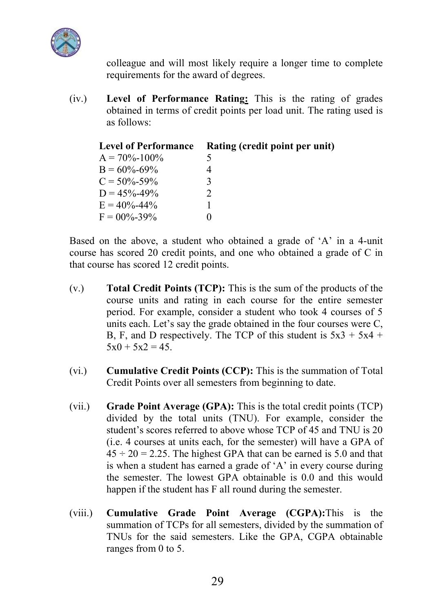

colleague and will most likely require a longer time to complete requirements for the award of degrees.

(iv.) Level of Performance Rating: This is the rating of grades obtained in terms of credit points per load unit. The rating used is as follows:

| <b>Level of Performance</b> | Rating (credit point per unit) |
|-----------------------------|--------------------------------|
| $A = 70\% - 100\%$          | 5                              |
| $B = 60\% - 69\%$           | 4                              |
| $C = 50\% - 59\%$           | 3                              |
| $D = 45\% - 49\%$           | $\mathfrak{D}$                 |
| $E = 40\% - 44\%$           |                                |
| $F = 00\% - 39\%$           | 0                              |

Based on the above, a student who obtained a grade of 'A' in a 4-unit course has scored 20 credit points, and one who obtained a grade of C in that course has scored 12 credit points.

- (v.) Total Credit Points (TCP): This is the sum of the products of the course units and rating in each course for the entire semester period. For example, consider a student who took 4 courses of 5 units each. Let's say the grade obtained in the four courses were C, B, F, and D respectively. The TCP of this student is  $5x3 + 5x4 +$  $5x0 + 5x2 = 45$ .
- (vi.) Cumulative Credit Points (CCP): This is the summation of Total Credit Points over all semesters from beginning to date.
- (vii.) Grade Point Average  $(GPA)$ : This is the total credit points (TCP) divided by the total units (TNU). For example, consider the student's scores referred to above whose TCP of 45 and TNU is 20 (i.e. 4 courses at units each, for the semester) will have a GPA of  $45 \div 20 = 2.25$ . The highest GPA that can be earned is 5.0 and that is when a student has earned a grade of 'A' in every course during the semester. The lowest GPA obtainable is 0.0 and this would happen if the student has F all round during the semester.
- (viii.) Cumulative Grade Point Average (CGPA):This is the summation of TCPs for all semesters, divided by the summation of TNUs for the said semesters. Like the GPA, CGPA obtainable ranges from 0 to 5.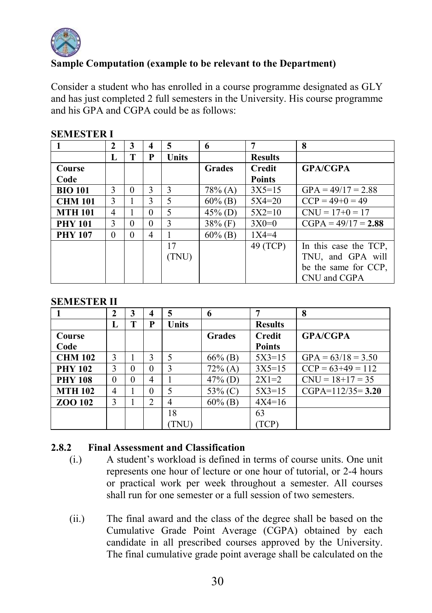

### Sample Computation (example to be relevant to the Department)

Consider a student who has enrolled in a course programme designated as GLY and has just completed 2 full semesters in the University. His course programme and his GPA and CGPA could be as follows:

|                | 2        | 3        | 4        | 5     | 6             | 7              | 8                     |
|----------------|----------|----------|----------|-------|---------------|----------------|-----------------------|
|                | L        | т        | P        | Units |               | <b>Results</b> |                       |
| Course         |          |          |          |       | <b>Grades</b> | <b>Credit</b>  | <b>GPA/CGPA</b>       |
| Code           |          |          |          |       |               | <b>Points</b>  |                       |
| <b>BIO 101</b> | 3        | $\Omega$ | 3        | 3     | $78\%$ (A)    | $3X5=15$       | $GPA = 49/17 = 2.88$  |
| <b>CHM 101</b> | 3        |          | 3        | 5     | $60\%$ (B)    | $5X4=20$       | $CCP = 49+0 = 49$     |
| <b>MTH 101</b> | 4        |          | $\Omega$ | 5     | $45\%$ (D)    | $5X2=10$       | $CNU = 17+0 = 17$     |
| <b>PHY 101</b> | 3        | $\Omega$ | 0        | 3     | $38\%$ (F)    | $3X0=0$        | $CGPA = 49/17 = 2.88$ |
| <b>PHY 107</b> | $\Omega$ | 0        | 4        |       | $60\%$ (B)    | $1X4 = 4$      |                       |
|                |          |          |          | 17    |               | 49 (TCP)       | In this case the TCP, |
|                |          |          |          | (TNU) |               |                | TNU, and GPA will     |
|                |          |          |          |       |               |                | be the same for CCP.  |
|                |          |          |          |       |               |                | CNU and CGPA          |

#### SEMESTER I

#### SEMESTER II

|                | 2            | 3        | 4        | 5     | 6             |                | 8                    |
|----------------|--------------|----------|----------|-------|---------------|----------------|----------------------|
|                | L            | т        | P        | Units |               | <b>Results</b> |                      |
| Course         |              |          |          |       | <b>Grades</b> | Credit         | <b>GPA/CGPA</b>      |
| Code           |              |          |          |       |               | <b>Points</b>  |                      |
| <b>CHM 102</b> | $\mathbf{3}$ |          | 3        | 5     | $66\%$ (B)    | $5X3=15$       | $GPA = 63/18 = 3.50$ |
| <b>PHY 102</b> | 3            | $\theta$ | $\theta$ | 3     | $72\%$ (A)    | $3X5=15$       | $CCP = 63+49 = 112$  |
| <b>PHY 108</b> | 0            | $\theta$ | 4        |       | $47\%$ (D)    | $2X1=2$        | $CNU = 18 + 17 = 35$ |
| <b>MTH 102</b> | 4            |          | $\theta$ | 5     | $53\%$ (C)    | $5X3=15$       | $CGPA=112/35=3.20$   |
| ZOO 102        | 3            |          | 2        | 4     | $60\%$ (B)    | $4X4=16$       |                      |
|                |              |          |          | 18    |               | 63             |                      |
|                |              |          |          | TNU)  |               | TCP)           |                      |

### 2.8.2 Final Assessment and Classification

- (i.) A student's workload is defined in terms of course units. One unit represents one hour of lecture or one hour of tutorial, or 2-4 hours or practical work per week throughout a semester. All courses shall run for one semester or a full session of two semesters.
- (ii.) The final award and the class of the degree shall be based on the Cumulative Grade Point Average (CGPA) obtained by each candidate in all prescribed courses approved by the University. The final cumulative grade point average shall be calculated on the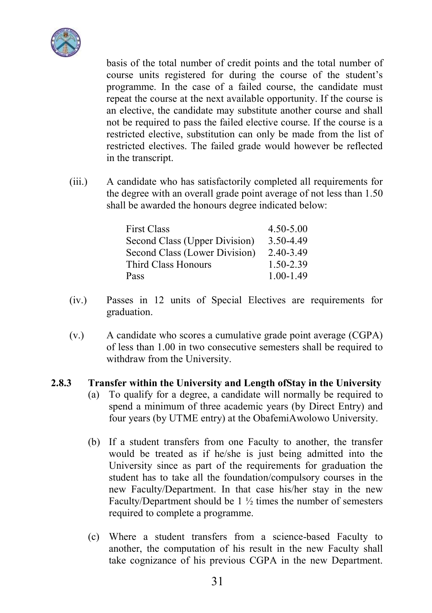

basis of the total number of credit points and the total number of course units registered for during the course of the student's programme. In the case of a failed course, the candidate must repeat the course at the next available opportunity. If the course is an elective, the candidate may substitute another course and shall not be required to pass the failed elective course. If the course is a restricted elective, substitution can only be made from the list of restricted electives. The failed grade would however be reflected in the transcript.

(iii.) A candidate who has satisfactorily completed all requirements for the degree with an overall grade point average of not less than 1.50 shall be awarded the honours degree indicated below:

| <b>First Class</b>            | $4.50 - 5.00$ |
|-------------------------------|---------------|
| Second Class (Upper Division) | 3.50-4.49     |
| Second Class (Lower Division) | $2.40 - 3.49$ |
| Third Class Honours           | 1.50-2.39     |
| Pass                          | $1.00 - 1.49$ |

- (iv.) Passes in 12 units of Special Electives are requirements for graduation.
- (v.) A candidate who scores a cumulative grade point average (CGPA) of less than 1.00 in two consecutive semesters shall be required to withdraw from the University.
- 2.8.3 Transfer within the University and Length ofStay in the University
	- (a) To qualify for a degree, a candidate will normally be required to spend a minimum of three academic years (by Direct Entry) and four years (by UTME entry) at the ObafemiAwolowo University.
	- (b) If a student transfers from one Faculty to another, the transfer would be treated as if he/she is just being admitted into the University since as part of the requirements for graduation the student has to take all the foundation/compulsory courses in the new Faculty/Department. In that case his/her stay in the new Faculty/Department should be  $1\frac{1}{2}$  times the number of semesters required to complete a programme.
	- (c) Where a student transfers from a science-based Faculty to another, the computation of his result in the new Faculty shall take cognizance of his previous CGPA in the new Department.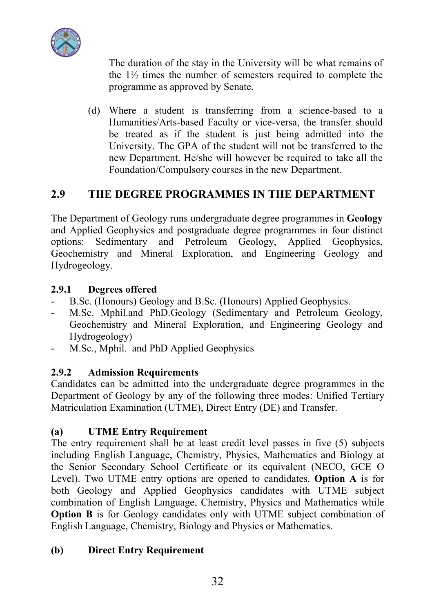

The duration of the stay in the University will be what remains of the 1½ times the number of semesters required to complete the programme as approved by Senate.

(d) Where a student is transferring from a science-based to a Humanities/Arts-based Faculty or vice-versa, the transfer should be treated as if the student is just being admitted into the University. The GPA of the student will not be transferred to the new Department. He/she will however be required to take all the Foundation/Compulsory courses in the new Department.

### 2.9 THE DEGREE PROGRAMMES IN THE DEPARTMENT

The Department of Geology runs undergraduate degree programmes in Geology and Applied Geophysics and postgraduate degree programmes in four distinct options: Sedimentary and Petroleum Geology, Applied Geophysics, Geochemistry and Mineral Exploration, and Engineering Geology and Hydrogeology.

### 2.9.1 Degrees offered

- B.Sc. (Honours) Geology and B.Sc. (Honours) Applied Geophysics.
- M.Sc. Mphil.and PhD.Geology (Sedimentary and Petroleum Geology, Geochemistry and Mineral Exploration, and Engineering Geology and Hydrogeology)
- M.Sc., Mphil. and PhD Applied Geophysics

### 2.9.2 Admission Requirements

Candidates can be admitted into the undergraduate degree programmes in the Department of Geology by any of the following three modes: Unified Tertiary Matriculation Examination (UTME), Direct Entry (DE) and Transfer.

### (a) UTME Entry Requirement

The entry requirement shall be at least credit level passes in five (5) subjects including English Language, Chemistry, Physics, Mathematics and Biology at the Senior Secondary School Certificate or its equivalent (NECO, GCE O Level). Two UTME entry options are opened to candidates. Option A is for both Geology and Applied Geophysics candidates with UTME subject combination of English Language, Chemistry, Physics and Mathematics while **Option B** is for Geology candidates only with UTME subject combination of English Language, Chemistry, Biology and Physics or Mathematics.

### (b) Direct Entry Requirement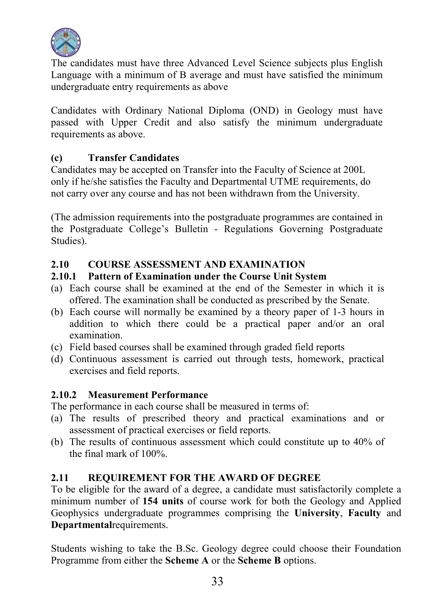

The candidates must have three Advanced Level Science subjects plus English Language with a minimum of B average and must have satisfied the minimum undergraduate entry requirements as above

Candidates with Ordinary National Diploma (OND) in Geology must have passed with Upper Credit and also satisfy the minimum undergraduate requirements as above.

### (c) Transfer Candidates

Candidates may be accepted on Transfer into the Faculty of Science at 200L only if he/she satisfies the Faculty and Departmental UTME requirements, do not carry over any course and has not been withdrawn from the University.

(The admission requirements into the postgraduate programmes are contained in the Postgraduate College's Bulletin - Regulations Governing Postgraduate Studies).

### 2.10 COURSE ASSESSMENT AND EXAMINATION

### 2.10.1 Pattern of Examination under the Course Unit System

- (a) Each course shall be examined at the end of the Semester in which it is offered. The examination shall be conducted as prescribed by the Senate.
- (b) Each course will normally be examined by a theory paper of 1-3 hours in addition to which there could be a practical paper and/or an oral examination.
- (c) Field based courses shall be examined through graded field reports
- (d) Continuous assessment is carried out through tests, homework, practical exercises and field reports.

### 2.10.2 Measurement Performance

The performance in each course shall be measured in terms of:

- (a) The results of prescribed theory and practical examinations and or assessment of practical exercises or field reports.
- (b) The results of continuous assessment which could constitute up to 40% of the final mark of 100%.

### 2.11 REQUIREMENT FOR THE AWARD OF DEGREE

To be eligible for the award of a degree, a candidate must satisfactorily complete a minimum number of 154 units of course work for both the Geology and Applied Geophysics undergraduate programmes comprising the University, Faculty and Departmentalrequirements.

Students wishing to take the B.Sc. Geology degree could choose their Foundation Programme from either the Scheme A or the Scheme B options.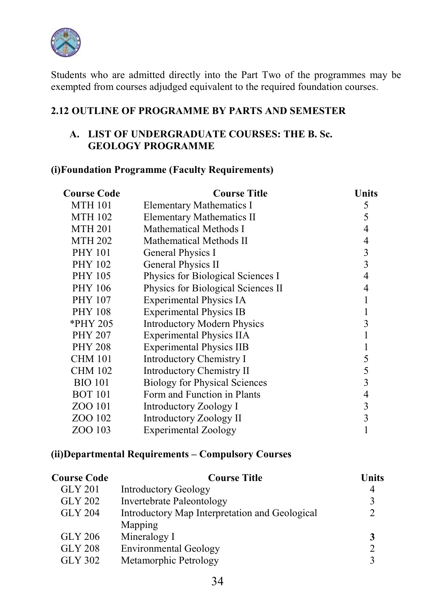

Students who are admitted directly into the Part Two of the programmes may be exempted from courses adjudged equivalent to the required foundation courses.

### 2.12 OUTLINE OF PROGRAMME BY PARTS AND SEMESTER

### A. LIST OF UNDERGRADUATE COURSES: THE B. Sc. GEOLOGY PROGRAMME

### (i)Foundation Programme (Faculty Requirements)

| Course Code    | Course Title                         | Units |
|----------------|--------------------------------------|-------|
| <b>MTH 101</b> | Elementary Mathematics I             | 5     |
| <b>MTH 102</b> | <b>Elementary Mathematics II</b>     | 5     |
| <b>MTH 201</b> | Mathematical Methods I               | 4     |
| <b>MTH 202</b> | Mathematical Methods II              | 4     |
| <b>PHY 101</b> | General Physics I                    | 3     |
| <b>PHY 102</b> | General Physics II                   | 3     |
| <b>PHY 105</b> | Physics for Biological Sciences I    | 4     |
| <b>PHY 106</b> | Physics for Biological Sciences II   | 4     |
| <b>PHY 107</b> | <b>Experimental Physics IA</b>       |       |
| <b>PHY 108</b> | <b>Experimental Physics IB</b>       |       |
| *PHY 205       | <b>Introductory Modern Physics</b>   | 3     |
| <b>PHY 207</b> | <b>Experimental Physics IIA</b>      |       |
| <b>PHY 208</b> | <b>Experimental Physics IIB</b>      |       |
| <b>CHM 101</b> | Introductory Chemistry I             | 5     |
| <b>CHM 102</b> | <b>Introductory Chemistry II</b>     | 5     |
| <b>BIO 101</b> | <b>Biology for Physical Sciences</b> | 3     |
| <b>BOT 101</b> | Form and Function in Plants          | 4     |
| ZOO 101        | Introductory Zoology I               | 3     |
| ZOO 102        | Introductory Zoology II              | 3     |
| ZOO 103        | Experimental Zoology                 |       |

### (ii)Departmental Requirements – Compulsory Courses

| <b>Course Code</b> | <b>Course Title</b>                            | Units          |
|--------------------|------------------------------------------------|----------------|
| GLY 201            | <b>Introductory Geology</b>                    | 4              |
| GLY 202            | <b>Invertebrate Paleontology</b>               | 3              |
| <b>GLY 204</b>     | Introductory Map Interpretation and Geological | $\overline{2}$ |
|                    | Mapping                                        |                |
| GLY 206            | Mineralogy I                                   | 3              |
| <b>GLY 208</b>     | <b>Environmental Geology</b>                   | $\overline{2}$ |
| GLY 302            | Metamorphic Petrology                          |                |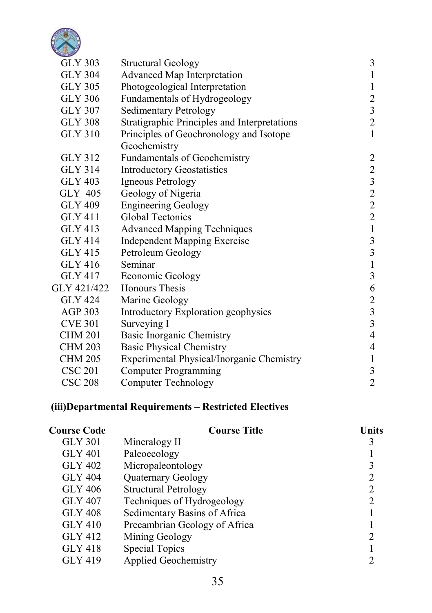

| <b>GLY 303</b> | <b>Structural Geology</b>                    | $\mathfrak{Z}$                             |
|----------------|----------------------------------------------|--------------------------------------------|
| <b>GLY 304</b> | Advanced Map Interpretation                  | $\mathbf{1}$                               |
| <b>GLY 305</b> | Photogeological Interpretation               | $\,1$                                      |
| <b>GLY 306</b> | Fundamentals of Hydrogeology                 | $\overline{\mathbf{c}}$                    |
| <b>GLY 307</b> | <b>Sedimentary Petrology</b>                 |                                            |
| <b>GLY 308</b> | Stratigraphic Principles and Interpretations | $\frac{3}{2}$                              |
| <b>GLY 310</b> | Principles of Geochronology and Isotope      | $\mathbf{1}$                               |
|                | Geochemistry                                 |                                            |
| GLY 312        | <b>Fundamentals of Geochemistry</b>          | $\overline{c}$                             |
| <b>GLY 314</b> | <b>Introductory Geostatistics</b>            |                                            |
| <b>GLY 403</b> | Igneous Petrology                            | $2$ 3 2 2 2 2 1                            |
| GLY 405        | Geology of Nigeria                           |                                            |
| <b>GLY 409</b> | <b>Engineering Geology</b>                   |                                            |
| <b>GLY 411</b> | <b>Global Tectonics</b>                      |                                            |
| <b>GLY 413</b> | <b>Advanced Mapping Techniques</b>           |                                            |
| <b>GLY 414</b> | <b>Independent Mapping Exercise</b>          | $\frac{3}{3}$                              |
| GLY 415        | Petroleum Geology                            |                                            |
| GLY 416        | Seminar                                      | $\,1$                                      |
| <b>GLY 417</b> | Economic Geology                             | $\overline{\mathbf{3}}$                    |
| GLY 421/422    | Honours Thesis                               | 6                                          |
| <b>GLY 424</b> | Marine Geology                               |                                            |
| <b>AGP 303</b> | Introductory Exploration geophysics          | $\begin{array}{c} 2 \\ 3 \\ 3 \end{array}$ |
| <b>CVE 301</b> | Surveying I                                  |                                            |
| <b>CHM 201</b> | Basic Inorganic Chemistry                    | $\overline{4}$                             |
| <b>CHM 203</b> | <b>Basic Physical Chemistry</b>              | $\overline{4}$                             |
| <b>CHM 205</b> | Experimental Physical/Inorganic Chemistry    | $\,1$                                      |
| <b>CSC 201</b> | <b>Computer Programming</b>                  | $\mathfrak{Z}$                             |
| <b>CSC 208</b> | <b>Computer Technology</b>                   | $\overline{2}$                             |
|                |                                              |                                            |

### (iii)Departmental Requirements – Restricted Electives

| <b>Course Title</b>           | Units          |
|-------------------------------|----------------|
| Mineralogy II                 | 3              |
| Paleoecology                  |                |
| Micropaleontology             | 3              |
| Quaternary Geology            | $\overline{2}$ |
| <b>Structural Petrology</b>   | $\overline{2}$ |
| Techniques of Hydrogeology    | $\overline{2}$ |
| Sedimentary Basins of Africa  |                |
| Precambrian Geology of Africa |                |
| Mining Geology                | $\mathfrak{D}$ |
| <b>Special Topics</b>         |                |
| <b>Applied Geochemistry</b>   |                |
|                               |                |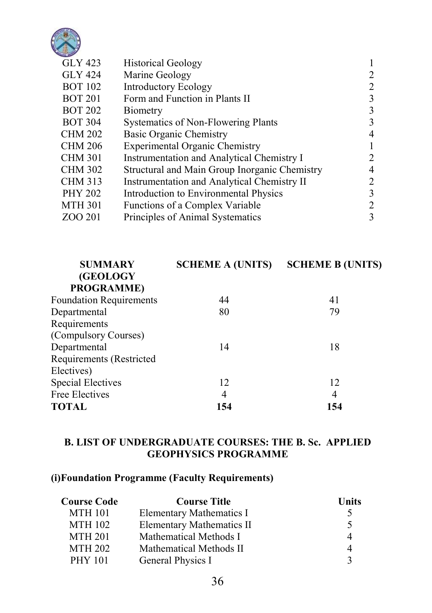

| <b>GLY 423</b> | <b>Historical Geology</b>                     |   |
|----------------|-----------------------------------------------|---|
| <b>GLY 424</b> | Marine Geology                                | 2 |
| <b>BOT 102</b> | <b>Introductory Ecology</b>                   | 2 |
| <b>BOT 201</b> | Form and Function in Plants II                | 3 |
| <b>BOT 202</b> | Biometry                                      | 3 |
| <b>BOT 304</b> | Systematics of Non-Flowering Plants           | 3 |
| <b>CHM 202</b> | Basic Organic Chemistry                       | 4 |
| <b>CHM 206</b> | <b>Experimental Organic Chemistry</b>         |   |
| <b>CHM 301</b> | Instrumentation and Analytical Chemistry I    | 2 |
| <b>CHM 302</b> | Structural and Main Group Inorganic Chemistry | 4 |
| <b>CHM 313</b> | Instrumentation and Analytical Chemistry II   | 2 |
| <b>PHY 202</b> | Introduction to Environmental Physics         | 3 |
| <b>MTH 301</b> | Functions of a Complex Variable               | 2 |
| ZOO 201        | Principles of Animal Systematics              | 3 |
|                |                                               |   |

| <b>SUMMARY</b>                 | <b>SCHEME A (UNITS)</b> | <b>SCHEME B (UNITS)</b> |
|--------------------------------|-------------------------|-------------------------|
| (GEOLOGY<br><b>PROGRAMME)</b>  |                         |                         |
| <b>Foundation Requirements</b> | 44                      | 41                      |
| Departmental                   | 80                      | 79                      |
| Requirements                   |                         |                         |
| (Compulsory Courses)           |                         |                         |
| Departmental                   | 14                      | 18                      |
| Requirements (Restricted       |                         |                         |
| Electives)                     |                         |                         |
| <b>Special Electives</b>       | 12                      | 12                      |
| <b>Free Electives</b>          | 4                       | 4                       |
| <b>TOTAL</b>                   | 154                     | 154                     |

### B. LIST OF UNDERGRADUATE COURSES: THE B. Sc. APPLIED GEOPHYSICS PROGRAMME

### (i)Foundation Programme (Faculty Requirements)

| Course Code    | <b>Course Title</b>              | Units |
|----------------|----------------------------------|-------|
| <b>MTH 101</b> | <b>Elementary Mathematics I</b>  | 5.    |
| <b>MTH 102</b> | <b>Elementary Mathematics II</b> | 5.    |
| <b>MTH 201</b> | Mathematical Methods I           | 4     |
| <b>MTH 202</b> | Mathematical Methods II          | 4     |
| <b>PHY 101</b> | General Physics I                | 3     |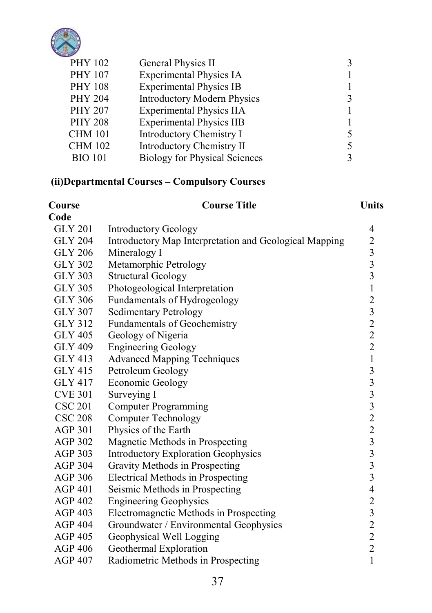

| <b>PHY 102</b> | General Physics II                   |   |
|----------------|--------------------------------------|---|
| <b>PHY 107</b> | <b>Experimental Physics IA</b>       |   |
| <b>PHY 108</b> | <b>Experimental Physics IB</b>       |   |
| <b>PHY 204</b> | <b>Introductory Modern Physics</b>   |   |
| <b>PHY 207</b> | <b>Experimental Physics IIA</b>      |   |
| <b>PHY 208</b> | <b>Experimental Physics IIB</b>      |   |
| <b>CHM 101</b> | <b>Introductory Chemistry I</b>      |   |
| <b>CHM 102</b> | <b>Introductory Chemistry II</b>     | 5 |
| <b>BIO 101</b> | <b>Biology for Physical Sciences</b> |   |
|                |                                      |   |

## (ii)Departmental Courses – Compulsory Courses

| Course         | <b>Course Title</b>                                    | Units           |
|----------------|--------------------------------------------------------|-----------------|
| Code           |                                                        |                 |
| <b>GLY 201</b> | <b>Introductory Geology</b>                            | 4               |
| <b>GLY 204</b> | Introductory Map Interpretation and Geological Mapping |                 |
| <b>GLY 206</b> | Mineralogy I                                           | 233312322       |
| GLY 302        | Metamorphic Petrology                                  |                 |
| <b>GLY 303</b> | <b>Structural Geology</b>                              |                 |
| <b>GLY 305</b> | Photogeological Interpretation                         |                 |
| GLY 306        | Fundamentals of Hydrogeology                           |                 |
| GLY 307        | <b>Sedimentary Petrology</b>                           |                 |
| <b>GLY 312</b> | <b>Fundamentals of Geochemistry</b>                    |                 |
| <b>GLY 405</b> | Geology of Nigeria                                     |                 |
| <b>GLY 409</b> | <b>Engineering Geology</b>                             |                 |
| GLY 413        | <b>Advanced Mapping Techniques</b>                     | $\mathbf{1}$    |
| GLY 415        | Petroleum Geology                                      | 333322333342322 |
| <b>GLY 417</b> | <b>Economic Geology</b>                                |                 |
| <b>CVE 301</b> | Surveying I                                            |                 |
| <b>CSC 201</b> | <b>Computer Programming</b>                            |                 |
| <b>CSC 208</b> | <b>Computer Technology</b>                             |                 |
| <b>AGP 301</b> | Physics of the Earth                                   |                 |
| <b>AGP 302</b> | Magnetic Methods in Prospecting                        |                 |
| <b>AGP 303</b> | <b>Introductory Exploration Geophysics</b>             |                 |
| <b>AGP 304</b> | Gravity Methods in Prospecting                         |                 |
| AGP 306        | Electrical Methods in Prospecting                      |                 |
| <b>AGP 401</b> | Seismic Methods in Prospecting                         |                 |
| <b>AGP 402</b> | <b>Engineering Geophysics</b>                          |                 |
| AGP 403        | Electromagnetic Methods in Prospecting                 |                 |
| <b>AGP 404</b> | Groundwater / Environmental Geophysics                 |                 |
| <b>AGP 405</b> | Geophysical Well Logging                               |                 |
| AGP 406        | Geothermal Exploration                                 | $\overline{c}$  |
| <b>AGP 407</b> | Radiometric Methods in Prospecting                     | $\mathbf{1}$    |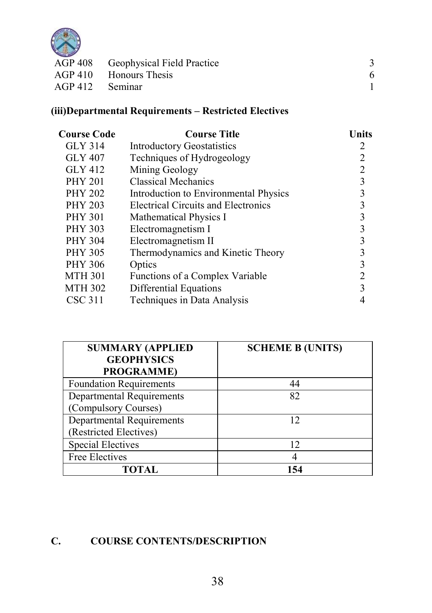

|                 | AGP 408 Geophysical Field Practice |  |
|-----------------|------------------------------------|--|
|                 | AGP 410 Honours Thesis             |  |
| AGP 412 Seminar |                                    |  |
|                 |                                    |  |

## (iii)Departmental Requirements – Restricted Electives

| Course Code    | <b>Course Title</b>                        | Units          |
|----------------|--------------------------------------------|----------------|
| <b>GLY 314</b> | <b>Introductory Geostatistics</b>          | 2              |
| <b>GLY 407</b> | Techniques of Hydrogeology                 | $\overline{2}$ |
| GLY 412        | Mining Geology                             | $\overline{2}$ |
| <b>PHY 201</b> | <b>Classical Mechanics</b>                 | 3              |
| <b>PHY 202</b> | Introduction to Environmental Physics      | 3              |
| <b>PHY 203</b> | <b>Electrical Circuits and Electronics</b> | 3              |
| <b>PHY 301</b> | Mathematical Physics I                     | 3              |
| <b>PHY 303</b> | Electromagnetism I                         | 3              |
| <b>PHY 304</b> | Electromagnetism II                        | 3              |
| <b>PHY 305</b> | Thermodynamics and Kinetic Theory          | 3              |
| <b>PHY 306</b> | Optics                                     | 3              |
| <b>MTH 301</b> | Functions of a Complex Variable            | 2              |
| <b>MTH 302</b> | Differential Equations                     | $\mathbf{3}$   |
| <b>CSC 311</b> | Techniques in Data Analysis                |                |
|                |                                            |                |

| <b>SUMMARY (APPLIED</b>          | <b>SCHEME B (UNITS)</b> |
|----------------------------------|-------------------------|
| <b>GEOPHYSICS</b>                |                         |
| <b>PROGRAMME)</b>                |                         |
| <b>Foundation Requirements</b>   | 44                      |
| <b>Departmental Requirements</b> | 82                      |
| (Compulsory Courses)             |                         |
| <b>Departmental Requirements</b> | 12                      |
| (Restricted Electives)           |                         |
| <b>Special Electives</b>         | 12                      |
| Free Electives                   |                         |
| TOTAL                            | 154                     |

## C. COURSE CONTENTS/DESCRIPTION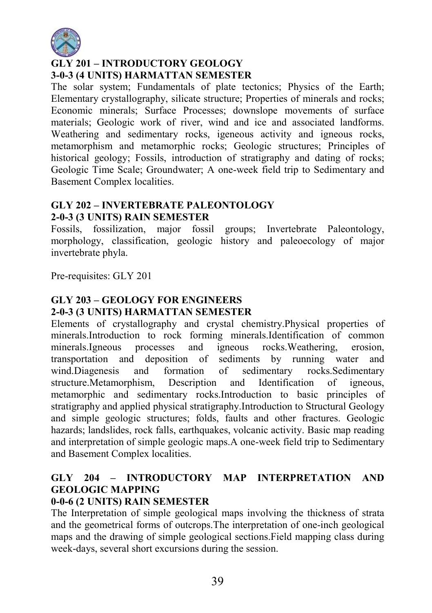

## GLY 201 – INTRODUCTORY GEOLOGY 3-0-3 (4 UNITS) HARMATTAN SEMESTER

The solar system; Fundamentals of plate tectonics; Physics of the Earth; Elementary crystallography, silicate structure; Properties of minerals and rocks; Economic minerals; Surface Processes; downslope movements of surface materials; Geologic work of river, wind and ice and associated landforms. Weathering and sedimentary rocks, igeneous activity and igneous rocks, metamorphism and metamorphic rocks; Geologic structures; Principles of historical geology; Fossils, introduction of stratigraphy and dating of rocks; Geologic Time Scale; Groundwater; A one-week field trip to Sedimentary and Basement Complex localities.

## GLY 202 – INVERTEBRATE PALEONTOLOGY 2-0-3 (3 UNITS) RAIN SEMESTER

Fossils, fossilization, major fossil groups; Invertebrate Paleontology, morphology, classification, geologic history and paleoecology of major invertebrate phyla.

Pre-requisites: GLY 201

#### GLY 203 – GEOLOGY FOR ENGINEERS 2-0-3 (3 UNITS) HARMATTAN SEMESTER

Elements of crystallography and crystal chemistry.Physical properties of minerals.Introduction to rock forming minerals.Identification of common minerals.Igneous processes and igneous rocks.Weathering, erosion, transportation and deposition of sediments by running water and wind.Diagenesis and formation of sedimentary rocks.Sedimentary structure.Metamorphism, Description and Identification of igneous, metamorphic and sedimentary rocks.Introduction to basic principles of stratigraphy and applied physical stratigraphy.Introduction to Structural Geology and simple geologic structures; folds, faults and other fractures. Geologic hazards; landslides, rock falls, earthquakes, volcanic activity. Basic map reading and interpretation of simple geologic maps.A one-week field trip to Sedimentary and Basement Complex localities.

## GLY 204 – INTRODUCTORY MAP INTERPRETATION AND GEOLOGIC MAPPING

## 0-0-6 (2 UNITS) RAIN SEMESTER

The Interpretation of simple geological maps involving the thickness of strata and the geometrical forms of outcrops.The interpretation of one-inch geological maps and the drawing of simple geological sections.Field mapping class during week-days, several short excursions during the session.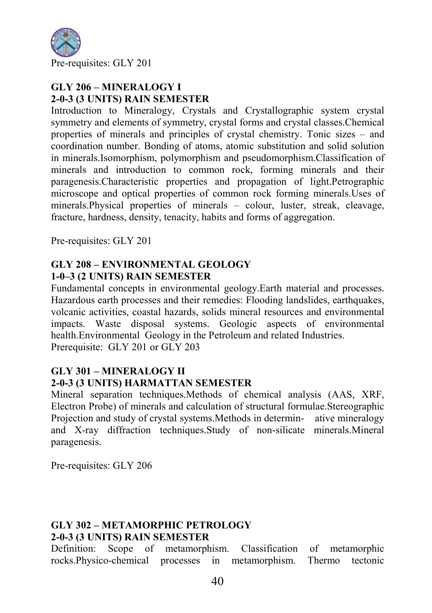

#### GLY 206 – MINERALOGY I 2-0-3 (3 UNITS) RAIN SEMESTER

Introduction to Mineralogy, Crystals and Crystallographic system crystal symmetry and elements of symmetry, crystal forms and crystal classes.Chemical properties of minerals and principles of crystal chemistry. Tonic sizes – and coordination number. Bonding of atoms, atomic substitution and solid solution in minerals.Isomorphism, polymorphism and pseudomorphism.Classification of minerals and introduction to common rock, forming minerals and their paragenesis.Characteristic properties and propagation of light.Petrographic microscope and optical properties of common rock forming minerals.Uses of minerals.Physical properties of minerals – colour, luster, streak, cleavage, fracture, hardness, density, tenacity, habits and forms of aggregation.

Pre-requisites: GLY 201

### GLY 208 – ENVIRONMENTAL GEOLOGY 1-0–3 (2 UNITS) RAIN SEMESTER

Fundamental concepts in environmental geology.Earth material and processes. Hazardous earth processes and their remedies: Flooding landslides, earthquakes, volcanic activities, coastal hazards, solids mineral resources and environmental impacts. Waste disposal systems. Geologic aspects of environmental health.Environmental Geology in the Petroleum and related Industries. Prerequisite: GLY 201 or GLY 203

### GLY 301 – MINERALOGY II 2-0-3 (3 UNITS) HARMATTAN SEMESTER

Mineral separation techniques.Methods of chemical analysis (AAS, XRF, Electron Probe) of minerals and calculation of structural formulae.Stereographic Projection and study of crystal systems.Methods in determin- ative mineralogy and X-ray diffraction techniques.Study of non-silicate minerals.Mineral paragenesis.

Pre-requisites: GLY 206

## GLY 302 – METAMORPHIC PETROLOGY 2-0-3 (3 UNITS) RAIN SEMESTER

Definition: Scope of metamorphism. Classification of metamorphic rocks.Physico-chemical processes in metamorphism. Thermo tectonic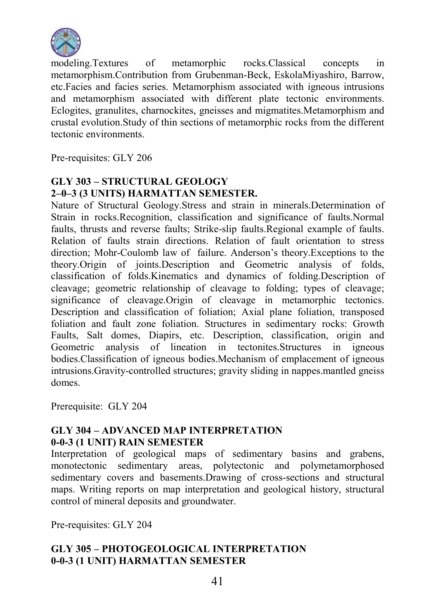

modeling.Textures of metamorphic rocks.Classical concepts in metamorphism.Contribution from Grubenman-Beck, EskolaMiyashiro, Barrow, etc.Facies and facies series. Metamorphism associated with igneous intrusions and metamorphism associated with different plate tectonic environments. Eclogites, granulites, charnockites, gneisses and migmatites.Metamorphism and crustal evolution.Study of thin sections of metamorphic rocks from the different tectonic environments.

Pre-requisites: GLY 206

## GLY 303 – STRUCTURAL GEOLOGY 2–0–3 (3 UNITS) HARMATTAN SEMESTER.

Nature of Structural Geology.Stress and strain in minerals.Determination of Strain in rocks.Recognition, classification and significance of faults.Normal faults, thrusts and reverse faults; Strike-slip faults. Regional example of faults. Relation of faults strain directions. Relation of fault orientation to stress direction; Mohr-Coulomb law of failure. Anderson's theory.Exceptions to the theory.Origin of joints.Description and Geometric analysis of folds, classification of folds.Kinematics and dynamics of folding.Description of cleavage; geometric relationship of cleavage to folding; types of cleavage; significance of cleavage.Origin of cleavage in metamorphic tectonics. Description and classification of foliation; Axial plane foliation, transposed foliation and fault zone foliation. Structures in sedimentary rocks: Growth Faults, Salt domes, Diapirs, etc. Description, classification, origin and Geometric analysis of lineation in tectonites.Structures in igneous bodies.Classification of igneous bodies.Mechanism of emplacement of igneous intrusions.Gravity-controlled structures; gravity sliding in nappes.mantled gneiss domes.

Prerequisite: GLY 204

## GLY 304 – ADVANCED MAP INTERPRETATION 0-0-3 (1 UNIT) RAIN SEMESTER

Interpretation of geological maps of sedimentary basins and grabens, monotectonic sedimentary areas, polytectonic and polymetamorphosed sedimentary covers and basements.Drawing of cross-sections and structural maps. Writing reports on map interpretation and geological history, structural control of mineral deposits and groundwater.

Pre-requisites: GLY 204

## GLY 305 – PHOTOGEOLOGICAL INTERPRETATION 0-0-3 (1 UNIT) HARMATTAN SEMESTER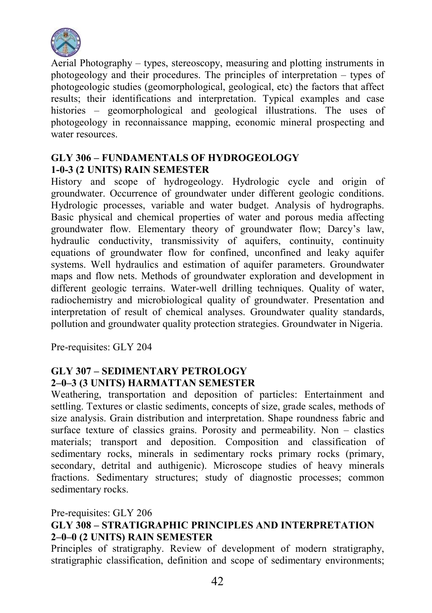

Aerial Photography – types, stereoscopy, measuring and plotting instruments in photogeology and their procedures. The principles of interpretation – types of photogeologic studies (geomorphological, geological, etc) the factors that affect results; their identifications and interpretation. Typical examples and case histories – geomorphological and geological illustrations. The uses of photogeology in reconnaissance mapping, economic mineral prospecting and water resources.

#### GLY 306 – FUNDAMENTALS OF HYDROGEOLOGY 1-0-3 (2 UNITS) RAIN SEMESTER

History and scope of hydrogeology. Hydrologic cycle and origin of groundwater. Occurrence of groundwater under different geologic conditions. Hydrologic processes, variable and water budget. Analysis of hydrographs. Basic physical and chemical properties of water and porous media affecting groundwater flow. Elementary theory of groundwater flow; Darcy's law, hydraulic conductivity, transmissivity of aquifers, continuity, continuity equations of groundwater flow for confined, unconfined and leaky aquifer systems. Well hydraulics and estimation of aquifer parameters. Groundwater maps and flow nets. Methods of groundwater exploration and development in different geologic terrains. Water-well drilling techniques. Quality of water, radiochemistry and microbiological quality of groundwater. Presentation and interpretation of result of chemical analyses. Groundwater quality standards, pollution and groundwater quality protection strategies. Groundwater in Nigeria.

Pre-requisites: GLY 204

## GLY 307 – SEDIMENTARY PETROLOGY 2–0–3 (3 UNITS) HARMATTAN SEMESTER

Weathering, transportation and deposition of particles: Entertainment and settling. Textures or clastic sediments, concepts of size, grade scales, methods of size analysis. Grain distribution and interpretation. Shape roundness fabric and surface texture of classics grains. Porosity and permeability. Non – clastics materials; transport and deposition. Composition and classification of sedimentary rocks, minerals in sedimentary rocks primary rocks (primary, secondary, detrital and authigenic). Microscope studies of heavy minerals fractions. Sedimentary structures; study of diagnostic processes; common sedimentary rocks.

#### Pre-requisites: GLY 206 GLY 308 – STRATIGRAPHIC PRINCIPLES AND INTERPRETATION

#### 2–0–0 (2 UNITS) RAIN SEMESTER

Principles of stratigraphy. Review of development of modern stratigraphy, stratigraphic classification, definition and scope of sedimentary environments;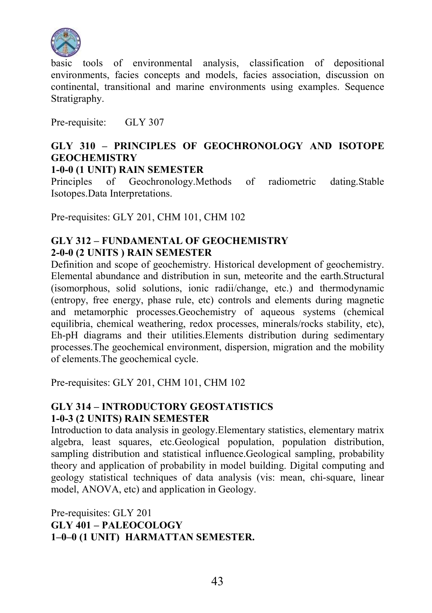

basic tools of environmental analysis, classification of depositional environments, facies concepts and models, facies association, discussion on continental, transitional and marine environments using examples. Sequence Stratigraphy.

Pre-requisite: GLY 307

## GLY 310 – PRINCIPLES OF GEOCHRONOLOGY AND ISOTOPE **GEOCHEMISTRY**

#### 1-0-0 (1 UNIT) RAIN SEMESTER

Principles of Geochronology.Methods of radiometric dating.Stable Isotopes.Data Interpretations.

Pre-requisites: GLY 201, CHM 101, CHM 102

## GLY 312 – FUNDAMENTAL OF GEOCHEMISTRY 2-0-0 (2 UNITS ) RAIN SEMESTER

Definition and scope of geochemistry. Historical development of geochemistry. Elemental abundance and distribution in sun, meteorite and the earth.Structural (isomorphous, solid solutions, ionic radii/change, etc.) and thermodynamic (entropy, free energy, phase rule, etc) controls and elements during magnetic and metamorphic processes.Geochemistry of aqueous systems (chemical equilibria, chemical weathering, redox processes, minerals/rocks stability, etc), Eh-pH diagrams and their utilities.Elements distribution during sedimentary processes.The geochemical environment, dispersion, migration and the mobility of elements.The geochemical cycle.

Pre-requisites: GLY 201, CHM 101, CHM 102

#### GLY 314 – INTRODUCTORY GEOSTATISTICS 1-0-3 (2 UNITS) RAIN SEMESTER

Introduction to data analysis in geology.Elementary statistics, elementary matrix algebra, least squares, etc.Geological population, population distribution, sampling distribution and statistical influence.Geological sampling, probability theory and application of probability in model building. Digital computing and geology statistical techniques of data analysis (vis: mean, chi-square, linear model, ANOVA, etc) and application in Geology.

Pre-requisites: GLY 201 GLY 401 – PALEOCOLOGY 1–0–0 (1 UNIT) HARMATTAN SEMESTER.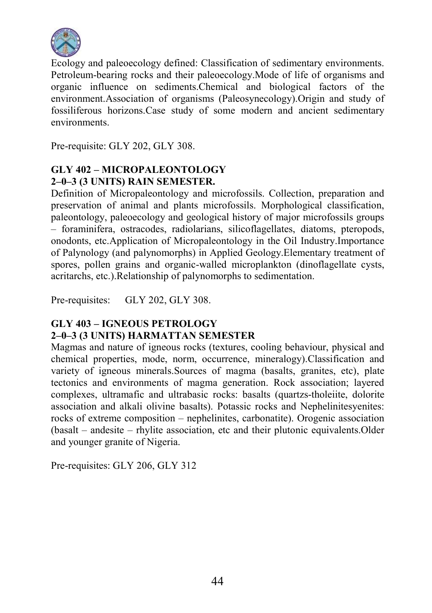

Ecology and paleoecology defined: Classification of sedimentary environments. Petroleum-bearing rocks and their paleoecology.Mode of life of organisms and organic influence on sediments.Chemical and biological factors of the environment.Association of organisms (Paleosynecology).Origin and study of fossiliferous horizons.Case study of some modern and ancient sedimentary environments.

Pre-requisite: GLY 202, GLY 308.

### GLY 402 – MICROPALEONTOLOGY 2–0–3 (3 UNITS) RAIN SEMESTER.

Definition of Micropaleontology and microfossils. Collection, preparation and preservation of animal and plants microfossils. Morphological classification, paleontology, paleoecology and geological history of major microfossils groups – foraminifera, ostracodes, radiolarians, silicoflagellates, diatoms, pteropods, onodonts, etc.Application of Micropaleontology in the Oil Industry.Importance of Palynology (and palynomorphs) in Applied Geology.Elementary treatment of spores, pollen grains and organic-walled microplankton (dinoflagellate cysts, acritarchs, etc.).Relationship of palynomorphs to sedimentation.

Pre-requisites: GLY 202, GLY 308.

#### GLY 403 – IGNEOUS PETROLOGY 2–0–3 (3 UNITS) HARMATTAN SEMESTER

Magmas and nature of igneous rocks (textures, cooling behaviour, physical and chemical properties, mode, norm, occurrence, mineralogy).Classification and variety of igneous minerals.Sources of magma (basalts, granites, etc), plate tectonics and environments of magma generation. Rock association; layered complexes, ultramafic and ultrabasic rocks: basalts (quartzs-tholeiite, dolorite association and alkali olivine basalts). Potassic rocks and Nephelinitesyenites: rocks of extreme composition – nephelinites, carbonatite). Orogenic association (basalt – andesite – rhylite association, etc and their plutonic equivalents.Older and younger granite of Nigeria.

Pre-requisites: GLY 206, GLY 312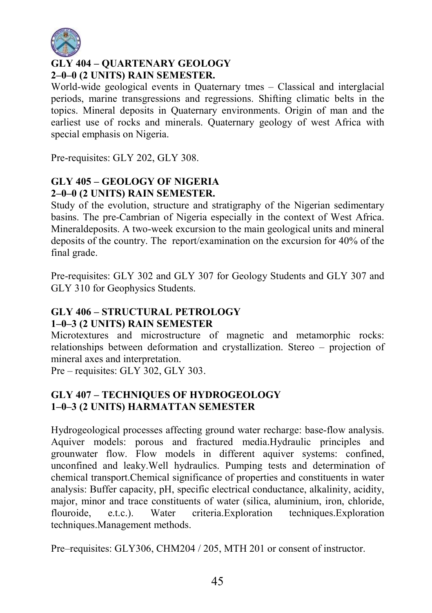

## GLY 404 – QUARTENARY GEOLOGY 2–0–0 (2 UNITS) RAIN SEMESTER.

World-wide geological events in Quaternary tmes – Classical and interglacial periods, marine transgressions and regressions. Shifting climatic belts in the topics. Mineral deposits in Quaternary environments. Origin of man and the earliest use of rocks and minerals. Quaternary geology of west Africa with special emphasis on Nigeria.

Pre-requisites: GLY 202, GLY 308.

## GLY 405 – GEOLOGY OF NIGERIA 2–0–0 (2 UNITS) RAIN SEMESTER.

Study of the evolution, structure and stratigraphy of the Nigerian sedimentary basins. The pre-Cambrian of Nigeria especially in the context of West Africa. Mineraldeposits. A two-week excursion to the main geological units and mineral deposits of the country. The report/examination on the excursion for 40% of the final grade.

Pre-requisites: GLY 302 and GLY 307 for Geology Students and GLY 307 and GLY 310 for Geophysics Students.

# GLY 406 – STRUCTURAL PETROLOGY

### 1–0–3 (2 UNITS) RAIN SEMESTER

Microtextures and microstructure of magnetic and metamorphic rocks: relationships between deformation and crystallization. Stereo – projection of mineral axes and interpretation.

Pre – requisites: GLY 302, GLY 303.

## GLY 407 – TECHNIQUES OF HYDROGEOLOGY 1–0–3 (2 UNITS) HARMATTAN SEMESTER

Hydrogeological processes affecting ground water recharge: base-flow analysis. Aquiver models: porous and fractured media.Hydraulic principles and grounwater flow. Flow models in different aquiver systems: confined, unconfined and leaky.Well hydraulics. Pumping tests and determination of chemical transport.Chemical significance of properties and constituents in water analysis: Buffer capacity, pH, specific electrical conductance, alkalinity, acidity, major, minor and trace constituents of water (silica, aluminium, iron, chloride, flouroide, e.t.c.). Water criteria.Exploration techniques.Exploration techniques.Management methods.

Pre–requisites: GLY306, CHM204 / 205, MTH 201 or consent of instructor.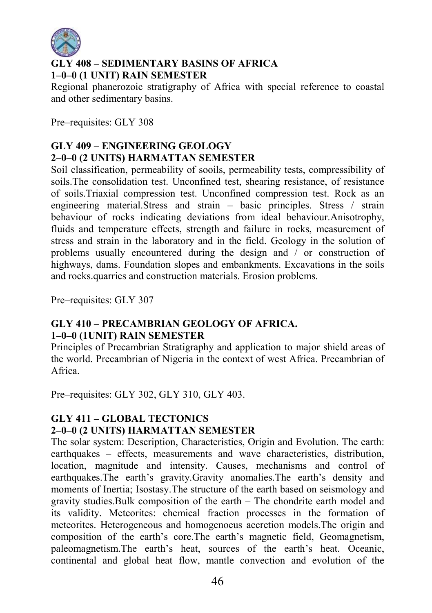

## GLY 408 – SEDIMENTARY BASINS OF AFRICA 1–0–0 (1 UNIT) RAIN SEMESTER

Regional phanerozoic stratigraphy of Africa with special reference to coastal and other sedimentary basins.

Pre–requisites: GLY 308

## GLY 409 – ENGINEERING GEOLOGY 2–0–0 (2 UNITS) HARMATTAN SEMESTER

Soil classification, permeability of sooils, permeability tests, compressibility of soils.The consolidation test. Unconfined test, shearing resistance, of resistance of soils.Triaxial compression test. Unconfined compression test. Rock as an engineering material.Stress and strain – basic principles. Stress / strain behaviour of rocks indicating deviations from ideal behaviour.Anisotrophy, fluids and temperature effects, strength and failure in rocks, measurement of stress and strain in the laboratory and in the field. Geology in the solution of problems usually encountered during the design and / or construction of highways, dams. Foundation slopes and embankments. Excavations in the soils and rocks.quarries and construction materials. Erosion problems.

Pre–requisites: GLY 307

#### GLY 410 – PRECAMBRIAN GEOLOGY OF AFRICA. 1–0–0 (1UNIT) RAIN SEMESTER

Principles of Precambrian Stratigraphy and application to major shield areas of the world. Precambrian of Nigeria in the context of west Africa. Precambrian of Africa.

Pre–requisites: GLY 302, GLY 310, GLY 403.

### GLY 411 – GLOBAL TECTONICS 2–0–0 (2 UNITS) HARMATTAN SEMESTER

The solar system: Description, Characteristics, Origin and Evolution. The earth: earthquakes – effects, measurements and wave characteristics, distribution, location, magnitude and intensity. Causes, mechanisms and control of earthquakes.The earth's gravity.Gravity anomalies.The earth's density and moments of Inertia; Isostasy.The structure of the earth based on seismology and gravity studies.Bulk composition of the earth – The chondrite earth model and its validity. Meteorites: chemical fraction processes in the formation of meteorites. Heterogeneous and homogenoeus accretion models.The origin and composition of the earth's core.The earth's magnetic field, Geomagnetism, paleomagnetism.The earth's heat, sources of the earth's heat. Oceanic, continental and global heat flow, mantle convection and evolution of the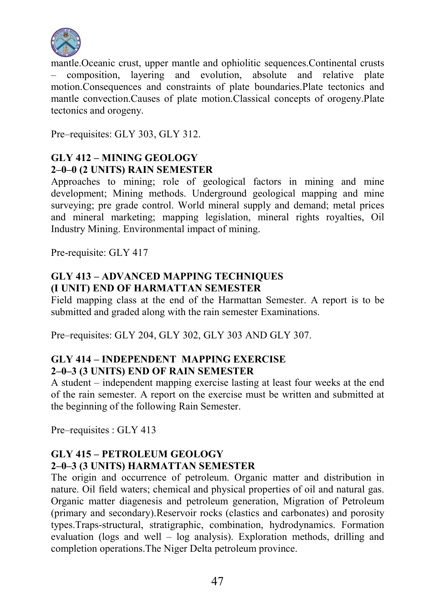

mantle.Oceanic crust, upper mantle and ophiolitic sequences.Continental crusts – composition, layering and evolution, absolute and relative plate motion.Consequences and constraints of plate boundaries.Plate tectonics and mantle convection.Causes of plate motion.Classical concepts of orogeny.Plate tectonics and orogeny.

Pre–requisites: GLY 303, GLY 312.

## GLY 412 – MINING GEOLOGY 2–0–0 (2 UNITS) RAIN SEMESTER

Approaches to mining; role of geological factors in mining and mine development; Mining methods. Underground geological mapping and mine surveying; pre grade control. World mineral supply and demand; metal prices and mineral marketing; mapping legislation, mineral rights royalties, Oil Industry Mining. Environmental impact of mining.

Pre-requisite: GLY 417

## GLY 413 – ADVANCED MAPPING TECHNIQUES (I UNIT) END OF HARMATTAN SEMESTER

Field mapping class at the end of the Harmattan Semester. A report is to be submitted and graded along with the rain semester Examinations.

Pre–requisites: GLY 204, GLY 302, GLY 303 AND GLY 307.

## GLY 414 – INDEPENDENT MAPPING EXERCISE 2–0–3 (3 UNITS) END OF RAIN SEMESTER

A student – independent mapping exercise lasting at least four weeks at the end of the rain semester. A report on the exercise must be written and submitted at the beginning of the following Rain Semester.

Pre–requisites : GLY 413

### GLY 415 – PETROLEUM GEOLOGY 2–0–3 (3 UNITS) HARMATTAN SEMESTER

The origin and occurrence of petroleum. Organic matter and distribution in nature. Oil field waters; chemical and physical properties of oil and natural gas. Organic matter diagenesis and petroleum generation, Migration of Petroleum (primary and secondary).Reservoir rocks (clastics and carbonates) and porosity types.Traps-structural, stratigraphic, combination, hydrodynamics. Formation evaluation (logs and well – log analysis). Exploration methods, drilling and completion operations.The Niger Delta petroleum province.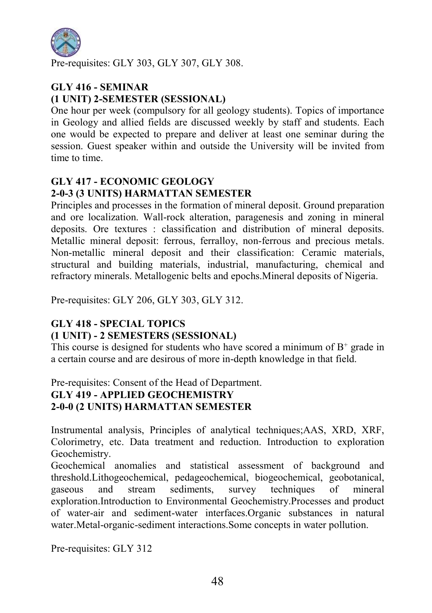

Pre-requisites: GLY 303, GLY 307, GLY 308.

## GLY 416 - SEMINAR (1 UNIT) 2-SEMESTER (SESSIONAL)

One hour per week (compulsory for all geology students). Topics of importance in Geology and allied fields are discussed weekly by staff and students. Each one would be expected to prepare and deliver at least one seminar during the session. Guest speaker within and outside the University will be invited from time to time.

## GLY 417 - ECONOMIC GEOLOGY 2-0-3 (3 UNITS) HARMATTAN SEMESTER

Principles and processes in the formation of mineral deposit. Ground preparation and ore localization. Wall-rock alteration, paragenesis and zoning in mineral deposits. Ore textures : classification and distribution of mineral deposits. Metallic mineral deposit: ferrous, ferralloy, non-ferrous and precious metals. Non-metallic mineral deposit and their classification: Ceramic materials, structural and building materials, industrial, manufacturing, chemical and refractory minerals. Metallogenic belts and epochs.Mineral deposits of Nigeria.

Pre-requisites: GLY 206, GLY 303, GLY 312.

#### GLY 418 - SPECIAL TOPICS (1 UNIT) - 2 SEMESTERS (SESSIONAL)

This course is designed for students who have scored a minimum of  $B^+$  grade in a certain course and are desirous of more in-depth knowledge in that field.

### Pre-requisites: Consent of the Head of Department. GLY 419 - APPLIED GEOCHEMISTRY 2-0-0 (2 UNITS) HARMATTAN SEMESTER

Instrumental analysis, Principles of analytical techniques;AAS, XRD, XRF, Colorimetry, etc. Data treatment and reduction. Introduction to exploration Geochemistry.

Geochemical anomalies and statistical assessment of background and threshold.Lithogeochemical, pedageochemical, biogeochemical, geobotanical, gaseous and stream sediments, survey techniques of mineral exploration.Introduction to Environmental Geochemistry.Processes and product of water-air and sediment-water interfaces.Organic substances in natural water. Metal-organic-sediment interactions. Some concepts in water pollution.

Pre-requisites: GLY 312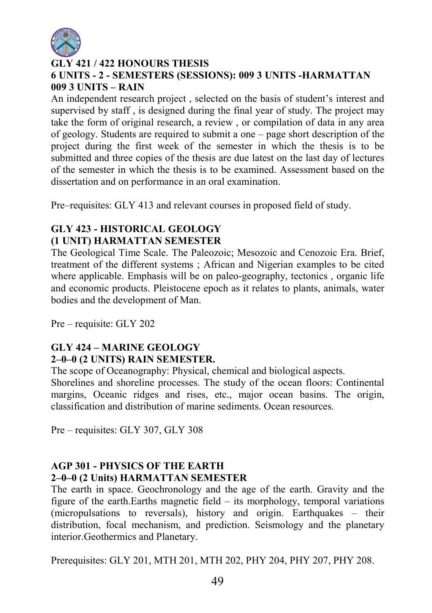

## GLY 421 / 422 HONOURS THESIS 6 UNITS - 2 - SEMESTERS (SESSIONS): 009 3 UNITS -HARMATTAN 009 3 UNITS – RAIN

An independent research project , selected on the basis of student's interest and supervised by staff , is designed during the final year of study. The project may take the form of original research, a review , or compilation of data in any area of geology. Students are required to submit a one – page short description of the project during the first week of the semester in which the thesis is to be submitted and three copies of the thesis are due latest on the last day of lectures of the semester in which the thesis is to be examined. Assessment based on the dissertation and on performance in an oral examination.

Pre–requisites: GLY 413 and relevant courses in proposed field of study.

#### GLY 423 - HISTORICAL GEOLOGY (1 UNIT) HARMATTAN SEMESTER

The Geological Time Scale. The Paleozoic; Mesozoic and Cenozoic Era. Brief, treatment of the different systems ; African and Nigerian examples to be cited where applicable. Emphasis will be on paleo-geography, tectonics , organic life and economic products. Pleistocene epoch as it relates to plants, animals, water bodies and the development of Man.

Pre – requisite: GLY 202

### GLY 424 – MARINE GEOLOGY 2–0–0 (2 UNITS) RAIN SEMESTER.

The scope of Oceanography: Physical, chemical and biological aspects.

Shorelines and shoreline processes. The study of the ocean floors: Continental margins, Oceanic ridges and rises, etc., major ocean basins. The origin, classification and distribution of marine sediments. Ocean resources.

Pre – requisites: GLY 307, GLY 308

#### AGP 301 - PHYSICS OF THE EARTH 2–0–0 (2 Units) HARMATTAN SEMESTER

The earth in space. Geochronology and the age of the earth. Gravity and the figure of the earth.Earths magnetic field – its morphology, temporal variations (micropulsations to reversals), history and origin. Earthquakes – their distribution, focal mechanism, and prediction. Seismology and the planetary interior.Geothermics and Planetary.

Prerequisites: GLY 201, MTH 201, MTH 202, PHY 204, PHY 207, PHY 208.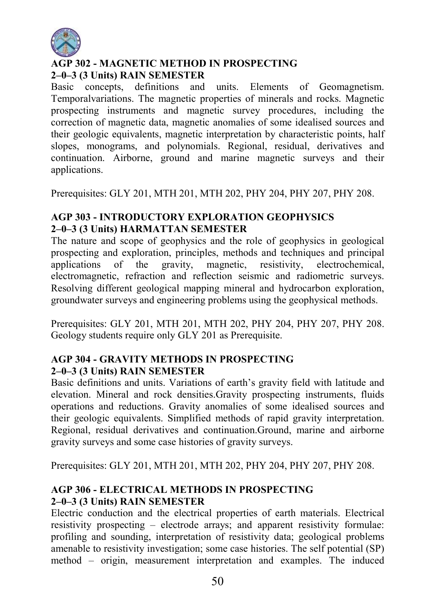

## AGP 302 - MAGNETIC METHOD IN PROSPECTING 2–0–3 (3 Units) RAIN SEMESTER

Basic concepts, definitions and units. Elements of Geomagnetism. Temporalvariations. The magnetic properties of minerals and rocks. Magnetic prospecting instruments and magnetic survey procedures, including the correction of magnetic data, magnetic anomalies of some idealised sources and their geologic equivalents, magnetic interpretation by characteristic points, half slopes, monograms, and polynomials. Regional, residual, derivatives and continuation. Airborne, ground and marine magnetic surveys and their applications.

Prerequisites: GLY 201, MTH 201, MTH 202, PHY 204, PHY 207, PHY 208.

### AGP 303 - INTRODUCTORY EXPLORATION GEOPHYSICS 2–0–3 (3 Units) HARMATTAN SEMESTER

The nature and scope of geophysics and the role of geophysics in geological prospecting and exploration, principles, methods and techniques and principal applications of the gravity, magnetic, resistivity, electrochemical, electromagnetic, refraction and reflection seismic and radiometric surveys. Resolving different geological mapping mineral and hydrocarbon exploration, groundwater surveys and engineering problems using the geophysical methods.

Prerequisites: GLY 201, MTH 201, MTH 202, PHY 204, PHY 207, PHY 208. Geology students require only GLY 201 as Prerequisite.

### AGP 304 - GRAVITY METHODS IN PROSPECTING 2–0–3 (3 Units) RAIN SEMESTER

Basic definitions and units. Variations of earth's gravity field with latitude and elevation. Mineral and rock densities.Gravity prospecting instruments, fluids operations and reductions. Gravity anomalies of some idealised sources and their geologic equivalents. Simplified methods of rapid gravity interpretation. Regional, residual derivatives and continuation.Ground, marine and airborne gravity surveys and some case histories of gravity surveys.

Prerequisites: GLY 201, MTH 201, MTH 202, PHY 204, PHY 207, PHY 208.

## AGP 306 - ELECTRICAL METHODS IN PROSPECTING 2–0–3 (3 Units) RAIN SEMESTER

Electric conduction and the electrical properties of earth materials. Electrical resistivity prospecting – electrode arrays; and apparent resistivity formulae: profiling and sounding, interpretation of resistivity data; geological problems amenable to resistivity investigation; some case histories. The self potential (SP) method – origin, measurement interpretation and examples. The induced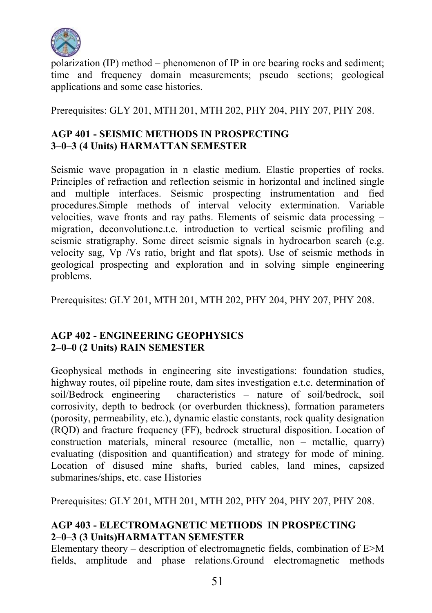

polarization (IP) method – phenomenon of IP in ore bearing rocks and sediment; time and frequency domain measurements; pseudo sections; geological applications and some case histories.

Prerequisites: GLY 201, MTH 201, MTH 202, PHY 204, PHY 207, PHY 208.

## AGP 401 - SEISMIC METHODS IN PROSPECTING 3–0–3 (4 Units) HARMATTAN SEMESTER

Seismic wave propagation in n elastic medium. Elastic properties of rocks. Principles of refraction and reflection seismic in horizontal and inclined single and multiple interfaces. Seismic prospecting instrumentation and fied procedures.Simple methods of interval velocity extermination. Variable velocities, wave fronts and ray paths. Elements of seismic data processing – migration, deconvolutione.t.c. introduction to vertical seismic profiling and seismic stratigraphy. Some direct seismic signals in hydrocarbon search (e.g. velocity sag, Vp /Vs ratio, bright and flat spots). Use of seismic methods in geological prospecting and exploration and in solving simple engineering problems.

Prerequisites: GLY 201, MTH 201, MTH 202, PHY 204, PHY 207, PHY 208.

### AGP 402 - ENGINEERING GEOPHYSICS 2–0–0 (2 Units) RAIN SEMESTER

Geophysical methods in engineering site investigations: foundation studies, highway routes, oil pipeline route, dam sites investigation e.t.c. determination of soil/Bedrock engineering characteristics – nature of soil/bedrock, soil corrosivity, depth to bedrock (or overburden thickness), formation parameters (porosity, permeability, etc.), dynamic elastic constants, rock quality designation (RQD) and fracture frequency (FF), bedrock structural disposition. Location of construction materials, mineral resource (metallic, non – metallic, quarry) evaluating (disposition and quantification) and strategy for mode of mining. Location of disused mine shafts, buried cables, land mines, capsized submarines/ships, etc. case Histories

Prerequisites: GLY 201, MTH 201, MTH 202, PHY 204, PHY 207, PHY 208.

## AGP 403 - ELECTROMAGNETIC METHODS IN PROSPECTING 2–0–3 (3 Units)HARMATTAN SEMESTER

Elementary theory – description of electromagnetic fields, combination of E>M fields, amplitude and phase relations.Ground electromagnetic methods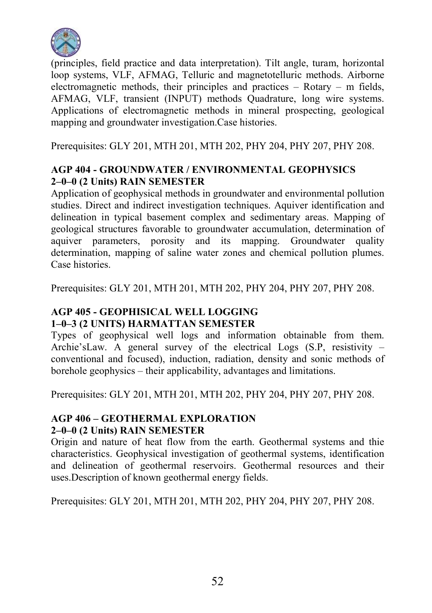

(principles, field practice and data interpretation). Tilt angle, turam, horizontal loop systems, VLF, AFMAG, Telluric and magnetotelluric methods. Airborne electromagnetic methods, their principles and practices – Rotary – m fields, AFMAG, VLF, transient (INPUT) methods Quadrature, long wire systems. Applications of electromagnetic methods in mineral prospecting, geological mapping and groundwater investigation.Case histories.

Prerequisites: GLY 201, MTH 201, MTH 202, PHY 204, PHY 207, PHY 208.

## AGP 404 - GROUNDWATER / ENVIRONMENTAL GEOPHYSICS 2–0–0 (2 Units) RAIN SEMESTER

Application of geophysical methods in groundwater and environmental pollution studies. Direct and indirect investigation techniques. Aquiver identification and delineation in typical basement complex and sedimentary areas. Mapping of geological structures favorable to groundwater accumulation, determination of aquiver parameters, porosity and its mapping. Groundwater quality determination, mapping of saline water zones and chemical pollution plumes. Case histories.

Prerequisites: GLY 201, MTH 201, MTH 202, PHY 204, PHY 207, PHY 208.

## AGP 405 - GEOPHISICAL WELL LOGGING 1–0–3 (2 UNITS) HARMATTAN SEMESTER

Types of geophysical well logs and information obtainable from them. Archie'sLaw. A general survey of the electrical Logs (S.P, resistivity – conventional and focused), induction, radiation, density and sonic methods of borehole geophysics – their applicability, advantages and limitations.

Prerequisites: GLY 201, MTH 201, MTH 202, PHY 204, PHY 207, PHY 208.

## AGP 406 – GEOTHERMAL EXPLORATION 2–0–0 (2 Units) RAIN SEMESTER

Origin and nature of heat flow from the earth. Geothermal systems and thie characteristics. Geophysical investigation of geothermal systems, identification and delineation of geothermal reservoirs. Geothermal resources and their uses.Description of known geothermal energy fields.

Prerequisites: GLY 201, MTH 201, MTH 202, PHY 204, PHY 207, PHY 208.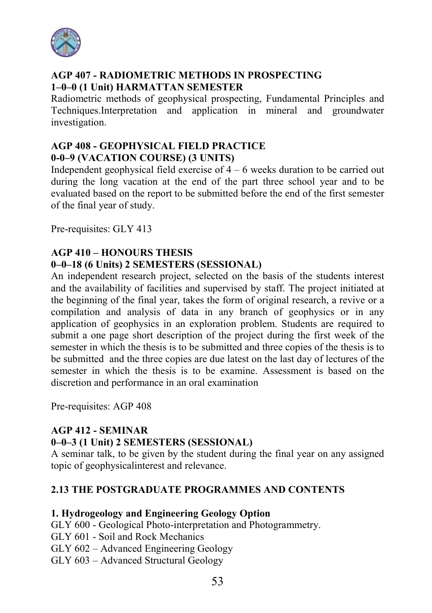

#### AGP 407 - RADIOMETRIC METHODS IN PROSPECTING 1–0–0 (1 Unit) HARMATTAN SEMESTER

Radiometric methods of geophysical prospecting, Fundamental Principles and Techniques.Interpretation and application in mineral and groundwater investigation.

## AGP 408 - GEOPHYSICAL FIELD PRACTICE 0-0–9 (VACATION COURSE) (3 UNITS)

Independent geophysical field exercise of  $4 - 6$  weeks duration to be carried out during the long vacation at the end of the part three school year and to be evaluated based on the report to be submitted before the end of the first semester of the final year of study.

Pre-requisites: GLY 413

#### AGP 410 – HONOURS THESIS 0–0–18 (6 Units) 2 SEMESTERS (SESSIONAL)

An independent research project, selected on the basis of the students interest and the availability of facilities and supervised by staff. The project initiated at the beginning of the final year, takes the form of original research, a revive or a compilation and analysis of data in any branch of geophysics or in any application of geophysics in an exploration problem. Students are required to submit a one page short description of the project during the first week of the semester in which the thesis is to be submitted and three copies of the thesis is to be submitted and the three copies are due latest on the last day of lectures of the semester in which the thesis is to be examine. Assessment is based on the discretion and performance in an oral examination

Pre-requisites: AGP 408

### AGP 412 - SEMINAR

### 0–0–3 (1 Unit) 2 SEMESTERS (SESSIONAL)

A seminar talk, to be given by the student during the final year on any assigned topic of geophysicalinterest and relevance.

### 2.13 THE POSTGRADUATE PROGRAMMES AND CONTENTS

#### 1. Hydrogeology and Engineering Geology Option

GLY 600 - Geological Photo-interpretation and Photogrammetry.

- GLY 601 Soil and Rock Mechanics
- GLY 602 Advanced Engineering Geology
- GLY 603 Advanced Structural Geology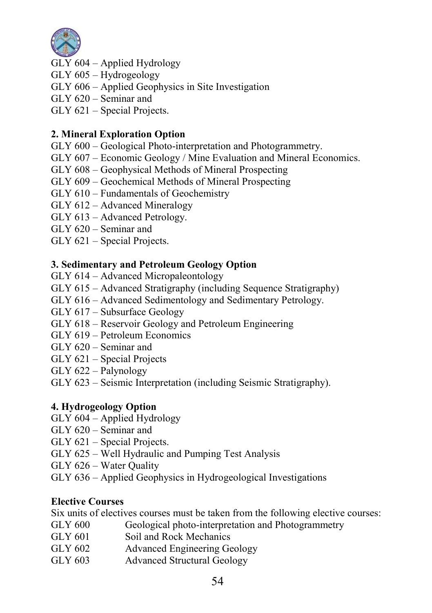

- GLY 604 Applied Hydrology
- GLY 605 Hydrogeology
- GLY 606 Applied Geophysics in Site Investigation
- GLY 620 Seminar and
- GLY 621 Special Projects.

## 2. Mineral Exploration Option

- GLY 600 Geological Photo-interpretation and Photogrammetry.
- GLY 607 Economic Geology / Mine Evaluation and Mineral Economics.
- GLY 608 Geophysical Methods of Mineral Prospecting
- GLY 609 Geochemical Methods of Mineral Prospecting
- GLY 610 Fundamentals of Geochemistry
- GLY 612 Advanced Mineralogy
- GLY 613 Advanced Petrology.
- GLY 620 Seminar and
- GLY 621 Special Projects.

### 3. Sedimentary and Petroleum Geology Option

- GLY 614 Advanced Micropaleontology
- GLY 615 Advanced Stratigraphy (including Sequence Stratigraphy)
- GLY 616 Advanced Sedimentology and Sedimentary Petrology.
- GLY 617 Subsurface Geology
- GLY 618 Reservoir Geology and Petroleum Engineering
- GLY 619 Petroleum Economics
- GLY 620 Seminar and
- GLY 621 Special Projects
- GLY 622 Palynology
- GLY 623 Seismic Interpretation (including Seismic Stratigraphy).

## 4. Hydrogeology Option

- GLY 604 Applied Hydrology
- GLY 620 Seminar and
- GLY 621 Special Projects.
- GLY 625 Well Hydraulic and Pumping Test Analysis
- GLY 626 Water Quality
- GLY 636 Applied Geophysics in Hydrogeological Investigations

### Elective Courses

Six units of electives courses must be taken from the following elective courses:

- GLY 600 Geological photo-interpretation and Photogrammetry
- GLY 601 Soil and Rock Mechanics
- GLY 602 Advanced Engineering Geology
- GLY 603 Advanced Structural Geology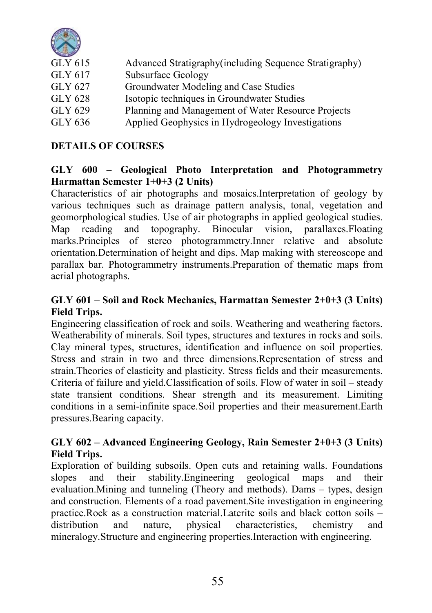

| GLY 615 | Advanced Stratigraphy (including Sequence Stratigraphy) |
|---------|---------------------------------------------------------|
| GLY 617 | Subsurface Geology                                      |
| GLY 627 | Groundwater Modeling and Case Studies                   |
| GLY 628 | Isotopic techniques in Groundwater Studies              |
| GLY 629 | Planning and Management of Water Resource Projects      |
| GLY 636 | Applied Geophysics in Hydrogeology Investigations       |

## DETAILS OF COURSES

#### GLY 600 – Geological Photo Interpretation and Photogrammetry Harmattan Semester 1+0+3 (2 Units)

Characteristics of air photographs and mosaics.Interpretation of geology by various techniques such as drainage pattern analysis, tonal, vegetation and geomorphological studies. Use of air photographs in applied geological studies. Map reading and topography. Binocular vision, parallaxes.Floating marks.Principles of stereo photogrammetry.Inner relative and absolute orientation.Determination of height and dips. Map making with stereoscope and parallax bar. Photogrammetry instruments.Preparation of thematic maps from aerial photographs.

## GLY 601 – Soil and Rock Mechanics, Harmattan Semester 2+0+3 (3 Units) Field Trips.

Engineering classification of rock and soils. Weathering and weathering factors. Weatherability of minerals. Soil types, structures and textures in rocks and soils. Clay mineral types, structures, identification and influence on soil properties. Stress and strain in two and three dimensions.Representation of stress and strain.Theories of elasticity and plasticity. Stress fields and their measurements. Criteria of failure and yield.Classification of soils. Flow of water in soil – steady state transient conditions. Shear strength and its measurement. Limiting conditions in a semi-infinite space.Soil properties and their measurement.Earth pressures.Bearing capacity.

### GLY 602 – Advanced Engineering Geology, Rain Semester 2+0+3 (3 Units) Field Trips.

Exploration of building subsoils. Open cuts and retaining walls. Foundations slopes and their stability.Engineering geological maps and their evaluation.Mining and tunneling (Theory and methods). Dams – types, design and construction. Elements of a road pavement.Site investigation in engineering practice.Rock as a construction material.Laterite soils and black cotton soils – distribution and nature, physical characteristics, chemistry and mineralogy.Structure and engineering properties.Interaction with engineering.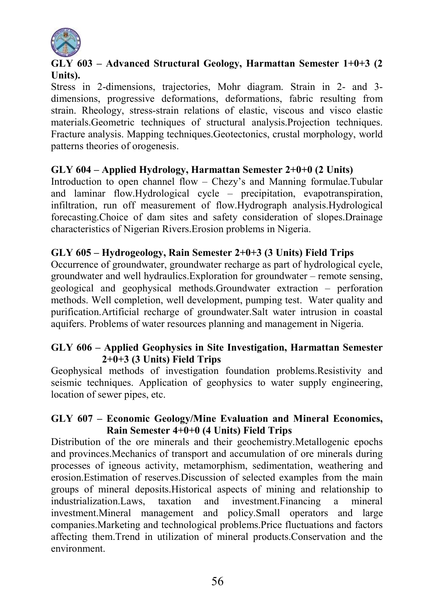

## GLY 603 – Advanced Structural Geology, Harmattan Semester 1+0+3 (2 Units).

Stress in 2-dimensions, trajectories, Mohr diagram. Strain in 2- and 3 dimensions, progressive deformations, deformations, fabric resulting from strain. Rheology, stress-strain relations of elastic, viscous and visco elastic materials.Geometric techniques of structural analysis.Projection techniques. Fracture analysis. Mapping techniques.Geotectonics, crustal morphology, world patterns theories of orogenesis.

#### GLY 604 – Applied Hydrology, Harmattan Semester 2+0+0 (2 Units)

Introduction to open channel flow – Chezy's and Manning formulae.Tubular and laminar flow.Hydrological cycle – precipitation, evapotranspiration, infiltration, run off measurement of flow.Hydrograph analysis.Hydrological forecasting.Choice of dam sites and safety consideration of slopes.Drainage characteristics of Nigerian Rivers.Erosion problems in Nigeria.

#### GLY 605 – Hydrogeology, Rain Semester 2+0+3 (3 Units) Field Trips

Occurrence of groundwater, groundwater recharge as part of hydrological cycle, groundwater and well hydraulics.Exploration for groundwater – remote sensing, geological and geophysical methods.Groundwater extraction – perforation methods. Well completion, well development, pumping test. Water quality and purification.Artificial recharge of groundwater.Salt water intrusion in coastal aquifers. Problems of water resources planning and management in Nigeria.

### GLY 606 – Applied Geophysics in Site Investigation, Harmattan Semester 2+0+3 (3 Units) Field Trips

Geophysical methods of investigation foundation problems.Resistivity and seismic techniques. Application of geophysics to water supply engineering, location of sewer pipes, etc.

#### GLY 607 – Economic Geology/Mine Evaluation and Mineral Economics, Rain Semester 4+0+0 (4 Units) Field Trips

Distribution of the ore minerals and their geochemistry.Metallogenic epochs and provinces.Mechanics of transport and accumulation of ore minerals during processes of igneous activity, metamorphism, sedimentation, weathering and erosion.Estimation of reserves.Discussion of selected examples from the main groups of mineral deposits.Historical aspects of mining and relationship to industrialization.Laws, taxation and investment.Financing a mineral investment.Mineral management and policy.Small operators and large companies.Marketing and technological problems.Price fluctuations and factors affecting them.Trend in utilization of mineral products.Conservation and the environment.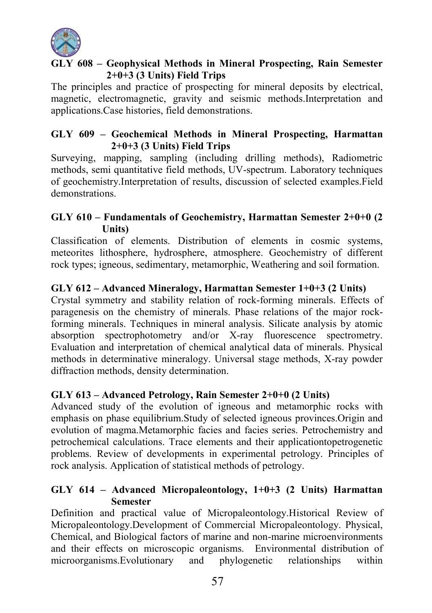

## GLY 608 – Geophysical Methods in Mineral Prospecting, Rain Semester 2+0+3 (3 Units) Field Trips

The principles and practice of prospecting for mineral deposits by electrical, magnetic, electromagnetic, gravity and seismic methods.Interpretation and applications.Case histories, field demonstrations.

## GLY 609 – Geochemical Methods in Mineral Prospecting, Harmattan 2+0+3 (3 Units) Field Trips

Surveying, mapping, sampling (including drilling methods), Radiometric methods, semi quantitative field methods, UV-spectrum. Laboratory techniques of geochemistry.Interpretation of results, discussion of selected examples.Field demonstrations.

## GLY 610 – Fundamentals of Geochemistry, Harmattan Semester 2+0+0 (2 Units)

Classification of elements. Distribution of elements in cosmic systems, meteorites lithosphere, hydrosphere, atmosphere. Geochemistry of different rock types; igneous, sedimentary, metamorphic, Weathering and soil formation.

## GLY 612 – Advanced Mineralogy, Harmattan Semester 1+0+3 (2 Units)

Crystal symmetry and stability relation of rock-forming minerals. Effects of paragenesis on the chemistry of minerals. Phase relations of the major rockforming minerals. Techniques in mineral analysis. Silicate analysis by atomic absorption spectrophotometry and/or X-ray fluorescence spectrometry. Evaluation and interpretation of chemical analytical data of minerals. Physical methods in determinative mineralogy. Universal stage methods, X-ray powder diffraction methods, density determination.

### GLY 613 – Advanced Petrology, Rain Semester 2+0+0 (2 Units)

Advanced study of the evolution of igneous and metamorphic rocks with emphasis on phase equilibrium.Study of selected igneous provinces.Origin and evolution of magma.Metamorphic facies and facies series. Petrochemistry and petrochemical calculations. Trace elements and their applicationtopetrogenetic problems. Review of developments in experimental petrology. Principles of rock analysis. Application of statistical methods of petrology.

## GLY 614 – Advanced Micropaleontology, 1+0+3 (2 Units) Harmattan Semester

Definition and practical value of Micropaleontology.Historical Review of Micropaleontology.Development of Commercial Micropaleontology. Physical, Chemical, and Biological factors of marine and non-marine microenvironments and their effects on microscopic organisms. Environmental distribution of microorganisms.Evolutionary and phylogenetic relationships within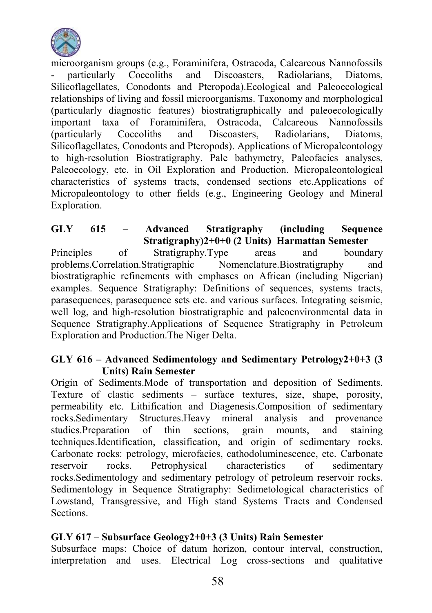

microorganism groups (e.g., Foraminifera, Ostracoda, Calcareous Nannofossils<br>
- particularly Coccoliths and Discoasters Radiolarians Diatoms narticularly Coccoliths and Discoasters, Radiolarians, Diatoms, Silicoflagellates, Conodonts and Pteropoda).Ecological and Paleoecological relationships of living and fossil microorganisms. Taxonomy and morphological (particularly diagnostic features) biostratigraphically and paleoecologically Ostracoda, Calcareous Nannofossils (particularly Coccoliths and Discoasters, Radiolarians, Diatoms, Silicoflagellates, Conodonts and Pteropods). Applications of Micropaleontology to high-resolution Biostratigraphy. Pale bathymetry, Paleofacies analyses, Paleoecology, etc. in Oil Exploration and Production. Micropaleontological characteristics of systems tracts, condensed sections etc.Applications of Micropaleontology to other fields (e.g., Engineering Geology and Mineral Exploration.

GLY 615 – Advanced Stratigraphy (including Sequence Stratigraphy)2+0+0 (2 Units) Harmattan Semester Principles of Stratigraphy.Type areas and boundary problems.Correlation.Stratigraphic Nomenclature.Biostratigraphy and biostratigraphic refinements with emphases on African (including Nigerian) examples. Sequence Stratigraphy: Definitions of sequences, systems tracts, parasequences, parasequence sets etc. and various surfaces. Integrating seismic, well log, and high-resolution biostratigraphic and paleoenvironmental data in Sequence Stratigraphy.Applications of Sequence Stratigraphy in Petroleum Exploration and Production.The Niger Delta.

#### GLY 616 – Advanced Sedimentology and Sedimentary Petrology $2+0+3$  (3) Units) Rain Semester

Origin of Sediments.Mode of transportation and deposition of Sediments. Texture of clastic sediments – surface textures, size, shape, porosity, permeability etc. Lithification and Diagenesis.Composition of sedimentary Structures.Heavy mineral analysis and provenance studies.Preparation of thin sections, grain mounts, and staining techniques.Identification, classification, and origin of sedimentary rocks. Carbonate rocks: petrology, microfacies, cathodoluminescence, etc. Carbonate reservoir rocks. Petrophysical characteristics of sedimentary rocks.Sedimentology and sedimentary petrology of petroleum reservoir rocks. Sedimentology in Sequence Stratigraphy: Sedimetological characteristics of Lowstand, Transgressive, and High stand Systems Tracts and Condensed Sections.

### GLY 617 – Subsurface Geology2+0+3 (3 Units) Rain Semester

Subsurface maps: Choice of datum horizon, contour interval, construction, interpretation and uses. Electrical Log cross-sections and qualitative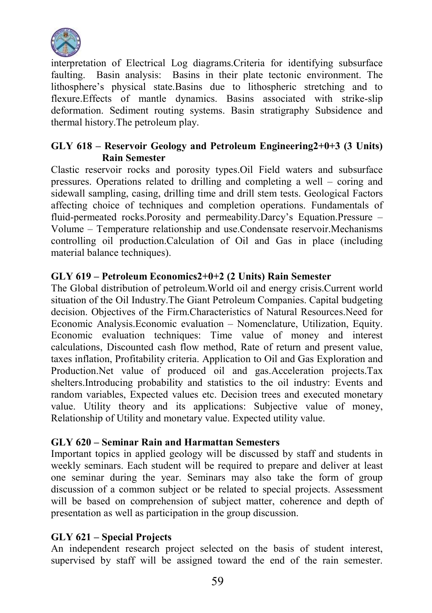

interpretation of Electrical Log diagrams.Criteria for identifying subsurface faulting. Basin analysis: Basins in their plate tectonic environment. The lithosphere's physical state.Basins due to lithospheric stretching and to flexure.Effects of mantle dynamics. Basins associated with strike-slip deformation. Sediment routing systems. Basin stratigraphy Subsidence and thermal history.The petroleum play.

### GLY 618 – Reservoir Geology and Petroleum Engineering2+0+3 (3 Units) Rain Semester

Clastic reservoir rocks and porosity types.Oil Field waters and subsurface pressures. Operations related to drilling and completing a well – coring and sidewall sampling, casing, drilling time and drill stem tests. Geological Factors affecting choice of techniques and completion operations. Fundamentals of fluid-permeated rocks.Porosity and permeability.Darcy's Equation.Pressure – Volume – Temperature relationship and use.Condensate reservoir.Mechanisms controlling oil production.Calculation of Oil and Gas in place (including material balance techniques).

#### GLY 619 – Petroleum Economics2+0+2 (2 Units) Rain Semester

The Global distribution of petroleum.World oil and energy crisis.Current world situation of the Oil Industry.The Giant Petroleum Companies. Capital budgeting decision. Objectives of the Firm.Characteristics of Natural Resources.Need for Economic Analysis.Economic evaluation – Nomenclature, Utilization, Equity. Economic evaluation techniques: Time value of money and interest calculations, Discounted cash flow method, Rate of return and present value, taxes inflation, Profitability criteria. Application to Oil and Gas Exploration and Production.Net value of produced oil and gas.Acceleration projects.Tax shelters.Introducing probability and statistics to the oil industry: Events and random variables, Expected values etc. Decision trees and executed monetary value. Utility theory and its applications: Subjective value of money, Relationship of Utility and monetary value. Expected utility value.

#### GLY 620 – Seminar Rain and Harmattan Semesters

Important topics in applied geology will be discussed by staff and students in weekly seminars. Each student will be required to prepare and deliver at least one seminar during the year. Seminars may also take the form of group discussion of a common subject or be related to special projects. Assessment will be based on comprehension of subject matter, coherence and depth of presentation as well as participation in the group discussion.

### GLY 621 – Special Projects

An independent research project selected on the basis of student interest, supervised by staff will be assigned toward the end of the rain semester.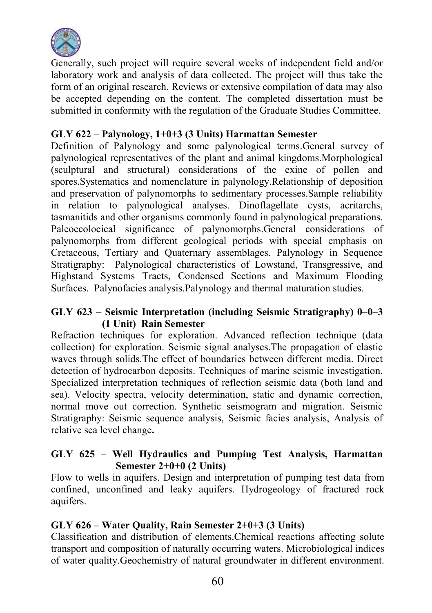

Generally, such project will require several weeks of independent field and/or laboratory work and analysis of data collected. The project will thus take the form of an original research. Reviews or extensive compilation of data may also be accepted depending on the content. The completed dissertation must be submitted in conformity with the regulation of the Graduate Studies Committee.

### GLY 622 – Palynology, 1+0+3 (3 Units) Harmattan Semester

Definition of Palynology and some palynological terms.General survey of palynological representatives of the plant and animal kingdoms.Morphological (sculptural and structural) considerations of the exine of pollen and spores.Systematics and nomenclature in palynology.Relationship of deposition and preservation of palynomorphs to sedimentary processes.Sample reliability in relation to palynological analyses. Dinoflagellate cysts, acritarchs, tasmanitids and other organisms commonly found in palynological preparations. Paleoecolocical significance of palynomorphs.General considerations of palynomorphs from different geological periods with special emphasis on Cretaceous, Tertiary and Quaternary assemblages. Palynology in Sequence Stratigraphy: Palynological characteristics of Lowstand, Transgressive, and Highstand Systems Tracts, Condensed Sections and Maximum Flooding Surfaces. Palynofacies analysis.Palynology and thermal maturation studies.

### $GLY$  623 – Seismic Interpretation (including Seismic Stratigraphy) 0–0–3 (1 Unit) Rain Semester

Refraction techniques for exploration. Advanced reflection technique (data collection) for exploration. Seismic signal analyses.The propagation of elastic waves through solids.The effect of boundaries between different media. Direct detection of hydrocarbon deposits. Techniques of marine seismic investigation. Specialized interpretation techniques of reflection seismic data (both land and sea). Velocity spectra, velocity determination, static and dynamic correction, normal move out correction. Synthetic seismogram and migration. Seismic Stratigraphy: Seismic sequence analysis, Seismic facies analysis, Analysis of relative sea level change.

### GLY 625 – Well Hydraulics and Pumping Test Analysis, Harmattan Semester 2+0+0 (2 Units)

Flow to wells in aquifers. Design and interpretation of pumping test data from confined, unconfined and leaky aquifers. Hydrogeology of fractured rock aquifers.

### GLY 626 – Water Quality, Rain Semester 2+0+3 (3 Units)

Classification and distribution of elements.Chemical reactions affecting solute transport and composition of naturally occurring waters. Microbiological indices of water quality.Geochemistry of natural groundwater in different environment.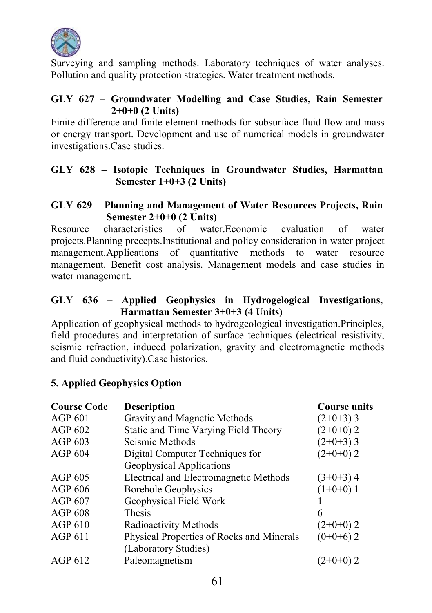

Surveying and sampling methods. Laboratory techniques of water analyses. Pollution and quality protection strategies. Water treatment methods.

#### GLY 627 – Groundwater Modelling and Case Studies, Rain Semester  $2+0+0$  (2 Units)

Finite difference and finite element methods for subsurface fluid flow and mass or energy transport. Development and use of numerical models in groundwater investigations.Case studies.

## GLY 628 – Isotopic Techniques in Groundwater Studies, Harmattan Semester 1+0+3 (2 Units)

#### GLY 629 – Planning and Management of Water Resources Projects, Rain Semester 2+0+0 (2 Units)

Resource characteristics of water. Economic evaluation of water projects.Planning precepts.Institutional and policy consideration in water project management.Applications of quantitative methods to water resource management. Benefit cost analysis. Management models and case studies in water management.

## GLY 636 – Applied Geophysics in Hydrogelogical Investigations, Harmattan Semester 3+0+3 (4 Units)

Application of geophysical methods to hydrogeological investigation.Principles, field procedures and interpretation of surface techniques (electrical resistivity, seismic refraction, induced polarization, gravity and electromagnetic methods and fluid conductivity).Case histories.

### 5. Applied Geophysics Option

| <b>Course Code</b> | <b>Description</b>                        | <b>Course units</b> |
|--------------------|-------------------------------------------|---------------------|
| <b>AGP 601</b>     | Gravity and Magnetic Methods              | $(2+0+3)$ 3         |
| AGP 602            | Static and Time Varying Field Theory      | $(2+0+0)$ 2         |
| <b>AGP 603</b>     | Seismic Methods                           | $(2+0+3)$ 3         |
| AGP <sub>604</sub> | Digital Computer Techniques for           | $(2+0+0)$ 2         |
|                    | Geophysical Applications                  |                     |
| AGP 605            | Electrical and Electromagnetic Methods    | $(3+0+3)$ 4         |
| $AGP$ 606          | <b>Borehole Geophysics</b>                | $(1+0+0)$ 1         |
| AGP 607            | Geophysical Field Work                    |                     |
| <b>AGP 608</b>     | <b>Thesis</b>                             | 6                   |
| $AGP_0$ 610        | Radioactivity Methods                     | $(2+0+0)$ 2         |
| <b>AGP 611</b>     | Physical Properties of Rocks and Minerals | $(0+0+6)$ 2         |
|                    | (Laboratory Studies)                      |                     |
| AGP 612            | Paleomagnetism                            | (2+0+0) 2           |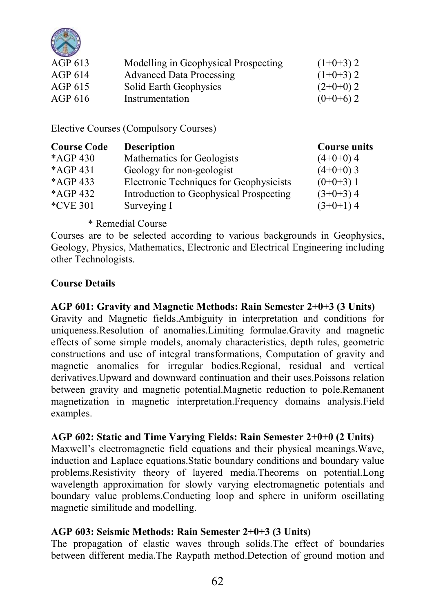

| AGP 613 | Modelling in Geophysical Prospecting | $(1+0+3)$ 2 |
|---------|--------------------------------------|-------------|
| AGP 614 | Advanced Data Processing             | $(1+0+3)$ 2 |
| AGP 615 | Solid Earth Geophysics               | $(2+0+0)$ 2 |
| AGP 616 | Instrumentation                      | $(0+0+6)$ 2 |

Elective Courses (Compulsory Courses)

| <b>Course Code</b> | <b>Description</b>                      | <b>Course units</b> |
|--------------------|-----------------------------------------|---------------------|
| *AGP 430           | Mathematics for Geologists              | $(4+0+0)$ 4         |
| *AGP 431           | Geology for non-geologist               | $(4+0+0)$ 3         |
| $*AGP 433$         | Electronic Techniques for Geophysicists | $(0+0+3)$ 1         |
| *AGP 432           | Introduction to Geophysical Prospecting | $(3+0+3)$ 4         |
| *CVE 301           | Surveying I                             | $(3+0+1)$ 4         |

## \* Remedial Course

Courses are to be selected according to various backgrounds in Geophysics, Geology, Physics, Mathematics, Electronic and Electrical Engineering including other Technologists.

### Course Details

### AGP 601: Gravity and Magnetic Methods: Rain Semester 2+0+3 (3 Units)

Gravity and Magnetic fields.Ambiguity in interpretation and conditions for uniqueness.Resolution of anomalies.Limiting formulae.Gravity and magnetic effects of some simple models, anomaly characteristics, depth rules, geometric constructions and use of integral transformations, Computation of gravity and magnetic anomalies for irregular bodies.Regional, residual and vertical derivatives.Upward and downward continuation and their uses.Poissons relation between gravity and magnetic potential.Magnetic reduction to pole.Remanent magnetization in magnetic interpretation.Frequency domains analysis.Field examples.

### AGP 602: Static and Time Varying Fields: Rain Semester 2+0+0 (2 Units)

Maxwell's electromagnetic field equations and their physical meanings.Wave, induction and Laplace equations.Static boundary conditions and boundary value problems.Resistivity theory of layered media.Theorems on potential.Long wavelength approximation for slowly varying electromagnetic potentials and boundary value problems.Conducting loop and sphere in uniform oscillating magnetic similitude and modelling.

### AGP 603: Seismic Methods: Rain Semester 2+0+3 (3 Units)

The propagation of elastic waves through solids.The effect of boundaries between different media.The Raypath method.Detection of ground motion and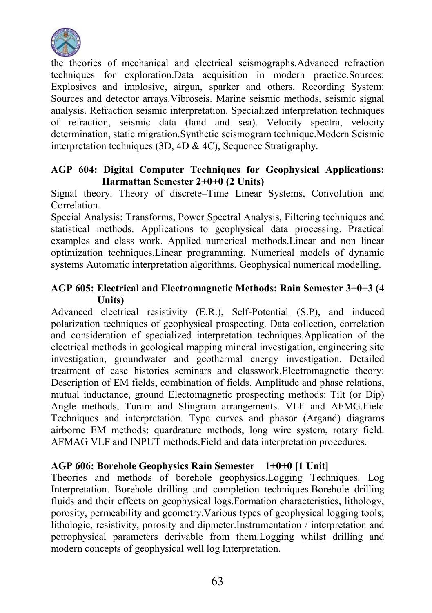

the theories of mechanical and electrical seismographs.Advanced refraction techniques for exploration.Data acquisition in modern practice.Sources: Explosives and implosive, airgun, sparker and others. Recording System: Sources and detector arrays.Vibroseis. Marine seismic methods, seismic signal analysis. Refraction seismic interpretation. Specialized interpretation techniques of refraction, seismic data (land and sea). Velocity spectra, velocity determination, static migration.Synthetic seismogram technique.Modern Seismic interpretation techniques (3D, 4D & 4C). Sequence Stratigraphy.

#### AGP 604: Digital Computer Techniques for Geophysical Applications: Harmattan Semester 2+0+0 (2 Units)

Signal theory. Theory of discrete–Time Linear Systems, Convolution and Correlation.

Special Analysis: Transforms, Power Spectral Analysis, Filtering techniques and statistical methods. Applications to geophysical data processing. Practical examples and class work. Applied numerical methods.Linear and non linear optimization techniques.Linear programming. Numerical models of dynamic systems Automatic interpretation algorithms. Geophysical numerical modelling.

#### AGP 605: Electrical and Electromagnetic Methods: Rain Semester 3+0+3 (4 Units)

Advanced electrical resistivity (E.R.), Self-Potential (S.P), and induced polarization techniques of geophysical prospecting. Data collection, correlation and consideration of specialized interpretation techniques.Application of the electrical methods in geological mapping mineral investigation, engineering site investigation, groundwater and geothermal energy investigation. Detailed treatment of case histories seminars and classwork.Electromagnetic theory: Description of EM fields, combination of fields. Amplitude and phase relations, mutual inductance, ground Electomagnetic prospecting methods: Tilt (or Dip) Angle methods, Turam and Slingram arrangements. VLF and AFMG.Field Techniques and interpretation. Type curves and phasor (Argand) diagrams airborne EM methods: quardrature methods, long wire system, rotary field. AFMAG VLF and INPUT methods.Field and data interpretation procedures.

### AGP 606: Borehole Geophysics Rain Semester 1+0+0 [1 Unit]

Theories and methods of borehole geophysics.Logging Techniques. Log Interpretation. Borehole drilling and completion techniques.Borehole drilling fluids and their effects on geophysical logs.Formation characteristics, lithology, porosity, permeability and geometry.Various types of geophysical logging tools; lithologic, resistivity, porosity and dipmeter.Instrumentation / interpretation and petrophysical parameters derivable from them.Logging whilst drilling and modern concepts of geophysical well log Interpretation.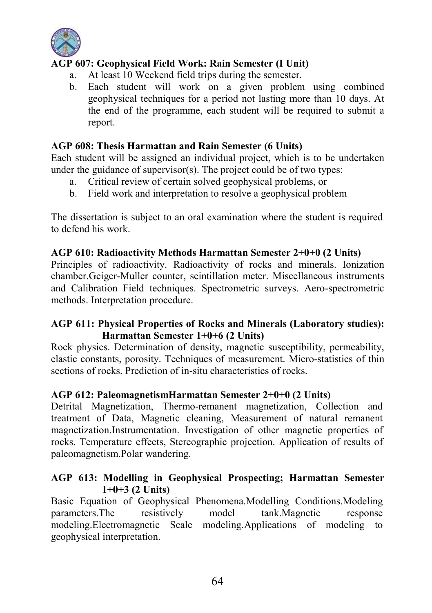

## AGP 607: Geophysical Field Work: Rain Semester (I Unit)

- a. At least 10 Weekend field trips during the semester.
- b. Each student will work on a given problem using combined geophysical techniques for a period not lasting more than 10 days. At the end of the programme, each student will be required to submit a report.

#### AGP 608: Thesis Harmattan and Rain Semester (6 Units)

Each student will be assigned an individual project, which is to be undertaken under the guidance of supervisor $(s)$ . The project could be of two types:

- a. Critical review of certain solved geophysical problems, or
- b. Field work and interpretation to resolve a geophysical problem

The dissertation is subject to an oral examination where the student is required to defend his work.

#### AGP 610: Radioactivity Methods Harmattan Semester 2+0+0 (2 Units)

Principles of radioactivity. Radioactivity of rocks and minerals. Ionization chamber.Geiger-Muller counter, scintillation meter. Miscellaneous instruments and Calibration Field techniques. Spectrometric surveys. Aero-spectrometric methods. Interpretation procedure.

#### AGP 611: Physical Properties of Rocks and Minerals (Laboratory studies): Harmattan Semester 1+0+6 (2 Units)

Rock physics. Determination of density, magnetic susceptibility, permeability, elastic constants, porosity. Techniques of measurement. Micro-statistics of thin sections of rocks. Prediction of in-situ characteristics of rocks.

#### AGP 612: PaleomagnetismHarmattan Semester 2+0+0 (2 Units)

Detrital Magnetization, Thermo-remanent magnetization, Collection and treatment of Data, Magnetic cleaning, Measurement of natural remanent magnetization.Instrumentation. Investigation of other magnetic properties of rocks. Temperature effects, Stereographic projection. Application of results of paleomagnetism.Polar wandering.

#### AGP 613: Modelling in Geophysical Prospecting; Harmattan Semester  $1+0+3$  (2 Units)

Basic Equation of Geophysical Phenomena.Modelling Conditions.Modeling parameters.The resistively model tank.Magnetic response modeling.Electromagnetic Scale modeling.Applications of modeling to geophysical interpretation.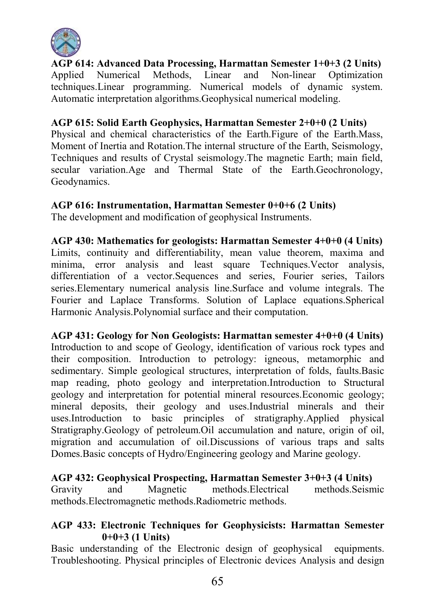

AGP 614: Advanced Data Processing, Harmattan Semester 1+0+3 (2 Units)<br>Applied Numerical Methods Linear and Non-linear Optimization Applied Numerical Methods Linear techniques.Linear programming. Numerical models of dynamic system. Automatic interpretation algorithms.Geophysical numerical modeling.

AGP 615: Solid Earth Geophysics, Harmattan Semester 2+0+0 (2 Units) Physical and chemical characteristics of the Earth.Figure of the Earth.Mass, Moment of Inertia and Rotation.The internal structure of the Earth, Seismology, Techniques and results of Crystal seismology.The magnetic Earth; main field, secular variation.Age and Thermal State of the Earth.Geochronology, Geodynamics.

#### AGP 616: Instrumentation, Harmattan Semester 0+0+6 (2 Units)

The development and modification of geophysical Instruments.

AGP 430: Mathematics for geologists: Harmattan Semester 4+0+0 (4 Units) Limits, continuity and differentiability, mean value theorem, maxima and minima, error analysis and least square Techniques.Vector analysis, differentiation of a vector.Sequences and series, Fourier series, Tailors series.Elementary numerical analysis line.Surface and volume integrals. The Fourier and Laplace Transforms. Solution of Laplace equations.Spherical Harmonic Analysis.Polynomial surface and their computation.

AGP 431: Geology for Non Geologists: Harmattan semester 4+0+0 (4 Units) Introduction to and scope of Geology, identification of various rock types and their composition. Introduction to petrology: igneous, metamorphic and sedimentary. Simple geological structures, interpretation of folds, faults.Basic map reading, photo geology and interpretation.Introduction to Structural geology and interpretation for potential mineral resources.Economic geology; mineral deposits, their geology and uses.Industrial minerals and their uses.Introduction to basic principles of stratigraphy.Applied physical Stratigraphy.Geology of petroleum.Oil accumulation and nature, origin of oil, migration and accumulation of oil.Discussions of various traps and salts Domes.Basic concepts of Hydro/Engineering geology and Marine geology.

### AGP 432: Geophysical Prospecting, Harmattan Semester 3+0+3 (4 Units)

Gravity and Magnetic methods.Electrical methods.Seismic methods.Electromagnetic methods.Radiometric methods.

#### AGP 433: Electronic Techniques for Geophysicists: Harmattan Semester  $0+0+3$  (1 Units)

Basic understanding of the Electronic design of geophysical equipments. Troubleshooting. Physical principles of Electronic devices Analysis and design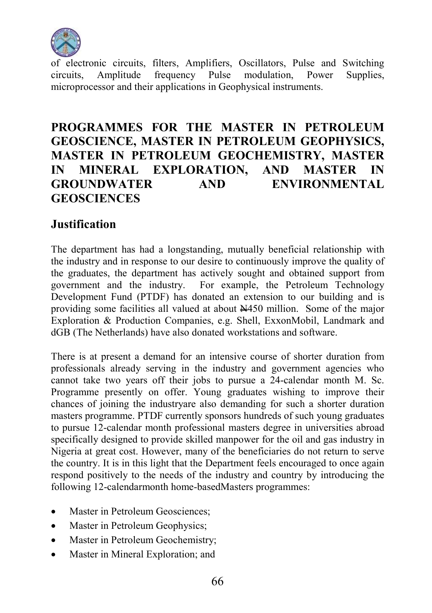

of electronic circuits, filters, Amplifiers, Oscillators, Pulse and Switching<br>circuits. Amplitude frequency Pulse modulation Power Supplies frequency Pulse microprocessor and their applications in Geophysical instruments.

## PROGRAMMES FOR THE MASTER IN PETROLEUM GEOSCIENCE, MASTER IN PETROLEUM GEOPHYSICS, MASTER IN PETROLEUM GEOCHEMISTRY, MASTER IN MINERAL EXPLORATION, AND MASTER IN GROUNDWATER AND ENVIRONMENTAL **GEOSCIENCES**

## Justification

The department has had a longstanding, mutually beneficial relationship with the industry and in response to our desire to continuously improve the quality of the graduates, the department has actively sought and obtained support from government and the industry. For example, the Petroleum Technology Development Fund (PTDF) has donated an extension to our building and is providing some facilities all valued at about N450 million. Some of the major Exploration & Production Companies, e.g. Shell, ExxonMobil, Landmark and dGB (The Netherlands) have also donated workstations and software.

There is at present a demand for an intensive course of shorter duration from professionals already serving in the industry and government agencies who cannot take two years off their jobs to pursue a 24-calendar month M. Sc. Programme presently on offer. Young graduates wishing to improve their chances of joining the industryare also demanding for such a shorter duration masters programme. PTDF currently sponsors hundreds of such young graduates to pursue 12-calendar month professional masters degree in universities abroad specifically designed to provide skilled manpower for the oil and gas industry in Nigeria at great cost. However, many of the beneficiaries do not return to serve the country. It is in this light that the Department feels encouraged to once again respond positively to the needs of the industry and country by introducing the following 12-calendarmonth home-basedMasters programmes:

- Master in Petroleum Geosciences;
- Master in Petroleum Geophysics:
- Master in Petroleum Geochemistry;
- Master in Mineral Exploration; and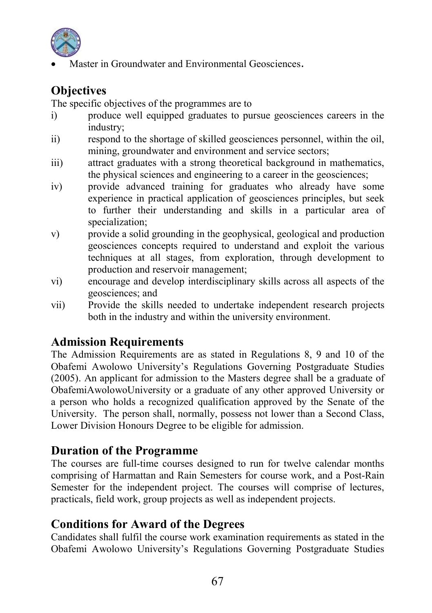

Master in Groundwater and Environmental Geosciences.

## **Objectives**

The specific objectives of the programmes are to

- i) produce well equipped graduates to pursue geosciences careers in the industry;
- ii) respond to the shortage of skilled geosciences personnel, within the oil, mining, groundwater and environment and service sectors;
- iii) attract graduates with a strong theoretical background in mathematics, the physical sciences and engineering to a career in the geosciences;
- iv) provide advanced training for graduates who already have some experience in practical application of geosciences principles, but seek to further their understanding and skills in a particular area of specialization:
- v) provide a solid grounding in the geophysical, geological and production geosciences concepts required to understand and exploit the various techniques at all stages, from exploration, through development to production and reservoir management;
- vi) encourage and develop interdisciplinary skills across all aspects of the geosciences; and
- vii) Provide the skills needed to undertake independent research projects both in the industry and within the university environment.

## Admission Requirements

The Admission Requirements are as stated in Regulations 8, 9 and 10 of the Obafemi Awolowo University's Regulations Governing Postgraduate Studies (2005). An applicant for admission to the Masters degree shall be a graduate of ObafemiAwolowoUniversity or a graduate of any other approved University or a person who holds a recognized qualification approved by the Senate of the University. The person shall, normally, possess not lower than a Second Class, Lower Division Honours Degree to be eligible for admission.

## Duration of the Programme

The courses are full-time courses designed to run for twelve calendar months comprising of Harmattan and Rain Semesters for course work, and a Post-Rain Semester for the independent project. The courses will comprise of lectures, practicals, field work, group projects as well as independent projects.

## Conditions for Award of the Degrees

Candidates shall fulfil the course work examination requirements as stated in the Obafemi Awolowo University's Regulations Governing Postgraduate Studies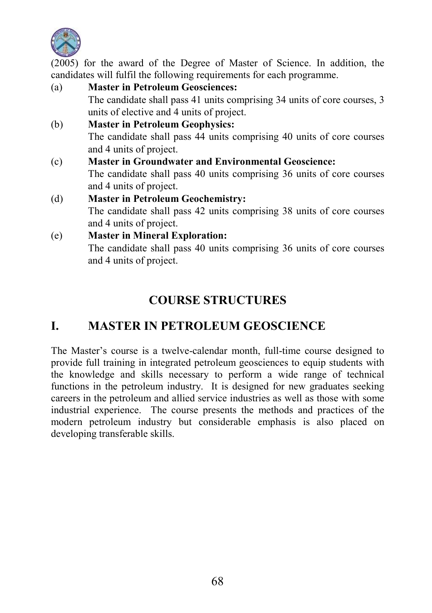

(2005) for the award of the Degree of Master of Science. In addition, the candidates will fulfil the following requirements for each programme.

- (a) Master in Petroleum Geosciences: The candidate shall pass 41 units comprising 34 units of core courses, 3 units of elective and 4 units of project. (b) Master in Petroleum Geophysics: The candidate shall pass 44 units comprising 40 units of core courses and 4 units of project. (c) Master in Groundwater and Environmental Geoscience: The candidate shall pass 40 units comprising 36 units of core courses and 4 units of project. (d) Master in Petroleum Geochemistry: The candidate shall pass 42 units comprising 38 units of core courses and 4 units of project. (e) Master in Mineral Exploration:
	- The candidate shall pass 40 units comprising 36 units of core courses and 4 units of project.

## COURSE STRUCTURES

## I. MASTER IN PETROLEUM GEOSCIENCE

The Master's course is a twelve-calendar month, full-time course designed to provide full training in integrated petroleum geosciences to equip students with the knowledge and skills necessary to perform a wide range of technical functions in the petroleum industry. It is designed for new graduates seeking careers in the petroleum and allied service industries as well as those with some industrial experience. The course presents the methods and practices of the modern petroleum industry but considerable emphasis is also placed on developing transferable skills.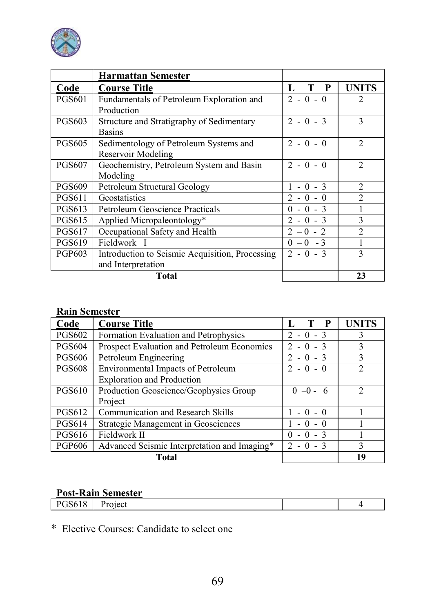

|               | <b>Harmattan Semester</b>                       |                            |                |
|---------------|-------------------------------------------------|----------------------------|----------------|
| Code          | <b>Course Title</b>                             | T P<br>L                   | <b>UNITS</b>   |
| <b>PGS601</b> | Fundamentals of Petroleum Exploration and       | $2 - 0 - 0$                | 2              |
|               | Production                                      |                            |                |
| <b>PGS603</b> | Structure and Stratigraphy of Sedimentary       | $2 - 0 - 3$                | 3              |
|               | <b>Basins</b>                                   |                            |                |
| <b>PGS605</b> | Sedimentology of Petroleum Systems and          | $2 - 0 - 0$                | $\mathfrak{D}$ |
|               | Reservoir Modeling                              |                            |                |
| <b>PGS607</b> | Geochemistry, Petroleum System and Basin        | $2 - 0 - 0$                | $\mathfrak{D}$ |
|               | Modeling                                        |                            |                |
| <b>PGS609</b> | Petroleum Structural Geology                    | $-0 - 3$                   | $\mathfrak{D}$ |
| <b>PGS611</b> | Geostatistics                                   | $2 - 0 - 0$                | $\mathcal{D}$  |
| PGS613        | Petroleum Geoscience Practicals                 | $-0 - 3$<br>0              |                |
| <b>PGS615</b> | Applied Micropaleontology*                      | $-0 - 3$<br>$\mathfrak{D}$ | 3              |
| <b>PGS617</b> | Occupational Safety and Health                  | $-0 - 2$                   | $\mathfrak{D}$ |
| <b>PGS619</b> | Fieldwork I                                     | $-0$ - 3<br>0              |                |
| PGP603        | Introduction to Seismic Acquisition, Processing | $2 - 0 - 3$                | 3              |
|               | and Interpretation                              |                            |                |
|               | <b>Total</b>                                    |                            | 23             |

## Rain Semester

| Code          | <b>Course Title</b>                          | P                                       | UNITS          |
|---------------|----------------------------------------------|-----------------------------------------|----------------|
| <b>PGS602</b> | Formation Evaluation and Petrophysics        | $2 - 0 - 3$                             |                |
| <b>PGS604</b> | Prospect Evaluation and Petroleum Economics  | $2 - 0 - 3$                             |                |
| <b>PGS606</b> | Petroleum Engineering                        | $-0 - 3$                                | ٩              |
| <b>PGS608</b> | Environmental Impacts of Petroleum           | $2 - 0 - 0$                             | $\mathfrak{D}$ |
|               | <b>Exploration and Production</b>            |                                         |                |
| <b>PGS610</b> | Production Geoscience/Geophysics Group       | $0 - 0 - 6$                             | 2              |
|               | Project                                      |                                         |                |
| <b>PGS612</b> | Communication and Research Skills            | - 0<br>$-0$                             |                |
| <b>PGS614</b> | Strategic Management in Geosciences          | $\theta$<br>$-$ ()                      |                |
| <b>PGS616</b> | Fieldwork II                                 | $0 - 3$<br>$\theta$                     |                |
| <b>PGP606</b> | Advanced Seismic Interpretation and Imaging* | $\mathcal{D}_{\mathcal{A}}$<br>$\theta$ | ٩              |
|               | Total                                        |                                         | 19             |

## Post-Rain Semester

| <b>PGS618</b> | u.<br>'roject |  |  |
|---------------|---------------|--|--|
|               |               |  |  |

\* Elective Courses: Candidate to select one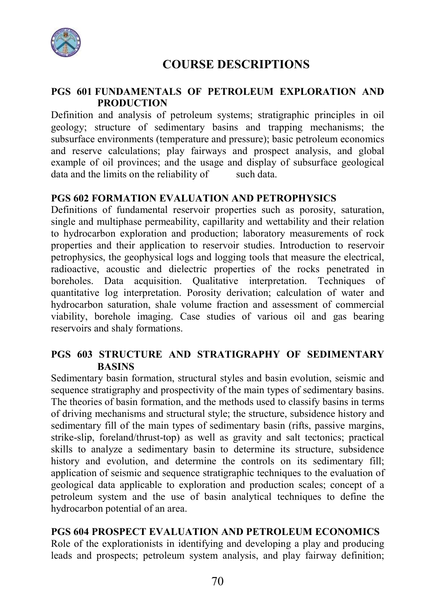

## COURSE DESCRIPTIONS

#### PGS 601 FUNDAMENTALS OF PETROLEUM EXPLORATION AND PRODUCTION

Definition and analysis of petroleum systems; stratigraphic principles in oil geology; structure of sedimentary basins and trapping mechanisms; the subsurface environments (temperature and pressure); basic petroleum economics and reserve calculations; play fairways and prospect analysis, and global example of oil provinces; and the usage and display of subsurface geological data and the limits on the reliability of such data.

#### PGS 602 FORMATION EVALUATION AND PETROPHYSICS

Definitions of fundamental reservoir properties such as porosity, saturation, single and multiphase permeability, capillarity and wettability and their relation to hydrocarbon exploration and production; laboratory measurements of rock properties and their application to reservoir studies. Introduction to reservoir petrophysics, the geophysical logs and logging tools that measure the electrical, radioactive, acoustic and dielectric properties of the rocks penetrated in boreholes. Data acquisition. Qualitative interpretation. Techniques of quantitative log interpretation. Porosity derivation; calculation of water and hydrocarbon saturation, shale volume fraction and assessment of commercial viability, borehole imaging. Case studies of various oil and gas bearing reservoirs and shaly formations.

#### PGS 603 STRUCTURE AND STRATIGRAPHY OF SEDIMENTARY BASINS

Sedimentary basin formation, structural styles and basin evolution, seismic and sequence stratigraphy and prospectivity of the main types of sedimentary basins. The theories of basin formation, and the methods used to classify basins in terms of driving mechanisms and structural style; the structure, subsidence history and sedimentary fill of the main types of sedimentary basin (rifts, passive margins, strike-slip, foreland/thrust-top) as well as gravity and salt tectonics; practical skills to analyze a sedimentary basin to determine its structure, subsidence history and evolution, and determine the controls on its sedimentary fill; application of seismic and sequence stratigraphic techniques to the evaluation of geological data applicable to exploration and production scales; concept of a petroleum system and the use of basin analytical techniques to define the hydrocarbon potential of an area.

#### PGS 604 PROSPECT EVALUATION AND PETROLEUM ECONOMICS

Role of the explorationists in identifying and developing a play and producing leads and prospects; petroleum system analysis, and play fairway definition;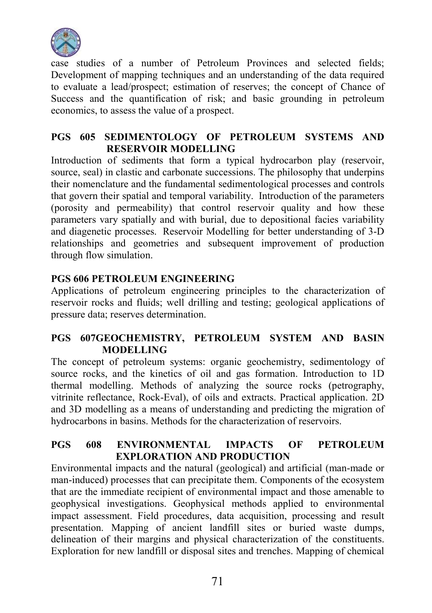

case studies of a number of Petroleum Provinces and selected fields; Development of mapping techniques and an understanding of the data required to evaluate a lead/prospect; estimation of reserves; the concept of Chance of Success and the quantification of risk; and basic grounding in petroleum economics, to assess the value of a prospect.

#### PGS 605 SEDIMENTOLOGY OF PETROLEUM SYSTEMS AND RESERVOIR MODELLING

Introduction of sediments that form a typical hydrocarbon play (reservoir, source, seal) in clastic and carbonate successions. The philosophy that underpins their nomenclature and the fundamental sedimentological processes and controls that govern their spatial and temporal variability. Introduction of the parameters (porosity and permeability) that control reservoir quality and how these parameters vary spatially and with burial, due to depositional facies variability and diagenetic processes. Reservoir Modelling for better understanding of 3-D relationships and geometries and subsequent improvement of production through flow simulation.

### PGS 606 PETROLEUM ENGINEERING

Applications of petroleum engineering principles to the characterization of reservoir rocks and fluids; well drilling and testing; geological applications of pressure data; reserves determination.

### PGS 607GEOCHEMISTRY, PETROLEUM SYSTEM AND BASIN MODELLING

The concept of petroleum systems: organic geochemistry, sedimentology of source rocks, and the kinetics of oil and gas formation. Introduction to 1D thermal modelling. Methods of analyzing the source rocks (petrography, vitrinite reflectance, Rock-Eval), of oils and extracts. Practical application. 2D and 3D modelling as a means of understanding and predicting the migration of hydrocarbons in basins. Methods for the characterization of reservoirs.

#### PGS 608 ENVIRONMENTAL IMPACTS OF PETROLEUM EXPLORATION AND PRODUCTION

Environmental impacts and the natural (geological) and artificial (man-made or man-induced) processes that can precipitate them. Components of the ecosystem that are the immediate recipient of environmental impact and those amenable to geophysical investigations. Geophysical methods applied to environmental impact assessment. Field procedures, data acquisition, processing and result presentation. Mapping of ancient landfill sites or buried waste dumps, delineation of their margins and physical characterization of the constituents. Exploration for new landfill or disposal sites and trenches. Mapping of chemical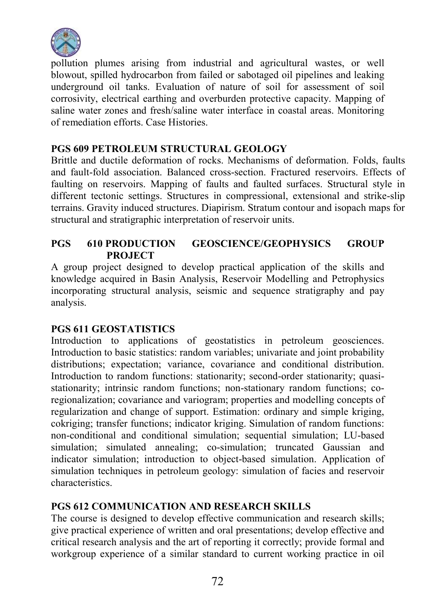

pollution plumes arising from industrial and agricultural wastes, or well blowout, spilled hydrocarbon from failed or sabotaged oil pipelines and leaking underground oil tanks. Evaluation of nature of soil for assessment of soil corrosivity, electrical earthing and overburden protective capacity. Mapping of saline water zones and fresh/saline water interface in coastal areas. Monitoring of remediation efforts. Case Histories.

#### PGS 609 PETROLEUM STRUCTURAL GEOLOGY

Brittle and ductile deformation of rocks. Mechanisms of deformation. Folds, faults and fault-fold association. Balanced cross-section. Fractured reservoirs. Effects of faulting on reservoirs. Mapping of faults and faulted surfaces. Structural style in different tectonic settings. Structures in compressional, extensional and strike-slip terrains. Gravity induced structures. Diapirism. Stratum contour and isopach maps for structural and stratigraphic interpretation of reservoir units.

#### PGS 610 PRODUCTION GEOSCIENCE/GEOPHYSICS GROUP PROJECT

A group project designed to develop practical application of the skills and knowledge acquired in Basin Analysis, Reservoir Modelling and Petrophysics incorporating structural analysis, seismic and sequence stratigraphy and pay analysis.

### PGS 611 GEOSTATISTICS

Introduction to applications of geostatistics in petroleum geosciences. Introduction to basic statistics: random variables; univariate and joint probability distributions; expectation; variance, covariance and conditional distribution. Introduction to random functions: stationarity; second-order stationarity; quasistationarity; intrinsic random functions; non-stationary random functions; coregionalization; covariance and variogram; properties and modelling concepts of regularization and change of support. Estimation: ordinary and simple kriging, cokriging; transfer functions; indicator kriging. Simulation of random functions: non-conditional and conditional simulation; sequential simulation; LU-based simulation; simulated annealing; co-simulation; truncated Gaussian and indicator simulation; introduction to object-based simulation. Application of simulation techniques in petroleum geology: simulation of facies and reservoir characteristics.

### PGS 612 COMMUNICATION AND RESEARCH SKILLS

The course is designed to develop effective communication and research skills; give practical experience of written and oral presentations; develop effective and critical research analysis and the art of reporting it correctly; provide formal and workgroup experience of a similar standard to current working practice in oil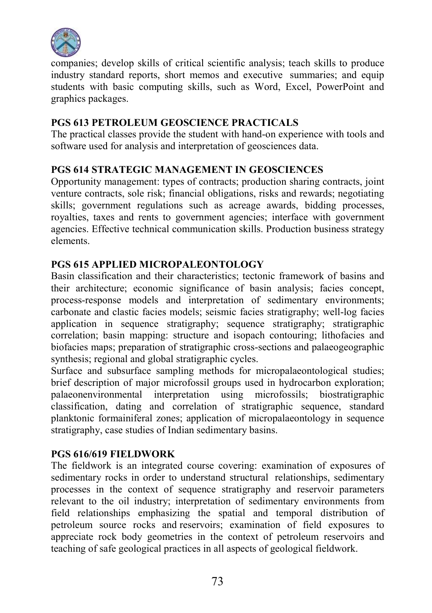

companies; develop skills of critical scientific analysis; teach skills to produce industry standard reports, short memos and executive summaries; and equip students with basic computing skills, such as Word, Excel, PowerPoint and graphics packages.

#### PGS 613 PETROLEUM GEOSCIENCE PRACTICALS

The practical classes provide the student with hand-on experience with tools and software used for analysis and interpretation of geosciences data.

#### PGS 614 STRATEGIC MANAGEMENT IN GEOSCIENCES

Opportunity management: types of contracts; production sharing contracts, joint venture contracts, sole risk; financial obligations, risks and rewards; negotiating skills; government regulations such as acreage awards, bidding processes, royalties, taxes and rents to government agencies; interface with government agencies. Effective technical communication skills. Production business strategy elements.

## PGS 615 APPLIED MICROPALEONTOLOGY

Basin classification and their characteristics; tectonic framework of basins and their architecture; economic significance of basin analysis; facies concept, process-response models and interpretation of sedimentary environments; carbonate and clastic facies models; seismic facies stratigraphy; well-log facies application in sequence stratigraphy; sequence stratigraphy; stratigraphic correlation; basin mapping: structure and isopach contouring; lithofacies and biofacies maps; preparation of stratigraphic cross-sections and palaeogeographic synthesis; regional and global stratigraphic cycles.

Surface and subsurface sampling methods for micropalaeontological studies; brief description of major microfossil groups used in hydrocarbon exploration; palaeonenvironmental interpretation using microfossils; biostratigraphic classification, dating and correlation of stratigraphic sequence, standard planktonic formainiferal zones; application of micropalaeontology in sequence stratigraphy, case studies of Indian sedimentary basins.

# PGS 616/619 FIELDWORK

The fieldwork is an integrated course covering: examination of exposures of sedimentary rocks in order to understand structural relationships, sedimentary processes in the context of sequence stratigraphy and reservoir parameters relevant to the oil industry; interpretation of sedimentary environments from field relationships emphasizing the spatial and temporal distribution of petroleum source rocks and reservoirs; examination of field exposures to appreciate rock body geometries in the context of petroleum reservoirs and teaching of safe geological practices in all aspects of geological fieldwork.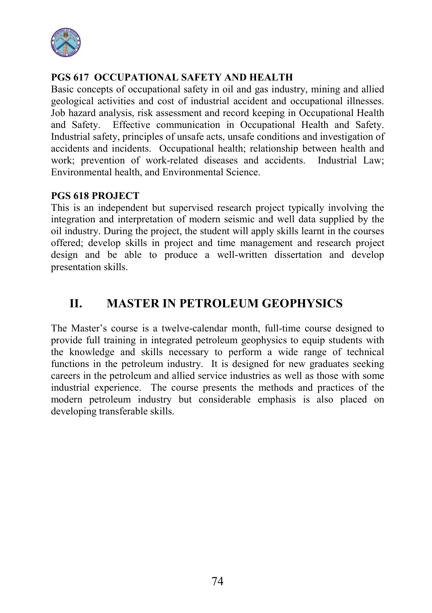

# PGS 617 OCCUPATIONAL SAFETY AND HEALTH

Basic concepts of occupational safety in oil and gas industry, mining and allied geological activities and cost of industrial accident and occupational illnesses. Job hazard analysis, risk assessment and record keeping in Occupational Health and Safety. Effective communication in Occupational Health and Safety. Industrial safety, principles of unsafe acts, unsafe conditions and investigation of accidents and incidents. Occupational health; relationship between health and work; prevention of work-related diseases and accidents. Industrial Law; Environmental health, and Environmental Science.

## PGS 618 PROJECT

This is an independent but supervised research project typically involving the integration and interpretation of modern seismic and well data supplied by the oil industry. During the project, the student will apply skills learnt in the courses offered; develop skills in project and time management and research project design and be able to produce a well-written dissertation and develop presentation skills.

# II. MASTER IN PETROLEUM GEOPHYSICS

The Master's course is a twelve-calendar month, full-time course designed to provide full training in integrated petroleum geophysics to equip students with the knowledge and skills necessary to perform a wide range of technical functions in the petroleum industry. It is designed for new graduates seeking careers in the petroleum and allied service industries as well as those with some industrial experience. The course presents the methods and practices of the modern petroleum industry but considerable emphasis is also placed on developing transferable skills.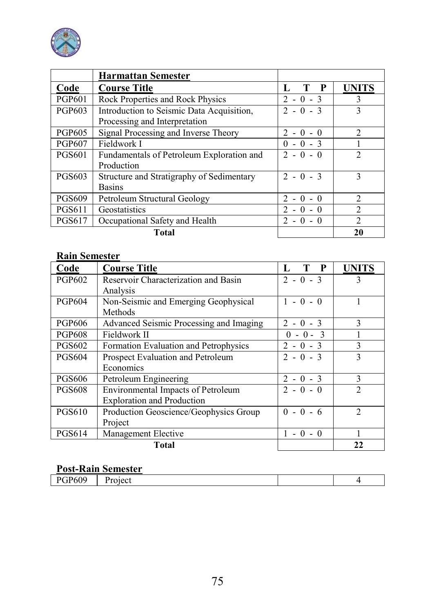

|               | <b>Harmattan Semester</b>                 |                 |                |
|---------------|-------------------------------------------|-----------------|----------------|
| Code          | <b>Course Title</b>                       | $\mathbf{P}$    | <b>UNITS</b>   |
| <b>PGP601</b> | Rock Properties and Rock Physics          | $2 - 0 - 3$     | 3              |
| <b>PGP603</b> | Introduction to Seismic Data Acquisition, | $2 - 0 - 3$     | $\mathbf{3}$   |
|               | Processing and Interpretation             |                 |                |
| <b>PGP605</b> | Signal Processing and Inverse Theory      | $2 - 0 - 0$     | $\mathfrak{D}$ |
| <b>PGP607</b> | Fieldwork I                               | $0 - 0 - 3$     |                |
| <b>PGS601</b> | Fundamentals of Petroleum Exploration and | $2 - 0 - 0$     |                |
|               | Production                                |                 |                |
| <b>PGS603</b> | Structure and Stratigraphy of Sedimentary | $2 - 0 - 3$     | 3              |
|               | <b>Basins</b>                             |                 |                |
| <b>PGS609</b> | Petroleum Structural Geology              | $2 - 0 - 0$     | $\mathfrak{D}$ |
| <b>PGS611</b> | Geostatistics                             | $2 - 0$<br>$-0$ | $\mathfrak{D}$ |
| <b>PGS617</b> | Occupational Safety and Health            | $2 - 0 - 0$     | $\mathfrak{D}$ |
|               | <b>Total</b>                              |                 | 20             |

| Code          | <b>Course Title</b>                     | $\mathbf{P}$ | <b>UNITS</b>            |
|---------------|-----------------------------------------|--------------|-------------------------|
| <b>PGP602</b> | Reservoir Characterization and Basin    | $2 - 0 - 3$  |                         |
|               | Analysis                                |              |                         |
| <b>PGP604</b> | Non-Seismic and Emerging Geophysical    | $1 - 0 - 0$  |                         |
|               | Methods                                 |              |                         |
| <b>PGP606</b> | Advanced Seismic Processing and Imaging | $2 - 0 - 3$  | 3                       |
| <b>PGP608</b> | Fieldwork II                            | $0 - 0 - 3$  |                         |
| <b>PGS602</b> | Formation Evaluation and Petrophysics   | $2 - 0 - 3$  | 3                       |
| <b>PGS604</b> | Prospect Evaluation and Petroleum       | $2 - 0 - 3$  | $\overline{\mathbf{3}}$ |
|               | Economics                               |              |                         |
| <b>PGS606</b> | Petroleum Engineering                   | $2 - 0 - 3$  | $\mathcal{E}$           |
| <b>PGS608</b> | Environmental Impacts of Petroleum      | $2 - 0 - 0$  | $\mathfrak{D}$          |
|               | <b>Exploration and Production</b>       |              |                         |
| <b>PGS610</b> | Production Geoscience/Geophysics Group  | $0 - 0 - 6$  | $\mathcal{D}$           |
|               | Project                                 |              |                         |
| <b>PGS614</b> | Management Elective                     | $1 - 0 - 0$  |                         |
|               | <b>Total</b>                            |              | 22                      |

#### Post-Rain Semester

|                   | T Ope Teach Schlester |  |
|-------------------|-----------------------|--|
| <b>D600</b><br>ov |                       |  |
|                   |                       |  |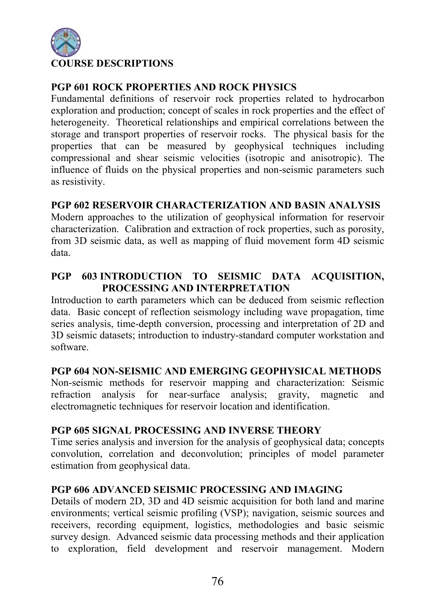

# PGP 601 ROCK PROPERTIES AND ROCK PHYSICS

Fundamental definitions of reservoir rock properties related to hydrocarbon exploration and production; concept of scales in rock properties and the effect of heterogeneity. Theoretical relationships and empirical correlations between the storage and transport properties of reservoir rocks. The physical basis for the properties that can be measured by geophysical techniques including compressional and shear seismic velocities (isotropic and anisotropic). The influence of fluids on the physical properties and non-seismic parameters such as resistivity.

## PGP 602 RESERVOIR CHARACTERIZATION AND BASIN ANALYSIS

Modern approaches to the utilization of geophysical information for reservoir characterization. Calibration and extraction of rock properties, such as porosity, from 3D seismic data, as well as mapping of fluid movement form 4D seismic data.

# PGP 603 INTRODUCTION TO SEISMIC DATA ACOUISITION. PROCESSING AND INTERPRETATION

Introduction to earth parameters which can be deduced from seismic reflection data. Basic concept of reflection seismology including wave propagation, time series analysis, time-depth conversion, processing and interpretation of 2D and 3D seismic datasets; introduction to industry-standard computer workstation and software.

#### PGP 604 NON-SEISMIC AND EMERGING GEOPHYSICAL METHODS

Non-seismic methods for reservoir mapping and characterization: Seismic refraction analysis for near-surface analysis; gravity, magnetic and electromagnetic techniques for reservoir location and identification.

#### PGP 605 SIGNAL PROCESSING AND INVERSE THEORY

Time series analysis and inversion for the analysis of geophysical data; concepts convolution, correlation and deconvolution; principles of model parameter estimation from geophysical data.

#### PGP 606 ADVANCED SEISMIC PROCESSING AND IMAGING

Details of modern 2D, 3D and 4D seismic acquisition for both land and marine environments; vertical seismic profiling (VSP); navigation, seismic sources and receivers, recording equipment, logistics, methodologies and basic seismic survey design. Advanced seismic data processing methods and their application to exploration, field development and reservoir management. Modern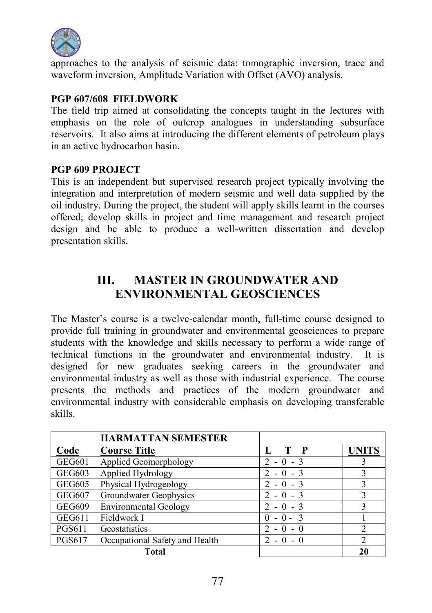

approaches to the analysis of seismic data: tomographic inversion, trace and waveform inversion, Amplitude Variation with Offset (AVO) analysis.

## PGP 607/608 FIELDWORK

The field trip aimed at consolidating the concepts taught in the lectures with emphasis on the role of outcrop analogues in understanding subsurface reservoirs. It also aims at introducing the different elements of petroleum plays in an active hydrocarbon basin.

#### PGP 609 PROJECT

This is an independent but supervised research project typically involving the integration and interpretation of modern seismic and well data supplied by the oil industry. During the project, the student will apply skills learnt in the courses offered; develop skills in project and time management and research project design and be able to produce a well-written dissertation and develop presentation skills.

# III. MASTER IN GROUNDWATER AND ENVIRONMENTAL GEOSCIENCES

The Master's course is a twelve-calendar month, full-time course designed to provide full training in groundwater and environmental geosciences to prepare students with the knowledge and skills necessary to perform a wide range of technical functions in the groundwater and environmental industry. It is designed for new graduates seeking careers in the groundwater and environmental industry as well as those with industrial experience. The course presents the methods and practices of the modern groundwater and environmental industry with considerable emphasis on developing transferable skills.

|               | <b>HARMATTAN SEMESTER</b>      |                                       |                |
|---------------|--------------------------------|---------------------------------------|----------------|
| Code          | <b>Course Title</b>            | T P<br>L                              | <b>UNITS</b>   |
| <b>GEG601</b> | Applied Geomorphology          | $-0 - 3$<br>$\mathcal{L}$             |                |
| <b>GEG603</b> | Applied Hydrology              | $2 - 0 - 3$                           |                |
| <b>GEG605</b> | Physical Hydrogeology          | $2 - 0 - 3$                           |                |
| <b>GEG607</b> | Groundwater Geophysics         | $-0 - 3$<br>2                         |                |
| <b>GEG609</b> | <b>Environmental Geology</b>   | $\mathcal{D}$<br>$-0 - 3$             |                |
| <b>GEG611</b> | Fieldwork I                    | $-0 - 3$<br>$\theta$                  |                |
| <b>PGS611</b> | Geostatistics                  | $\mathcal{D}$<br>$-0-0$               | $\mathfrak{D}$ |
| <b>PGS617</b> | Occupational Safety and Health | $\mathcal{D}_{\mathcal{A}}$<br>$-0-0$ |                |
|               | Total                          |                                       | 20             |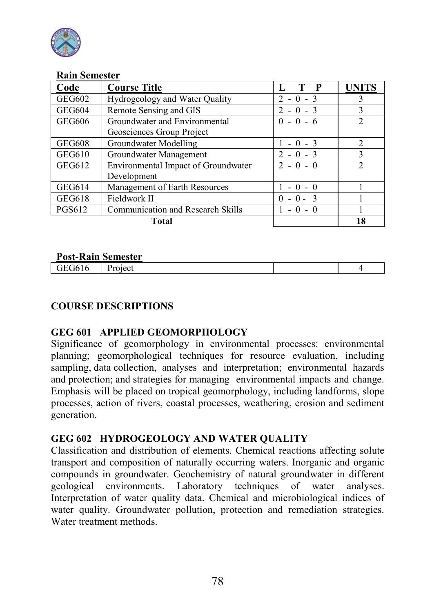

| Code          | <b>Course Title</b>                 | $\mathbf P$            | <b>UNITS</b>  |
|---------------|-------------------------------------|------------------------|---------------|
| <b>GEG602</b> | Hydrogeology and Water Quality      | $2 - 0 - 3$            |               |
| <b>GEG604</b> | Remote Sensing and GIS              | $2 - 0 - 3$            | 3             |
| <b>GEG606</b> | Groundwater and Environmental       | $0 - 0 - 6$            | $\mathcal{D}$ |
|               | Geosciences Group Project           |                        |               |
| <b>GEG608</b> | Groundwater Modelling               | $-0 - 3$               | $\mathcal{D}$ |
| <b>GEG610</b> | Groundwater Management              | $2 - 0 - 3$            | 3             |
| GEG612        | Environmental Impact of Groundwater | $2 - 0 - 0$            |               |
|               | Development                         |                        |               |
| GEG614        | Management of Earth Resources       | $-0 - 0$               |               |
| <b>GEG618</b> | Fieldwork II                        | $-0 - 3$<br>$^{\circ}$ |               |
| <b>PGS612</b> | Communication and Research Skills   |                        |               |
|               | <b>Total</b>                        |                        | 18            |

#### Post-Rain Semester

| 1 ost Ixain Schicster |  |  |
|-----------------------|--|--|
|                       |  |  |
|                       |  |  |

## COURSE DESCRIPTIONS

#### GEG 601 APPLIED GEOMORPHOLOGY

Significance of geomorphology in environmental processes: environmental planning; geomorphological techniques for resource evaluation, including sampling, data collection, analyses and interpretation; environmental hazards and protection; and strategies for managing environmental impacts and change. Emphasis will be placed on tropical geomorphology, including landforms, slope processes, action of rivers, coastal processes, weathering, erosion and sediment generation.

#### GEG 602 HYDROGEOLOGY AND WATER QUALITY

Classification and distribution of elements. Chemical reactions affecting solute transport and composition of naturally occurring waters. Inorganic and organic compounds in groundwater. Geochemistry of natural groundwater in different geological environments. Laboratory techniques of water analyses. Interpretation of water quality data. Chemical and microbiological indices of water quality. Groundwater pollution, protection and remediation strategies. Water treatment methods.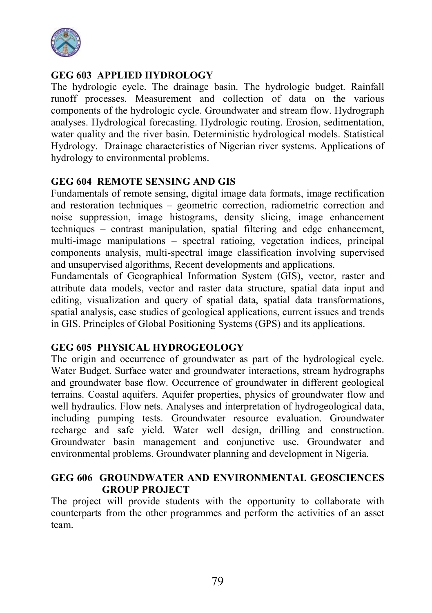

# GEG 603 APPLIED HYDROLOGY

The hydrologic cycle. The drainage basin. The hydrologic budget. Rainfall runoff processes. Measurement and collection of data on the various components of the hydrologic cycle. Groundwater and stream flow. Hydrograph analyses. Hydrological forecasting. Hydrologic routing. Erosion, sedimentation, water quality and the river basin. Deterministic hydrological models. Statistical Hydrology. Drainage characteristics of Nigerian river systems. Applications of hydrology to environmental problems.

## GEG 604 REMOTE SENSING AND GIS

Fundamentals of remote sensing, digital image data formats, image rectification and restoration techniques – geometric correction, radiometric correction and noise suppression, image histograms, density slicing, image enhancement techniques – contrast manipulation, spatial filtering and edge enhancement, multi-image manipulations – spectral ratioing, vegetation indices, principal components analysis, multi-spectral image classification involving supervised and unsupervised algorithms, Recent developments and applications.

Fundamentals of Geographical Information System (GIS), vector, raster and attribute data models, vector and raster data structure, spatial data input and editing, visualization and query of spatial data, spatial data transformations, spatial analysis, case studies of geological applications, current issues and trends in GIS. Principles of Global Positioning Systems (GPS) and its applications.

## GEG 605 PHYSICAL HYDROGEOLOGY

The origin and occurrence of groundwater as part of the hydrological cycle. Water Budget. Surface water and groundwater interactions, stream hydrographs and groundwater base flow. Occurrence of groundwater in different geological terrains. Coastal aquifers. Aquifer properties, physics of groundwater flow and well hydraulics. Flow nets. Analyses and interpretation of hydrogeological data, including pumping tests. Groundwater resource evaluation. Groundwater recharge and safe yield. Water well design, drilling and construction. Groundwater basin management and conjunctive use. Groundwater and environmental problems. Groundwater planning and development in Nigeria.

#### GEG 606 GROUNDWATER AND ENVIRONMENTAL GEOSCIENCES GROUP PROJECT

The project will provide students with the opportunity to collaborate with counterparts from the other programmes and perform the activities of an asset team.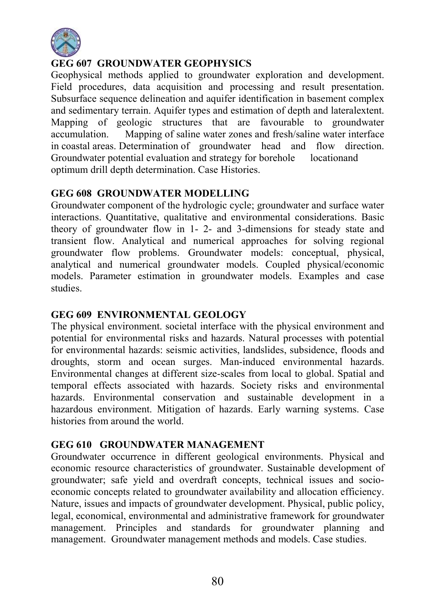

# GEG 607 GROUNDWATER GEOPHYSICS

Geophysical methods applied to groundwater exploration and development. Field procedures, data acquisition and processing and result presentation. Subsurface sequence delineation and aquifer identification in basement complex and sedimentary terrain. Aquifer types and estimation of depth and lateralextent. Mapping of geologic structures that are favourable to groundwater accumulation. Mapping of saline water zones and fresh/saline water interface in coastal areas. Determination of groundwater head and flow direction. Groundwater potential evaluation and strategy for borehole locationand optimum drill depth determination. Case Histories.

## GEG 608 GROUNDWATER MODELLING

Groundwater component of the hydrologic cycle; groundwater and surface water interactions. Quantitative, qualitative and environmental considerations. Basic theory of groundwater flow in 1- 2- and 3-dimensions for steady state and transient flow. Analytical and numerical approaches for solving regional groundwater flow problems. Groundwater models: conceptual, physical, analytical and numerical groundwater models. Coupled physical/economic models. Parameter estimation in groundwater models. Examples and case studies.

## GEG 609 ENVIRONMENTAL GEOLOGY

The physical environment. societal interface with the physical environment and potential for environmental risks and hazards. Natural processes with potential for environmental hazards: seismic activities, landslides, subsidence, floods and droughts, storm and ocean surges. Man-induced environmental hazards. Environmental changes at different size-scales from local to global. Spatial and temporal effects associated with hazards. Society risks and environmental hazards. Environmental conservation and sustainable development in a hazardous environment. Mitigation of hazards. Early warning systems. Case histories from around the world.

# GEG 610 GROUNDWATER MANAGEMENT

Groundwater occurrence in different geological environments. Physical and economic resource characteristics of groundwater. Sustainable development of groundwater; safe yield and overdraft concepts, technical issues and socioeconomic concepts related to groundwater availability and allocation efficiency. Nature, issues and impacts of groundwater development. Physical, public policy, legal, economical, environmental and administrative framework for groundwater management. Principles and standards for groundwater planning and management. Groundwater management methods and models. Case studies.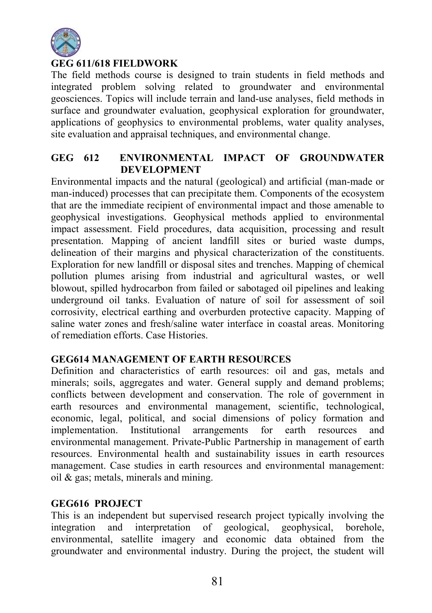

# GEG 611/618 FIELDWORK

The field methods course is designed to train students in field methods and integrated problem solving related to groundwater and environmental geosciences. Topics will include terrain and land-use analyses, field methods in surface and groundwater evaluation, geophysical exploration for groundwater, applications of geophysics to environmental problems, water quality analyses, site evaluation and appraisal techniques, and environmental change.

#### GEG 612 ENVIRONMENTAL IMPACT OF GROUNDWATER DEVELOPMENT

Environmental impacts and the natural (geological) and artificial (man-made or man-induced) processes that can precipitate them. Components of the ecosystem that are the immediate recipient of environmental impact and those amenable to geophysical investigations. Geophysical methods applied to environmental impact assessment. Field procedures, data acquisition, processing and result presentation. Mapping of ancient landfill sites or buried waste dumps, delineation of their margins and physical characterization of the constituents. Exploration for new landfill or disposal sites and trenches. Mapping of chemical pollution plumes arising from industrial and agricultural wastes, or well blowout, spilled hydrocarbon from failed or sabotaged oil pipelines and leaking underground oil tanks. Evaluation of nature of soil for assessment of soil corrosivity, electrical earthing and overburden protective capacity. Mapping of saline water zones and fresh/saline water interface in coastal areas. Monitoring of remediation efforts. Case Histories.

#### GEG614 MANAGEMENT OF EARTH RESOURCES

Definition and characteristics of earth resources: oil and gas, metals and minerals; soils, aggregates and water. General supply and demand problems; conflicts between development and conservation. The role of government in earth resources and environmental management, scientific, technological, economic, legal, political, and social dimensions of policy formation and implementation. Institutional arrangements for earth resources and environmental management. Private-Public Partnership in management of earth resources. Environmental health and sustainability issues in earth resources management. Case studies in earth resources and environmental management: oil & gas; metals, minerals and mining.

#### GEG616 PROJECT

This is an independent but supervised research project typically involving the integration and interpretation of geological, geophysical, borehole, environmental, satellite imagery and economic data obtained from the groundwater and environmental industry. During the project, the student will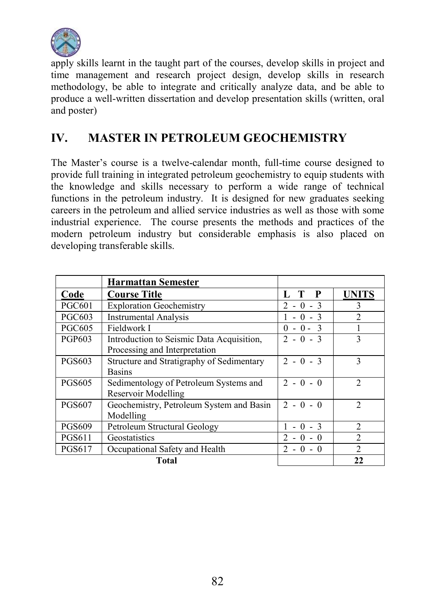

apply skills learnt in the taught part of the courses, develop skills in project and time management and research project design, develop skills in research methodology, be able to integrate and critically analyze data, and be able to produce a well-written dissertation and develop presentation skills (written, oral and poster)

# IV. MASTER IN PETROLEUM GEOCHEMISTRY

The Master's course is a twelve-calendar month, full-time course designed to provide full training in integrated petroleum geochemistry to equip students with the knowledge and skills necessary to perform a wide range of technical functions in the petroleum industry. It is designed for new graduates seeking careers in the petroleum and allied service industries as well as those with some industrial experience. The course presents the methods and practices of the modern petroleum industry but considerable emphasis is also placed on developing transferable skills.

|               | <b>Harmattan Semester</b>                 |                                         |                |
|---------------|-------------------------------------------|-----------------------------------------|----------------|
| Code          | <b>Course Title</b>                       | $\mathbf{P}$<br>L                       | <b>UNITS</b>   |
| <b>PGC601</b> | <b>Exploration Geochemistry</b>           | $\mathcal{D}_{\mathcal{A}}$<br>$-0 - 3$ | 3              |
| <b>PGC603</b> | <b>Instrumental Analysis</b>              | $0 - 3$                                 | $\mathfrak{D}$ |
| <b>PGC605</b> | Fieldwork I                               | $0 - 3$                                 |                |
| <b>PGP603</b> | Introduction to Seismic Data Acquisition, | $2 - 0 - 3$                             | 3              |
|               | Processing and Interpretation             |                                         |                |
| <b>PGS603</b> | Structure and Stratigraphy of Sedimentary | $2 - 0 - 3$                             | 3              |
|               | <b>Basins</b>                             |                                         |                |
| <b>PGS605</b> | Sedimentology of Petroleum Systems and    | $2 - 0 - 0$                             | $\mathfrak{D}$ |
|               | Reservoir Modelling                       |                                         |                |
| <b>PGS607</b> | Geochemistry, Petroleum System and Basin  | $2 - 0 - 0$                             | $\mathfrak{D}$ |
|               | Modelling                                 |                                         |                |
| <b>PGS609</b> | Petroleum Structural Geology              | $0 - 3$                                 | $\mathfrak{D}$ |
| <b>PGS611</b> | Geostatistics                             | $\mathcal{D}_{\mathcal{A}}$<br>$-0 - 0$ | $\mathfrak{D}$ |
| <b>PGS617</b> | Occupational Safety and Health            | $2 - 0 - 0$                             | $\mathfrak{D}$ |
|               | Total                                     |                                         | 22             |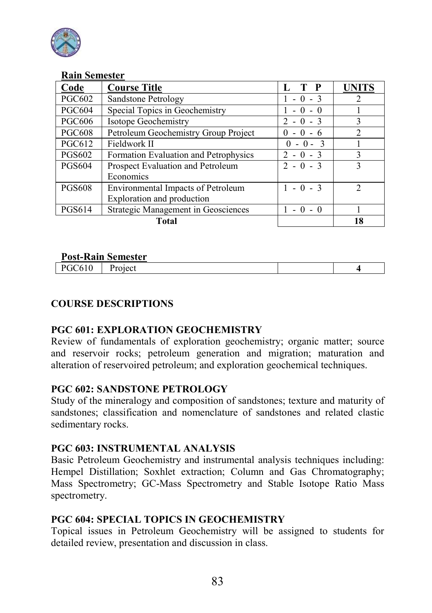

| Code          | <b>Course Title</b>                        | T P<br>Ъ.                 | <b>UNITS</b>   |
|---------------|--------------------------------------------|---------------------------|----------------|
| <b>PGC602</b> | Sandstone Petrology                        | $-0 - 3$                  |                |
| <b>PGC604</b> | Special Topics in Geochemistry             | $-0-0$                    |                |
| <b>PGC606</b> | Isotope Geochemistry                       | $\mathcal{D}$<br>$-0 - 3$ | 3              |
| <b>PGC608</b> | Petroleum Geochemistry Group Project       | $\theta$<br>- 6           | $\mathfrak{D}$ |
| <b>PGC612</b> | Fieldwork II                               | $0 - 0 - 3$               |                |
| <b>PGS602</b> | Formation Evaluation and Petrophysics      | $2 - 0 - 3$               | 3              |
| <b>PGS604</b> | Prospect Evaluation and Petroleum          | $2 - 0 - 3$               |                |
|               | Economics                                  |                           |                |
| <b>PGS608</b> | Environmental Impacts of Petroleum         | $-0 - 3$                  | າ              |
|               | Exploration and production                 |                           |                |
| <b>PGS614</b> | <b>Strategic Management in Geosciences</b> | $-0 - 0$                  |                |
|               | <b>Total</b>                               |                           | 18             |

#### Post-Rain Semester

| T ost Tuhin Schicster |  |  |  |  |
|-----------------------|--|--|--|--|
|                       |  |  |  |  |
|                       |  |  |  |  |

## COURSE DESCRIPTIONS

#### PGC 601: EXPLORATION GEOCHEMISTRY

Review of fundamentals of exploration geochemistry; organic matter; source and reservoir rocks; petroleum generation and migration; maturation and alteration of reservoired petroleum; and exploration geochemical techniques.

#### PGC 602: SANDSTONE PETROLOGY

Study of the mineralogy and composition of sandstones; texture and maturity of sandstones; classification and nomenclature of sandstones and related clastic sedimentary rocks.

## PGC 603: INSTRUMENTAL ANALYSIS

Basic Petroleum Geochemistry and instrumental analysis techniques including: Hempel Distillation: Soxhlet extraction: Column and Gas Chromatography: Mass Spectrometry; GC-Mass Spectrometry and Stable Isotope Ratio Mass spectrometry.

#### PGC 604: SPECIAL TOPICS IN GEOCHEMISTRY

Topical issues in Petroleum Geochemistry will be assigned to students for detailed review, presentation and discussion in class.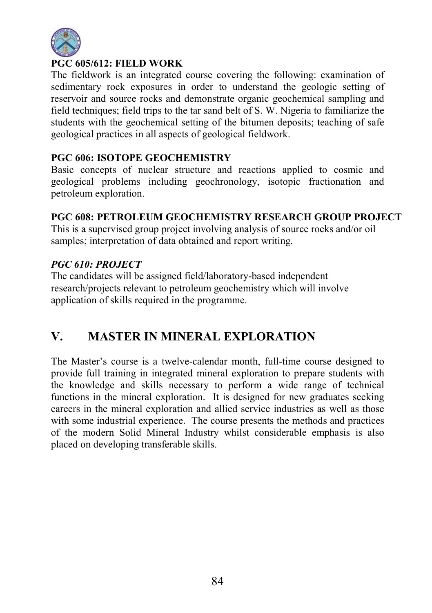

# PGC 605/612: FIELD WORK

The fieldwork is an integrated course covering the following: examination of sedimentary rock exposures in order to understand the geologic setting of reservoir and source rocks and demonstrate organic geochemical sampling and field techniques; field trips to the tar sand belt of S. W. Nigeria to familiarize the students with the geochemical setting of the bitumen deposits; teaching of safe geological practices in all aspects of geological fieldwork.

## PGC 606: ISOTOPE GEOCHEMISTRY

Basic concepts of nuclear structure and reactions applied to cosmic and geological problems including geochronology, isotopic fractionation and petroleum exploration.

## PGC 608: PETROLEUM GEOCHEMISTRY RESEARCH GROUP PROJECT

This is a supervised group project involving analysis of source rocks and/or oil samples; interpretation of data obtained and report writing.

# *PGC 610: PROJECT*

The candidates will be assigned field/laboratory-based independent research/projects relevant to petroleum geochemistry which will involve application of skills required in the programme.

# V. MASTER IN MINERAL EXPLORATION

The Master's course is a twelve-calendar month, full-time course designed to provide full training in integrated mineral exploration to prepare students with the knowledge and skills necessary to perform a wide range of technical functions in the mineral exploration. It is designed for new graduates seeking careers in the mineral exploration and allied service industries as well as those with some industrial experience. The course presents the methods and practices of the modern Solid Mineral Industry whilst considerable emphasis is also placed on developing transferable skills.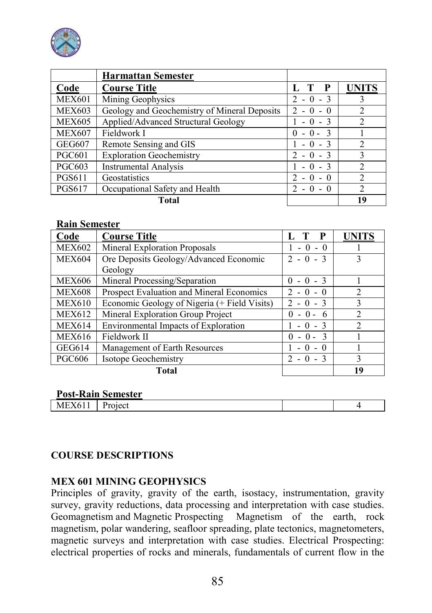

|               | <b>Harmattan Semester</b>                    |                                           |              |
|---------------|----------------------------------------------|-------------------------------------------|--------------|
| Code          | <b>Course Title</b>                          | P                                         | <b>UNITS</b> |
| <b>MEX601</b> | Mining Geophysics                            | 2                                         |              |
| <b>MEX603</b> | Geology and Geochemistry of Mineral Deposits | 2.<br>$-0$                                |              |
| <b>MEX605</b> | Applied/Advanced Structural Geology          | $-3$                                      |              |
| <b>MEX607</b> | Fieldwork I                                  | $0 -$                                     |              |
| <b>GEG607</b> | Remote Sensing and GIS                       |                                           |              |
| <b>PGC601</b> | <b>Exploration Geochemistry</b>              | $\mathcal{D}$<br>$-0 - 3$                 | 3            |
| <b>PGC603</b> | <b>Instrumental Analysis</b>                 |                                           |              |
| <b>PGS611</b> | Geostatistics                                | $-0$<br>$\theta$                          |              |
| <b>PGS617</b> | Occupational Safety and Health               | $\mathcal{D}$<br>$\overline{\phantom{a}}$ |              |
|               | Total                                        |                                           | 19           |

| Code          | <b>Course Title</b>                          | $\mathbf{P}$             | <b>UNITS</b>   |
|---------------|----------------------------------------------|--------------------------|----------------|
| <b>MEX602</b> | Mineral Exploration Proposals                | $-0-0$                   |                |
| <b>MEX604</b> | Ore Deposits Geology/Advanced Economic       | $2 - 0 - 3$              | 3              |
|               | Geology                                      |                          |                |
| <b>MEX606</b> | Mineral Processing/Separation                | $-0 - 3$<br>0            |                |
| <b>MEX608</b> | Prospect Evaluation and Mineral Economics    | $2 - 0 - 0$              |                |
| <b>MEX610</b> | Economic Geology of Nigeria (+ Field Visits) | $2 - 0 - 3$              | $\mathbf{3}$   |
| <b>MEX612</b> | Mineral Exploration Group Project            | - 6<br>$-0-$<br>$\theta$ | $\mathcal{D}$  |
| <b>MEX614</b> | Environmental Impacts of Exploration         | $-3$<br>$\Omega$         | $\mathfrak{D}$ |
| <b>MEX616</b> | Fieldwork II                                 | $-0 - 3$<br>$\theta$     |                |
| GEG614        | Management of Earth Resources                | $\Omega$<br>$\Omega$     |                |
| <b>PGC606</b> | Isotope Geochemistry                         | $-3$<br>$2 - 0$          | 3              |
|               | Total                                        |                          | 19             |

#### Post-Rain Semester

| ------                  |       |  |  |
|-------------------------|-------|--|--|
| L<br>ь<br>$-111$<br>. . | oject |  |  |

#### COURSE DESCRIPTIONS

#### MEX 601 MINING GEOPHYSICS

Principles of gravity, gravity of the earth, isostacy, instrumentation, gravity survey, gravity reductions, data processing and interpretation with case studies. Geomagnetism and Magnetic Prospecting Magnetism of the earth, rock magnetism, polar wandering, seafloor spreading, plate tectonics, magnetometers, magnetic surveys and interpretation with case studies. Electrical Prospecting: electrical properties of rocks and minerals, fundamentals of current flow in the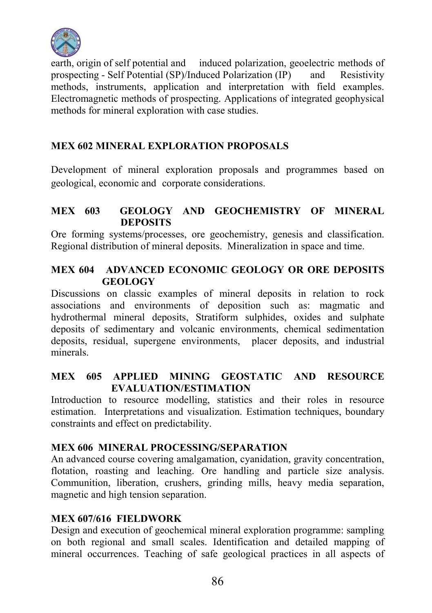

earth, origin of self potential and induced polarization, geoelectric methods of prospecting - Self Potential (SP)/Induced Polarization (IP) and Resistivity prospecting - Self Potential (SP)/Induced Polarization (IP) methods, instruments, application and interpretation with field examples. Electromagnetic methods of prospecting. Applications of integrated geophysical methods for mineral exploration with case studies.

# MEX 602 MINERAL EXPLORATION PROPOSALS

Development of mineral exploration proposals and programmes based on geological, economic and corporate considerations.

## MEX 603 GEOLOGY AND GEOCHEMISTRY OF MINERAL **DEPOSITS**

Ore forming systems/processes, ore geochemistry, genesis and classification. Regional distribution of mineral deposits. Mineralization in space and time.

## MEX 604 ADVANCED ECONOMIC GEOLOGY OR ORE DEPOSITS GEOLOGY

Discussions on classic examples of mineral deposits in relation to rock associations and environments of deposition such as: magmatic and hydrothermal mineral deposits, Stratiform sulphides, oxides and sulphate deposits of sedimentary and volcanic environments, chemical sedimentation deposits, residual, supergene environments, placer deposits, and industrial minerals.

## MEX 605 APPLIED MINING GEOSTATIC AND RESOURCE EVALUATION/ESTIMATION

Introduction to resource modelling, statistics and their roles in resource estimation. Interpretations and visualization. Estimation techniques, boundary constraints and effect on predictability.

# MEX 606 MINERAL PROCESSING/SEPARATION

An advanced course covering amalgamation, cyanidation, gravity concentration, flotation, roasting and leaching. Ore handling and particle size analysis. Communition, liberation, crushers, grinding mills, heavy media separation, magnetic and high tension separation.

# MEX 607/616 FIELDWORK

Design and execution of geochemical mineral exploration programme: sampling on both regional and small scales. Identification and detailed mapping of mineral occurrences. Teaching of safe geological practices in all aspects of